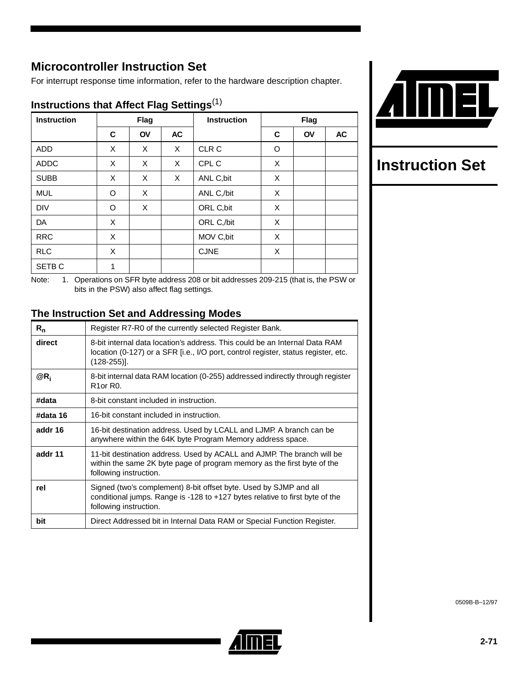# **Microcontroller Instruction Set**

For interrupt response time information, refer to the hardware description chapter.

| <b>Instruction</b> |   | <b>Flag</b> |    | <b>Instruction</b> |   | <b>Flag</b> |    |
|--------------------|---|-------------|----|--------------------|---|-------------|----|
|                    | C | <b>OV</b>   | AC |                    | C | <b>OV</b>   | AC |
| <b>ADD</b>         | X | X           | X  | CLR C              | O |             |    |
| <b>ADDC</b>        | X | X           | X  | CPL C              | X |             |    |
| <b>SUBB</b>        | X | X           | X  | ANL C, bit         | X |             |    |
| <b>MUL</b>         | O | X           |    | ANL C,/bit         | X |             |    |
| <b>DIV</b>         | O | X           |    | ORL C, bit         | X |             |    |
| DA                 | X |             |    | ORL C,/bit         | X |             |    |
| <b>RRC</b>         | X |             |    | MOV C, bit         | X |             |    |
| <b>RLC</b>         | X |             |    | <b>CJNE</b>        | X |             |    |
| SETB <sub>C</sub>  | 1 |             |    |                    |   |             |    |

## **Instructions that Affect Flag Settings**(1)



# **Instruction Set**

Note: 1. Operations on SFR byte address 208 or bit addresses 209-215 (that is, the PSW or bits in the PSW) also affect flag settings.

## **The Instruction Set and Addressing Modes**

| $R_{n}$  | Register R7-R0 of the currently selected Register Bank.                                                                                                                            |  |  |
|----------|------------------------------------------------------------------------------------------------------------------------------------------------------------------------------------|--|--|
| direct   | 8-bit internal data location's address. This could be an Internal Data RAM<br>location (0-127) or a SFR [i.e., I/O port, control register, status register, etc.<br>$(128-255)$ ]. |  |  |
| $@R_i$   | 8-bit internal data RAM location (0-255) addressed indirectly through register<br>R <sub>1</sub> or R <sub>0</sub> .                                                               |  |  |
| #data    | 8-bit constant included in instruction.                                                                                                                                            |  |  |
| #data 16 | 16-bit constant included in instruction.                                                                                                                                           |  |  |
| addr 16  | 16-bit destination address. Used by LCALL and LJMP. A branch can be<br>anywhere within the 64K byte Program Memory address space.                                                  |  |  |
| addr 11  | 11-bit destination address. Used by ACALL and AJMP. The branch will be<br>within the same 2K byte page of program memory as the first byte of the<br>following instruction.        |  |  |
| rel      | Signed (two's complement) 8-bit offset byte. Used by SJMP and all<br>conditional jumps. Range is -128 to +127 bytes relative to first byte of the<br>following instruction.        |  |  |
| bit      | Direct Addressed bit in Internal Data RAM or Special Function Register.                                                                                                            |  |  |



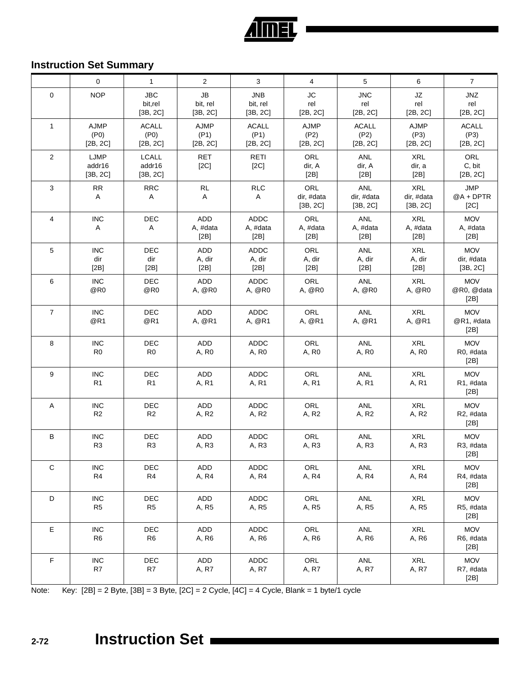

# **Instruction Set Summary**

|                | $\mathbf 0$                                  | $\mathbf{1}$                       | 2                                 | 3                                  | 4                                    | 5                                    | 6                                    | $\overline{7}$                       |
|----------------|----------------------------------------------|------------------------------------|-----------------------------------|------------------------------------|--------------------------------------|--------------------------------------|--------------------------------------|--------------------------------------|
| $\mathbf 0$    | <b>NOP</b>                                   | <b>JBC</b><br>bit,rel<br>[3B, 2C]  | <b>JB</b><br>bit, rel<br>[3B, 2C] | <b>JNB</b><br>bit, rel<br>[3B, 2C] | <b>JC</b><br>rel<br>[2B, 2C]         | <b>JNC</b><br>rel<br>[2B, 2C]        | JZ<br>rel<br>[2B, 2C]                | <b>JNZ</b><br>rel<br>[2B, 2C]        |
| $\mathbf{1}$   | <b>AJMP</b><br>(P <sub>0</sub> )<br>[2B, 2C] | <b>ACALL</b><br>(P0)<br>[2B, 2C]   | <b>AJMP</b><br>(P1)<br>[2B, 2C]   | <b>ACALL</b><br>(P1)<br>[2B, 2C]   | <b>AJMP</b><br>(P2)<br>[2B, 2C]      | <b>ACALL</b><br>(P2)<br>[2B, 2C]     | <b>AJMP</b><br>(P3)<br>[2B, 2C]      | <b>ACALL</b><br>(P3)<br>[2B, 2C]     |
| 2              | LJMP<br>addr16<br>[3B, 2C]                   | <b>LCALL</b><br>addr16<br>[3B, 2C] | RET<br>[2C]                       | <b>RETI</b><br>[2C]                | ORL<br>dir, A<br>[2B]                | <b>ANL</b><br>dir, A<br>[2B]         | <b>XRL</b><br>dir, a<br>[2B]         | ORL<br>C, bit<br>[2B, 2C]            |
| 3              | <b>RR</b><br>Α                               | <b>RRC</b><br>$\mathsf{A}$         | <b>RL</b><br>$\overline{A}$       | <b>RLC</b><br>A                    | <b>ORL</b><br>dir, #data<br>[3B, 2C] | <b>ANL</b><br>dir, #data<br>[3B, 2C] | <b>XRL</b><br>dir, #data<br>[3B, 2C] | <b>JMP</b><br>@A + DPTR<br>[2C]      |
| $\overline{4}$ | <b>INC</b><br>Α                              | DEC<br>A                           | ADD<br>A, #data<br>[2B]           | <b>ADDC</b><br>A, #data<br>[2B]    | ORL<br>A, #data<br>[2B]              | <b>ANL</b><br>A, #data<br>[2B]       | <b>XRL</b><br>A, #data<br>[2B]       | <b>MOV</b><br>A, #data<br>[2B]       |
| 5              | <b>INC</b><br>dir<br>[2B]                    | <b>DEC</b><br>dir<br>[2B]          | <b>ADD</b><br>A, dir<br>[2B]      | <b>ADDC</b><br>A, dir<br>[2B]      | ORL<br>A, dir<br>[2B]                | <b>ANL</b><br>A, dir<br>[2B]         | <b>XRL</b><br>A, dir<br>[2B]         | <b>MOV</b><br>dir, #data<br>[3B, 2C] |
| 6              | <b>INC</b><br>@R0                            | <b>DEC</b><br>@R0                  | ADD<br>A, @R0                     | <b>ADDC</b><br>A, @R0              | ORL<br>A, @R0                        | <b>ANL</b><br>A, @R0                 | <b>XRL</b><br>A, @R0                 | <b>MOV</b><br>@R0, @data<br>[2B]     |
| $\overline{7}$ | <b>INC</b><br>@R1                            | DEC<br>@R1                         | ADD<br>A, @R1                     | <b>ADDC</b><br>A, @R1              | ORL<br>A, @R1                        | <b>ANL</b><br>A, @R1                 | <b>XRL</b><br>A, @R1                 | <b>MOV</b><br>@R1, #data<br>[2B]     |
| 8              | <b>INC</b><br>R <sub>0</sub>                 | DEC<br>R <sub>0</sub>              | ADD<br>A, R0                      | <b>ADDC</b><br>A, R0               | ORL<br>A, R0                         | <b>ANL</b><br>A, R0                  | <b>XRL</b><br>A, R0                  | <b>MOV</b><br>R0, #data<br>[2B]      |
| 9              | <b>INC</b><br>R <sub>1</sub>                 | DEC<br>R1                          | ADD<br>A, R1                      | <b>ADDC</b><br>A, R1               | ORL<br>A, R1                         | ANL<br>A, R1                         | <b>XRL</b><br>A, R1                  | <b>MOV</b><br>R1, #data<br>[2B]      |
| Α              | <b>INC</b><br>R <sub>2</sub>                 | DEC<br>R <sub>2</sub>              | ADD<br>A, R2                      | <b>ADDC</b><br>A, R2               | ORL<br>A, R2                         | <b>ANL</b><br>A, R2                  | <b>XRL</b><br>A, R2                  | <b>MOV</b><br>R2, #data<br>[2B]      |
| B              | <b>INC</b><br>R <sub>3</sub>                 | DEC<br>R <sub>3</sub>              | ADD<br>A, R3                      | <b>ADDC</b><br>A, R3               | ORL<br>A, R3                         | <b>ANL</b><br>A, R3                  | <b>XRL</b><br>A, R3                  | <b>MOV</b><br>R3, #data<br>[2B]      |
| C              | <b>INC</b><br>R4                             | DEC<br>R4                          | ADD<br>A, R4                      | <b>ADDC</b><br>A, R4               | ORL<br>A, R4                         | <b>ANL</b><br>A, R4                  | <b>XRL</b><br>A, R4                  | <b>MOV</b><br>R4, #data<br>[2B]      |
| D              | <b>INC</b><br>R <sub>5</sub>                 | DEC<br>R <sub>5</sub>              | ADD<br>A, R5                      | <b>ADDC</b><br>A, R5               | <b>ORL</b><br>A, R5                  | <b>ANL</b><br>A, R5                  | <b>XRL</b><br>A, R5                  | <b>MOV</b><br>R5, #data<br>[2B]      |
| Е              | <b>INC</b><br>R <sub>6</sub>                 | DEC<br>R <sub>6</sub>              | ADD<br>A, R6                      | <b>ADDC</b><br>A, R6               | <b>ORL</b><br>A, R6                  | ANL<br>A, R6                         | <b>XRL</b><br>A, R6                  | <b>MOV</b><br>R6, #data<br>[2B]      |
| $\mathsf F$    | <b>INC</b><br>R7                             | DEC<br>R7                          | ADD<br>A, R7                      | <b>ADDC</b><br>A, R7               | <b>ORL</b><br>A, R7                  | <b>ANL</b><br>A, R7                  | <b>XRL</b><br>A, R7                  | <b>MOV</b><br>R7, #data<br>[2B]      |

Note: Key: [2B] = 2 Byte, [3B] = 3 Byte, [2C] = 2 Cycle, [4C] = 4 Cycle, Blank = 1 byte/1 cycle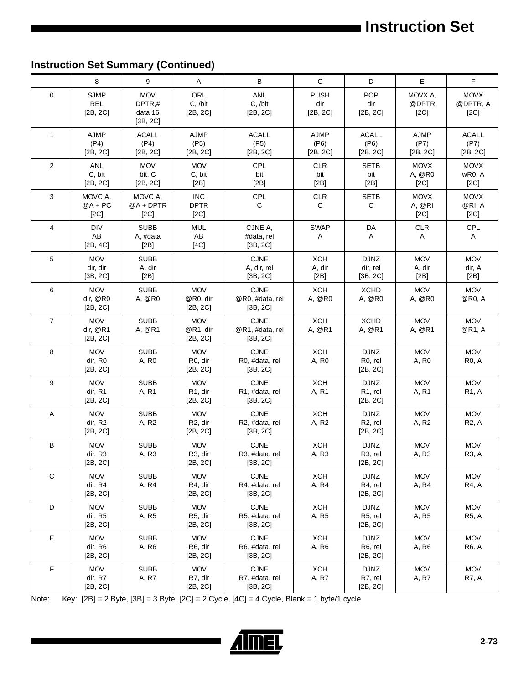# **Instruction Set Summary (Continued)**

|                | 8                                     | 9                                           | Α                                              | B                                          | $\mathbf C$                     | D                                               | $\mathsf E$                     | $\mathsf F$                      |
|----------------|---------------------------------------|---------------------------------------------|------------------------------------------------|--------------------------------------------|---------------------------------|-------------------------------------------------|---------------------------------|----------------------------------|
| $\mathbf 0$    | <b>SJMP</b><br><b>REL</b><br>[2B, 2C] | <b>MOV</b><br>DPTR,#<br>data 16<br>[3B, 2C] | ORL<br>C, /bit<br>[2B, 2C]                     | <b>ANL</b><br>C, /bit<br>[2B, 2C]          | <b>PUSH</b><br>dir<br>[2B, 2C]  | <b>POP</b><br>dir<br>[2B, 2C]                   | MOVX A.<br>@DPTR<br>[2C]        | <b>MOVX</b><br>@DPTR, A<br>[2C]  |
| $\mathbf{1}$   | <b>AJMP</b><br>(P4)<br>[2B, 2C]       | ACALL<br>(P4)<br>[2B, 2C]                   | <b>AJMP</b><br>(P5)<br>[2B, 2C]                | <b>ACALL</b><br>(P5)<br>[2B, 2C]           | <b>AJMP</b><br>(P6)<br>[2B, 2C] | <b>ACALL</b><br>(P6)<br>[2B, 2C]                | <b>AJMP</b><br>(P7)<br>[2B, 2C] | <b>ACALL</b><br>(P7)<br>[2B, 2C] |
| $\overline{2}$ | ANL<br>C, bit<br>[2B, 2C]             | <b>MOV</b><br>bit, C<br>[2B, 2C]            | <b>MOV</b><br>C, bit<br>[2B]                   | CPL<br>bit<br>[2B]                         | <b>CLR</b><br>bit<br>[2B]       | <b>SETB</b><br>bit<br>[2B]                      | <b>MOVX</b><br>A, @R0<br>[2C]   | <b>MOVX</b><br>wR0, A<br>[2C]    |
| 3              | MOVC A,<br>$@A + PC$<br>[2C]          | MOVC A,<br>@A+DPTR<br>[2C]                  | <b>INC</b><br><b>DPTR</b><br>[2C]              | CPL<br>С                                   | <b>CLR</b><br>C                 | <b>SETB</b><br>С                                | <b>MOVX</b><br>A, @RI<br>[2C]   | <b>MOVX</b><br>@RI, A<br>[2C]    |
| $\overline{4}$ | <b>DIV</b><br>AB<br>[2B, 4C]          | <b>SUBB</b><br>A, #data<br>[2B]             | <b>MUL</b><br>AB<br>[4C]                       | CJNE A,<br>#data, rel<br>[3B, 2C]          | <b>SWAP</b><br>Α                | DA<br>Α                                         | <b>CLR</b><br>Α                 | <b>CPL</b><br>A                  |
| 5              | <b>MOV</b><br>dir, dir<br>[3B, 2C]    | <b>SUBB</b><br>A, dir<br>[2B]               |                                                | <b>CJNE</b><br>A, dir, rel<br>$[3B, 2C]$   | <b>XCH</b><br>A, dir<br>[2B]    | <b>DJNZ</b><br>dir, rel<br>[3B, 2C]             | <b>MOV</b><br>A, dir<br>[2B]    | <b>MOV</b><br>dir, A<br>[2B]     |
| 6              | <b>MOV</b><br>dir, @R0<br>[2B, 2C]    | <b>SUBB</b><br>A, @R0                       | <b>MOV</b><br>@R0, dir<br>[2B, 2C]             | <b>CJNE</b><br>@R0, #data, rel<br>[3B, 2C] | <b>XCH</b><br>A, @R0            | <b>XCHD</b><br>A, @R0                           | <b>MOV</b><br>A, @R0            | <b>MOV</b><br>@R0, A             |
| $\overline{7}$ | <b>MOV</b><br>dir, @R1<br>[2B, 2C]    | <b>SUBB</b><br>A, @R1                       | <b>MOV</b><br>@R1, dir<br>[2B, 2C]             | <b>CJNE</b><br>@R1, #data, rel<br>[3B, 2C] | <b>XCH</b><br>A, @R1            | <b>XCHD</b><br>A, @R1                           | <b>MOV</b><br>A, @R1            | <b>MOV</b><br>@R1, A             |
| 8              | <b>MOV</b><br>dir, R0<br>[2B, 2C]     | <b>SUBB</b><br>A, R <sub>0</sub>            | <b>MOV</b><br>R <sub>0</sub> , dir<br>[2B, 2C] | <b>CJNE</b><br>R0, #data, rel<br>[3B, 2C]  | <b>XCH</b><br>A, R <sub>0</sub> | <b>DJNZ</b><br>R <sub>0</sub> , rel<br>[2B, 2C] | <b>MOV</b><br>A, R <sub>0</sub> | <b>MOV</b><br><b>R0, A</b>       |
| 9              | <b>MOV</b><br>dir, R1<br>[2B, 2C]     | <b>SUBB</b><br>A, R1                        | <b>MOV</b><br>R <sub>1</sub> , dir<br>[2B, 2C] | <b>CJNE</b><br>R1, #data, rel<br>[3B, 2C]  | <b>XCH</b><br>A, R1             | <b>DJNZ</b><br>R <sub>1</sub> , rel<br>[2B, 2C] | <b>MOV</b><br>A, R1             | <b>MOV</b><br><b>R1, A</b>       |
| A              | <b>MOV</b><br>dir, R2<br>[2B, 2C]     | <b>SUBB</b><br>A, R2                        | <b>MOV</b><br>R <sub>2</sub> , dir<br>[2B, 2C] | <b>CJNE</b><br>R2, #data, rel<br>[3B, 2C]  | <b>XCH</b><br>A, R2             | <b>DJNZ</b><br>R <sub>2</sub> , rel<br>[2B, 2C] | <b>MOV</b><br>A, R2             | <b>MOV</b><br><b>R2, A</b>       |
| B              | <b>MOV</b><br>dir, R3<br>[2B, 2C]     | <b>SUBB</b><br>A, R3                        | <b>MOV</b><br>R <sub>3</sub> , dir<br>[2B, 2C] | <b>CJNE</b><br>R3, #data, rel<br>[3B, 2C]  | <b>XCH</b><br>A, R3             | <b>DJNZ</b><br>R <sub>3</sub> , rel<br>[2B, 2C] | <b>MOV</b><br>A, R3             | <b>MOV</b><br><b>R3, A</b>       |
| $\mathsf C$    | <b>MOV</b><br>dir, R4<br>[2B, 2C]     | <b>SUBB</b><br>A, R4                        | <b>MOV</b><br>R4, dir<br>[2B, 2C]              | <b>CJNE</b><br>R4, #data, rel<br>[3B, 2C]  | <b>XCH</b><br>A, R4             | <b>DJNZ</b><br>R4, rel<br>[2B, 2C]              | <b>MOV</b><br>A, R4             | <b>MOV</b><br><b>R4, A</b>       |
| D              | <b>MOV</b><br>dir, R5<br>[2B, 2C]     | <b>SUBB</b><br>A, R5                        | <b>MOV</b><br>R5, dir<br>[2B, 2C]              | <b>CJNE</b><br>R5, #data, rel<br>[3B, 2C]  | <b>XCH</b><br>A, R5             | <b>DJNZ</b><br>R5, rel<br>[2B, 2C]              | <b>MOV</b><br>A, R5             | <b>MOV</b><br><b>R5, A</b>       |
| Ε              | <b>MOV</b><br>dir, R6<br>[2B, 2C]     | <b>SUBB</b><br>A, R6                        | <b>MOV</b><br>R6, dir<br>[2B, 2C]              | <b>CJNE</b><br>R6, #data, rel<br>[3B, 2C]  | <b>XCH</b><br>A, R6             | <b>DJNZ</b><br>R6, rel<br>[2B, 2C]              | <b>MOV</b><br>A, R6             | <b>MOV</b><br><b>R6.A</b>        |
| F              | <b>MOV</b><br>dir, R7<br>[2B, 2C]     | <b>SUBB</b><br>A, R7                        | <b>MOV</b><br>R7, dir<br>[2B, 2C]              | <b>CJNE</b><br>R7, #data, rel<br>[3B, 2C]  | <b>XCH</b><br>A, R7             | <b>DJNZ</b><br>R7, rel<br>[2B, 2C]              | <b>MOV</b><br>A, R7             | <b>MOV</b><br><b>R7, A</b>       |

Note: Key: [2B] = 2 Byte, [3B] = 3 Byte, [2C] = 2 Cycle, [4C] = 4 Cycle, Blank = 1 byte/1 cycle

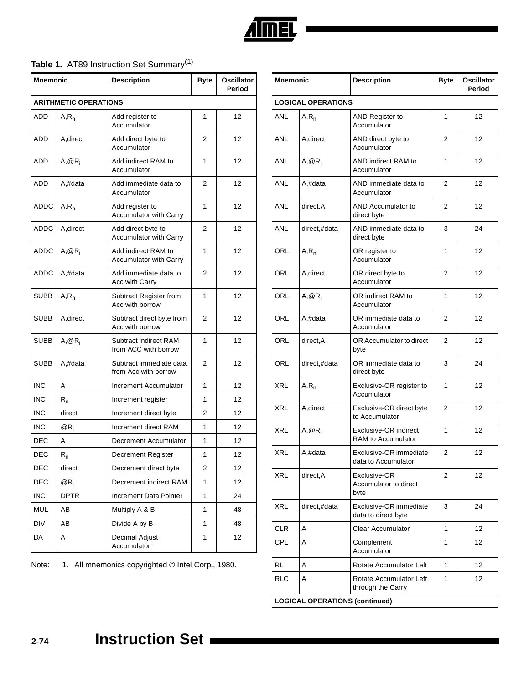

# Table 1. AT89 Instruction Set Summary<sup>(1)</sup>

| <b>Mnemonic</b> |                              | <b>Description</b>                                  | <b>Byte</b>    | <b>Oscillator</b><br>Period |
|-----------------|------------------------------|-----------------------------------------------------|----------------|-----------------------------|
|                 | <b>ARITHMETIC OPERATIONS</b> |                                                     |                |                             |
| <b>ADD</b>      | $A, R_n$                     | Add register to<br>Accumulator                      | 1              | 12                          |
| ADD             | A, direct                    | Add direct byte to<br>Accumulator                   | 2              | 12                          |
| <b>ADD</b>      | $A, @R_i$                    | Add indirect RAM to<br>Accumulator                  | 1              | 12                          |
| <b>ADD</b>      | A,#data                      | Add immediate data to<br>Accumulator                | 2              | 12                          |
| ADDC            | $A, R_n$                     | Add register to<br>Accumulator with Carry           | 1              | 12                          |
| ADDC            | A, direct                    | Add direct byte to<br><b>Accumulator with Carry</b> | 2              | 12                          |
| ADDC            | $A, @R_i$                    | Add indirect RAM to<br>Accumulator with Carry       | 1              | 12                          |
| ADDC            | A,#data                      | Add immediate data to<br>Acc with Carry             | 2              | 12                          |
| SUBB            | $A, R_n$                     | Subtract Register from<br>Acc with borrow           | 1              | 12                          |
| <b>SUBB</b>     | A, direct                    | Subtract direct byte from<br>Acc with borrow        | 2              | 12                          |
| SUBB            | $A, @R_i$                    | Subtract indirect RAM<br>from ACC with borrow       | 1              | 12                          |
| SUBB            | A,#data                      | Subtract immediate data<br>from Acc with borrow     | 2              | 12                          |
| <b>INC</b>      | A                            | Increment Accumulator                               | 1              | 12                          |
| <b>INC</b>      | $R_{n}$                      | Increment register                                  | 1              | 12                          |
| <b>INC</b>      | direct                       | Increment direct byte                               | 2              | 12                          |
| <b>INC</b>      | $@R_i$                       | Increment direct RAM                                | 1              | 12                          |
| DEC             | A                            | Decrement Accumulator                               | 1              | 12                          |
| <b>DEC</b>      | $\mathsf{R}_{\mathsf{n}}$    | <b>Decrement Register</b>                           | 1              | 12                          |
| DEC             | direct                       | Decrement direct byte                               | $\overline{2}$ | 12                          |
| <b>DEC</b>      | $@R_i$                       | Decrement indirect RAM                              | 1              | 12                          |
| <b>INC</b>      | <b>DPTR</b>                  | Increment Data Pointer                              | 1              | 24                          |
| MUL             | AВ                           | Multiply A & B                                      | 1              | 48                          |
| <b>DIV</b>      | AВ                           | Divide A by B                                       | 1              | 48                          |
| DA              | Α                            | Decimal Adjust<br>Accumulator                       | 1              | 12                          |

Note: 1. All mnemonics copyrighted © Intel Corp., 1980.

| <b>Mnemonic</b> |                                       | <b>Description</b>                            | <b>Byte</b> | <b>Oscillator</b><br>Period |  |
|-----------------|---------------------------------------|-----------------------------------------------|-------------|-----------------------------|--|
|                 | <b>LOGICAL OPERATIONS</b>             |                                               |             |                             |  |
| ANL             | $A, R_n$                              | AND Register to<br>Accumulator                | 1           | 12                          |  |
| ANL             | A, direct                             | AND direct byte to<br>Accumulator             | 2           | 12                          |  |
| ANL             | $A, @R_i$                             | AND indirect RAM to<br>Accumulator            | 1           | 12                          |  |
| ANL             | A,#data                               | AND immediate data to<br>Accumulator          | 2           | 12                          |  |
| ANL             | direct, A                             | AND Accumulator to<br>direct byte             | 2           | 12                          |  |
| ANL             | direct,#data                          | AND immediate data to<br>direct byte          | 3           | 24                          |  |
| ORL             | $A, R_n$                              | OR register to<br>Accumulator                 | 1           | 12                          |  |
| ORL             | A, direct                             | OR direct byte to<br>Accumulator              | 2           | 12                          |  |
| ORL             | $A, @R_i$                             | OR indirect RAM to<br>Accumulator             | 1           | 12                          |  |
| ORL             | A,#data                               | OR immediate data to<br>Accumulator           | 2           | 12                          |  |
| ORL             | direct, A                             | OR Accumulator to direct<br>byte              | 2           | 12                          |  |
| ORL             | direct,#data                          | OR immediate data to<br>direct byte           | 3           | 24                          |  |
| XRL             | $A, R_n$                              | Exclusive-OR register to<br>Accumulator       | 1           | 12                          |  |
| XRL             | A, direct                             | Exclusive-OR direct byte<br>to Accumulator    | 2           | 12                          |  |
| <b>XRL</b>      | $A, @R_i$                             | Exclusive-OR indirect<br>RAM to Accumulator   | 1           | 12                          |  |
| XRL             | A,#data                               | Exclusive-OR immediate<br>data to Accumulator | 2           | 12                          |  |
| XRL             | direct, A                             | Exclusive-OR<br>Accumulator to direct<br>byte | 2           | 12                          |  |
| XRL             | direct,#data                          | Exclusive-OR immediate<br>data to direct byte | 3           | 24                          |  |
| <b>CLR</b>      | A                                     | <b>Clear Accumulator</b>                      | 1           | 12                          |  |
| CPL             | A                                     | Complement<br>Accumulator                     | 1           | 12                          |  |
| RL              | A                                     | Rotate Accumulator Left                       | 1           | 12                          |  |
| <b>RLC</b>      | A                                     | Rotate Accumulator Left<br>through the Carry  | 1           | 12                          |  |
|                 | <b>LOGICAL OPERATIONS (continued)</b> |                                               |             |                             |  |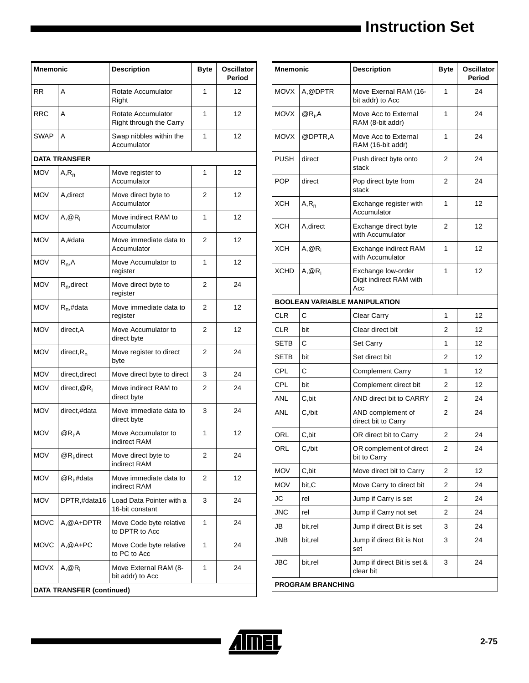| <b>Mnemonic</b>                  |                      | <b>Description</b>                            | <b>Byte</b> | Oscillator<br>Period |
|----------------------------------|----------------------|-----------------------------------------------|-------------|----------------------|
| <b>RR</b>                        | A                    | Rotate Accumulator<br>Right                   | 1           | 12                   |
| <b>RRC</b>                       | A                    | Rotate Accumulator<br>Right through the Carry | 1           | 12                   |
| <b>SWAP</b>                      | A                    | Swap nibbles within the<br>Accumulator        | 1           | 12                   |
|                                  | <b>DATA TRANSFER</b> |                                               |             |                      |
| <b>MOV</b>                       | $A, R_n$             | Move register to<br>Accumulator               | 1           | 12                   |
| <b>MOV</b>                       | A, direct            | Move direct byte to<br>Accumulator            | 2           | 12                   |
| <b>MOV</b>                       | $A, @R_i$            | Move indirect RAM to<br>Accumulator           | 1           | 12                   |
| <b>MOV</b>                       | A,#data              | Move immediate data to<br>Accumulator         | 2           | 12                   |
| <b>MOV</b>                       | $R_n, A$             | Move Accumulator to<br>register               | 1           | 12                   |
| <b>MOV</b>                       | $R_n$ , direct       | Move direct byte to<br>register               | 2           | 24                   |
| <b>MOV</b>                       | $R_n$ ,#data         | Move immediate data to<br>register            | 2           | 12                   |
| <b>MOV</b>                       | direct, A            | Move Accumulator to<br>direct byte            | 2           | 12                   |
| <b>MOV</b>                       | $direct, R_n$        | Move register to direct<br>byte               | 2           | 24                   |
| <b>MOV</b>                       | direct, direct       | Move direct byte to direct                    | 3           | 24                   |
| <b>MOV</b>                       | direct, $@R_i$       | Move indirect RAM to<br>direct byte           | 2           | 24                   |
| <b>MOV</b>                       | direct,#data         | Move immediate data to<br>direct byte         | 3           | 24                   |
| <b>MOV</b>                       | $@R_i, A$            | Move Accumulator to<br>indirect RAM           | 1           | 12                   |
| <b>MOV</b>                       | $@R_i$ , direct      | Move direct byte to<br>indirect RAM           | 2           | 24                   |
| <b>MOV</b>                       | $@R_i, \#data$       | Move immediate data to<br>indirect RAM        | 2           | 12                   |
| <b>MOV</b>                       | DPTR,#data16         | Load Data Pointer with a<br>16-bit constant   | 3           | 24                   |
| <b>MOVC</b>                      | A,@A+DPTR            | Move Code byte relative<br>to DPTR to Acc     | 1           | 24                   |
| <b>MOVC</b>                      | $A, @A+PC$           | Move Code byte relative<br>to PC to Acc       | 1           | 24                   |
| <b>MOVX</b>                      | $A, @R_i$            | Move External RAM (8-<br>bit addr) to Acc     | 1           | 24                   |
| <b>DATA TRANSFER (continued)</b> |                      |                                               |             |                      |

| <b>Mnemonic</b>          |                                      | <b>Description</b>                                   | <b>Byte</b> | <b>Oscillator</b><br>Period |  |
|--------------------------|--------------------------------------|------------------------------------------------------|-------------|-----------------------------|--|
| <b>MOVX</b>              | A.@DPTR                              | Move Exernal RAM (16-<br>bit addr) to Acc            | 1           | 24                          |  |
| <b>MOVX</b>              | $@R_i, A$                            | Move Acc to External<br>RAM (8-bit addr)             | 1           | 24                          |  |
| <b>MOVX</b>              | @DPTR,A                              | Move Acc to External<br>RAM (16-bit addr)            | 1           | 24                          |  |
| PUSH                     | direct                               | Push direct byte onto<br>stack                       | 2           | 24                          |  |
| <b>POP</b>               | direct                               | Pop direct byte from<br>stack                        | 2           | 24                          |  |
| XCH                      | $A, R_n$                             | Exchange register with<br>Accumulator                | 1           | 12                          |  |
| XCH                      | A, direct                            | Exchange direct byte<br>with Accumulator             | 2           | 12                          |  |
| ХСН                      | $A, @R_i$                            | Exchange indirect RAM<br>with Accumulator            | 1           | 12                          |  |
| <b>XCHD</b>              | $A, @R_i$                            | Exchange low-order<br>Digit indirect RAM with<br>Acc | 1           | 12                          |  |
|                          | <b>BOOLEAN VARIABLE MANIPULATION</b> |                                                      |             |                             |  |
| <b>CLR</b>               | С                                    | Clear Carry                                          | 1           | 12                          |  |
| <b>CLR</b>               | bit                                  | Clear direct bit                                     | 2           | 12                          |  |
| SETB                     | C                                    | Set Carry                                            | 1           | 12                          |  |
| <b>SETB</b>              | bit                                  | Set direct bit                                       | 2           | 12                          |  |
| CPL                      | C                                    | <b>Complement Carry</b>                              | 1           | 12                          |  |
| CPL                      | bit                                  | Complement direct bit                                | 2           | 12                          |  |
| ANL                      | C,bit                                | AND direct bit to CARRY                              | 2           | 24                          |  |
| <b>ANL</b>               | C./bit                               | AND complement of<br>direct bit to Carry             | 2           | 24                          |  |
| ORL                      | C,bit                                | OR direct bit to Carry                               | 2           | 24                          |  |
| ORL                      | C,/bit                               | OR complement of direct<br>bit to Carry              | 2           | 24                          |  |
| <b>MOV</b>               | C,bit                                | Move direct bit to Carry                             | 2           | 12                          |  |
| <b>MOV</b>               | bit, C                               | Move Carry to direct bit                             | 2           | 24                          |  |
| JС                       | rel                                  | Jump if Carry is set                                 | 2           | 24                          |  |
| JNC                      | rel                                  | Jump if Carry not set                                | 2           | 24                          |  |
| JB                       | bit, rel                             | Jump if direct Bit is set                            | 3           | 24                          |  |
| JNB                      | bit, rel                             | Jump if direct Bit is Not<br>set                     | 3           | 24                          |  |
| <b>JBC</b>               | bit, rel                             | Jump if direct Bit is set &<br>clear bit             | 3           | 24                          |  |
| <b>PROGRAM BRANCHING</b> |                                      |                                                      |             |                             |  |

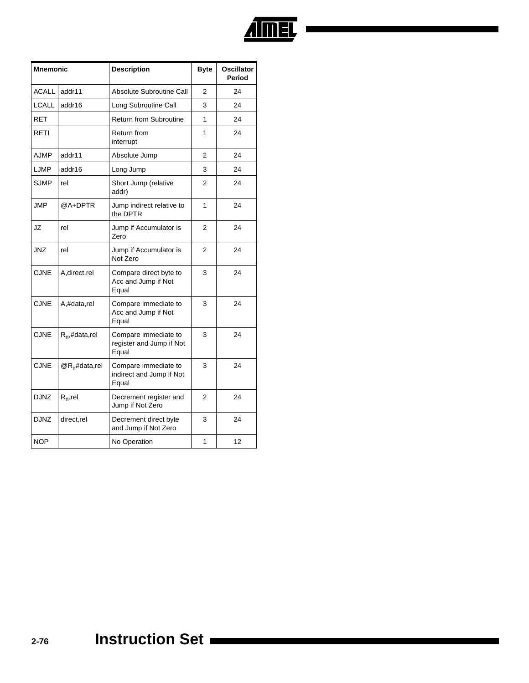

| <b>Mnemonic</b> |                   | <b>Description</b>                                        | <b>Byte</b>    | <b>Oscillator</b><br>Period |
|-----------------|-------------------|-----------------------------------------------------------|----------------|-----------------------------|
| <b>ACALL</b>    | addr11            | Absolute Subroutine Call                                  | 2              | 24                          |
| LCALL           | addr16            | Long Subroutine Call                                      | 3              | 24                          |
| <b>RET</b>      |                   | <b>Return from Subroutine</b>                             | 1              | 24                          |
| RETI            |                   | Return from<br>interrupt                                  | 1              | 24                          |
| <b>AJMP</b>     | addr11            | Absolute Jump                                             | $\overline{2}$ | 24                          |
| LJMP            | addr16            | Long Jump                                                 | 3              | 24                          |
| <b>SJMP</b>     | rel               | Short Jump (relative<br>addr)                             | 2              | 24                          |
| <b>JMP</b>      | @A+DPTR           | Jump indirect relative to<br>the DPTR                     | 1              | 24                          |
| JZ              | rel               | Jump if Accumulator is<br>Zero                            | 2              | 24                          |
| JNZ             | rel               | Jump if Accumulator is<br>Not Zero                        | 2              | 24                          |
| <b>CJNE</b>     | A, direct, rel    | Compare direct byte to<br>Acc and Jump if Not<br>Equal    | 3              | 24                          |
| <b>CJNE</b>     | A,#data,rel       | Compare immediate to<br>Acc and Jump if Not<br>Equal      | 3              | 24                          |
| <b>CJNE</b>     | $R_n$ ,#data,rel  | Compare immediate to<br>register and Jump if Not<br>Equal | 3              | 24                          |
| <b>CJNE</b>     | $@R_i$ ,#data,rel | Compare immediate to<br>indirect and Jump if Not<br>Equal | 3              | 24                          |
| <b>DJNZ</b>     | $R_n$ , rel       | Decrement register and<br>Jump if Not Zero                | $\overline{2}$ | 24                          |
| <b>DJNZ</b>     | direct,rel        | Decrement direct byte<br>and Jump if Not Zero             | 3              | 24                          |
| <b>NOP</b>      |                   | No Operation                                              | 1              | 12                          |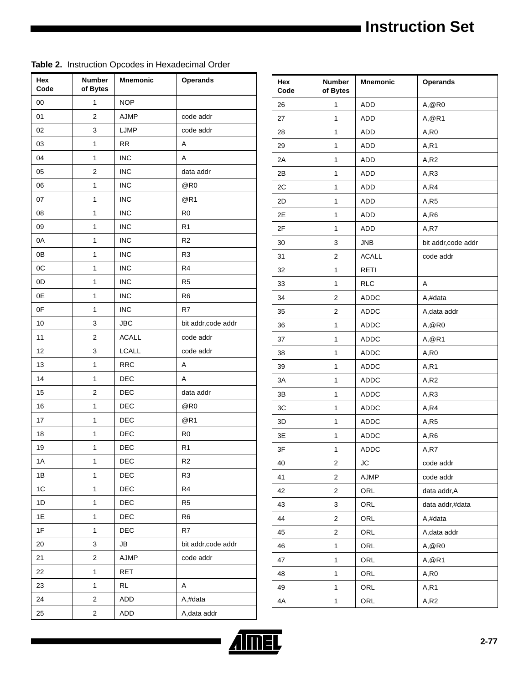| Hex<br>Code | <b>Number</b><br>of Bytes | <b>Mnemonic</b> | <b>Operands</b>     |
|-------------|---------------------------|-----------------|---------------------|
| 00          | $\mathbf{1}$              | <b>NOP</b>      |                     |
| 01          | $\overline{2}$            | AJMP            | code addr           |
| 02          | 3                         | LJMP            | code addr           |
| 03          | 1                         | <b>RR</b>       | Α                   |
| 04          | $\mathbf{1}$              | <b>INC</b>      | A                   |
| 05          | 2                         | <b>INC</b>      | data addr           |
| 06          | 1                         | <b>INC</b>      | @R0                 |
| 07          | $\mathbf{1}$              | <b>INC</b>      | @R1                 |
| 08          | 1                         | <b>INC</b>      | R <sub>0</sub>      |
| 09          | 1                         | <b>INC</b>      | R <sub>1</sub>      |
| 0A          | $\mathbf{1}$              | <b>INC</b>      | R <sub>2</sub>      |
| 0B          | 1                         | <b>INC</b>      | R <sub>3</sub>      |
| 0C          | 1                         | <b>INC</b>      | R4                  |
| 0D          | $\mathbf{1}$              | <b>INC</b>      | R <sub>5</sub>      |
| 0E          | 1                         | <b>INC</b>      | R <sub>6</sub>      |
| 0F          | 1                         | <b>INC</b>      | R7                  |
| 10          | 3                         | <b>JBC</b>      | bit addr, code addr |
| 11          | $\overline{\mathbf{c}}$   | <b>ACALL</b>    | code addr           |
| 12          | 3                         | <b>LCALL</b>    | code addr           |
| 13          | $\mathbf{1}$              | <b>RRC</b>      | Α                   |
| 14          | 1                         | DEC             | Α                   |
| 15          | $\overline{2}$            | DEC             | data addr           |
| 16          | $\mathbf{1}$              | <b>DEC</b>      | @R0                 |
| 17          | 1                         | DEC             | @R1                 |
| 18          | $\mathbf{1}$              | DEC             | R <sub>0</sub>      |
| 19          | 1                         | DEC             | R <sub>1</sub>      |
| 1А          | 1                         | DEC             | R <sub>2</sub>      |
| 1B          | 1                         | DEC             | R <sub>3</sub>      |
| 1C          | $\mathbf{1}$              | DEC             | R <sub>4</sub>      |
| 1D          | 1                         | DEC             | R <sub>5</sub>      |
| 1E          | 1                         | DEC             | R <sub>6</sub>      |
| 1F          | $\mathbf{1}$              | DEC             | R7                  |
| 20          | 3                         | JB              | bit addr, code addr |
| 21          | 2                         | AJMP            | code addr           |
| 22          | $\mathbf{1}$              | <b>RET</b>      |                     |
| 23          | 1                         | <b>RL</b>       | Α                   |
| 24          | 2                         | ADD             | A,#data             |
| 25          | $\overline{\mathbf{c}}$   | ADD             | A, data addr        |

| Hex<br>Code | <b>Number</b><br>of Bytes | Mnemonic     | <b>Operands</b>     |  |
|-------------|---------------------------|--------------|---------------------|--|
| 26          | 1                         | ADD          | A, @R0              |  |
| 27          | 1                         | ADD          | A, @R1              |  |
| 28          | 1                         | <b>ADD</b>   | A,R0                |  |
| 29          | 1                         | ADD          | A, R1               |  |
| 2A          | 1                         | ADD          | A, R2               |  |
| 2B          | 1                         | <b>ADD</b>   | A,R3                |  |
| 2C          | 1                         | ADD          | A,R4                |  |
| 2D          | 1                         | ADD          | A,R5                |  |
| 2E          | 1                         | <b>ADD</b>   | A,R6                |  |
| 2F          | 1                         | ADD          | A,R7                |  |
| 30          | 3                         | <b>JNB</b>   | bit addr, code addr |  |
| 31          | $\overline{2}$            | <b>ACALL</b> | code addr           |  |
| 32          | 1                         | RETI         |                     |  |
| 33          | 1                         | <b>RLC</b>   | Α                   |  |
| 34          | 2                         | ADDC         | A,#data             |  |
| 35          | 2                         | ADDC         | A, data addr        |  |
| 36          | 1                         | <b>ADDC</b>  | A, @R0              |  |
| 37          | 1                         | <b>ADDC</b>  | A, @R1              |  |
| 38          | 1                         | ADDC         | A,R0                |  |
| 39          | 1                         | <b>ADDC</b>  | A, R1               |  |
| 3A          | 1                         | ADDC         | A,R2                |  |
| 3B          | 1                         | ADDC         | A,R3                |  |
| 3C          | 1                         | <b>ADDC</b>  | A,R4                |  |
| 3D          | 1                         | ADDC         | A, R5               |  |
| 3E          | 1                         | ADDC         | A,R6                |  |
| 3F          | 1                         | <b>ADDC</b>  | A,R7                |  |
| 40          | $\overline{\mathbf{c}}$   | JC           | code addr           |  |
| 41          | 2                         | AJMP         | code addr           |  |
| 42          | 2                         | ORL          | data addr, A        |  |
| 43          | 3                         | ORL          | data addr,#data     |  |
| 44          | 2                         | ORL          | A,#data             |  |
| 45          | 2                         | ORL          | A, data addr        |  |
| 46          | 1                         | ORL          | A, @R0              |  |
| 47          | 1                         | ORL          | A, @R1              |  |
| 48          | 1                         | ORL          | A,R0                |  |
| 49          | 1                         | ORL          | A,R1                |  |
| 4A          | 1                         | ORL          | A,R2                |  |

#### **Table 2.** Instruction Opcodes in Hexadecimal Order

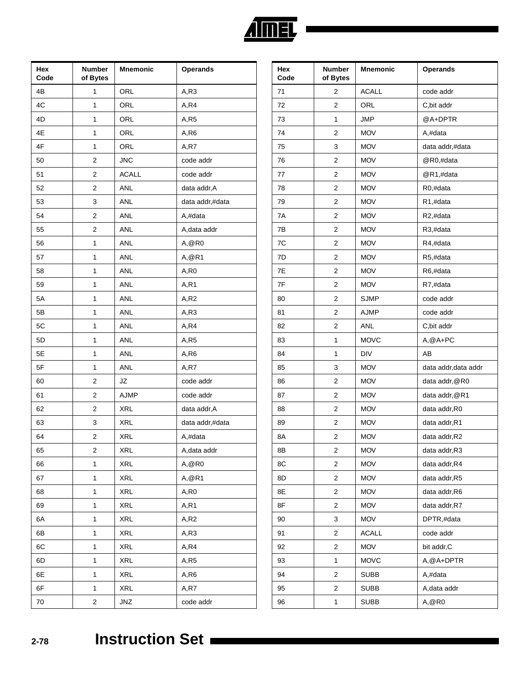| Hex<br>Code | Number<br>of Bytes      | <b>Mnemonic</b> | <b>Operands</b> |
|-------------|-------------------------|-----------------|-----------------|
| 4B          | 1                       | ORL             | A,R3            |
| 4C          | $\mathbf{1}$            | ORL             | A,R4            |
| 4D          | 1                       | ORL             | A, R5           |
| 4E          | 1                       | ORL             | A,R6            |
| 4F          | $\mathbf 1$             | ORL             | A,R7            |
| 50          | 2                       | <b>JNC</b>      | code addr       |
| 51          | 2                       | <b>ACALL</b>    | code addr       |
| 52          | $\overline{2}$          | ANL             | data addr, A    |
| 53          | 3                       | ANL             | data addr,#data |
| 54          | 2                       | ANL             | A,#data         |
| 55          | $\overline{2}$          | ANL             | A, data addr    |
| 56          | 1                       | ANL             | A, @R0          |
| 57          | 1                       | ANL             | A, @R1          |
| 58          | $\mathbf{1}$            | ANL             | A,R0            |
| 59          | 1                       | ANL             | A, R1           |
| 5A          | 1                       | ANL             | A,R2            |
| 5B          | $\mathbf{1}$            | ANL             | A, R3           |
| 5C          | 1                       | ANL             | A,R4            |
| 5D          | 1                       | ANL             | A,R5            |
| 5E          | $\mathbf{1}$            | ANL             | A,R6            |
| 5F          | 1                       | ANL             | A, R7           |
| 60          | 2                       | JZ              | code addr       |
| 61          | $\overline{\mathbf{c}}$ | AJMP            | code addr       |
| 62          | 2                       | <b>XRL</b>      | data addr, A    |
| 63          | 3                       | <b>XRL</b>      | data addr,#data |
| 64          | $\overline{c}$          | XRL             | A,#data         |
| 65          | 2                       | XRL             | A, data addr    |
| 66          | 1                       | <b>XRL</b>      | A, @R0          |
| 67          | $\mathbf 1$             | <b>XRL</b>      | A, @R1          |
| 68          | 1                       | XRL             | A,R0            |
| 69          | $\mathbf 1$             | XRL             | A, R1           |
| 6A          | $\mathbf 1$             | <b>XRL</b>      | A,R2            |
| 6B          | 1                       | XRL             | A, R3           |
| 6C          | $\mathbf 1$             | XRL             | A,R4            |
| 6D          | $\mathbf 1$             | <b>XRL</b>      | A,R5            |
| 6E          | 1                       | XRL             | A,R6            |
| 6F          | $\mathbf 1$             | XRL             | A,R7            |
| 70          | $\overline{\mathbf{c}}$ | JNZ             | code addr       |

| Hex<br>Code | <b>Number</b><br>of Bytes | <b>Mnemonic</b> | <b>Operands</b>      |  |  |
|-------------|---------------------------|-----------------|----------------------|--|--|
| 71          | $\overline{2}$            | <b>ACALL</b>    | code addr            |  |  |
| 72          | 2                         | ORL             | C, bit addr          |  |  |
| 73          | 1                         | <b>JMP</b>      | @A+DPTR              |  |  |
| 74          | $\overline{2}$            | <b>MOV</b>      | A,#data              |  |  |
| 75          | 3                         | <b>MOV</b>      | data addr,#data      |  |  |
| 76          | $\overline{2}$            | <b>MOV</b>      | @R0,#data            |  |  |
| 77          | $\overline{2}$            | <b>MOV</b>      | @R1,#data            |  |  |
| 78          | 2                         | <b>MOV</b>      | R0,#data             |  |  |
| 79          | 2                         | <b>MOV</b>      | R1,#data             |  |  |
| 7A          | $\overline{2}$            | <b>MOV</b>      | R2,#data             |  |  |
| 7B          | 2                         | <b>MOV</b>      | R3,#data             |  |  |
| 7C          | 2                         | <b>MOV</b>      | R4,#data             |  |  |
| 7D          | $\overline{2}$            | <b>MOV</b>      | R5,#data             |  |  |
| 7E          | 2                         | <b>MOV</b>      | R6,#data             |  |  |
| 7F          | 2                         | <b>MOV</b>      | R7,#data             |  |  |
| 80          | $\overline{c}$            | <b>SJMP</b>     | code addr            |  |  |
| 81          | 2                         | <b>AJMP</b>     | code addr            |  |  |
| 82          | 2                         | <b>ANL</b>      | C, bit addr          |  |  |
| 83          | 1                         | <b>MOVC</b>     | $A, @A+PC$           |  |  |
| 84          | 1                         | DIV             | AB                   |  |  |
| 85          | 3                         | <b>MOV</b>      | data addr, data addr |  |  |
| 86          | 2                         | <b>MOV</b>      | data addr, @R0       |  |  |
| 87          | 2                         | <b>MOV</b>      | data addr, @R1       |  |  |
| 88          | $\overline{c}$            | <b>MOV</b>      | data addr, R0        |  |  |
| 89          | 2                         | <b>MOV</b>      | data addr, R1        |  |  |
| 8A          | 2                         | <b>MOV</b>      | data addr, R2        |  |  |
| 8Β          | $\overline{z}$            | <b>MOV</b>      | data addr, R3        |  |  |
| 8C          | 2                         | <b>MOV</b>      | data addr, R4        |  |  |
| 8D          | 2                         | <b>MOV</b>      | data addr, R5        |  |  |
| 8E          | 2                         | <b>MOV</b>      | data addr, R6        |  |  |
| 8F          | 2                         | <b>MOV</b>      | data addr, R7        |  |  |
| 90          | 3                         | <b>MOV</b>      | DPTR,#data           |  |  |
| 91          | 2                         | <b>ACALL</b>    | code addr            |  |  |
| 92          | 2                         | <b>MOV</b>      | bit addr, C          |  |  |
| 93          | 1                         | <b>MOVC</b>     | A, @A+DPTR           |  |  |
| 94          | $\overline{c}$            | <b>SUBB</b>     | A,#data              |  |  |
| 95          | 2                         | <b>SUBB</b>     | A, data addr         |  |  |
| 96          | 1                         | <b>SUBB</b>     | A, @R0               |  |  |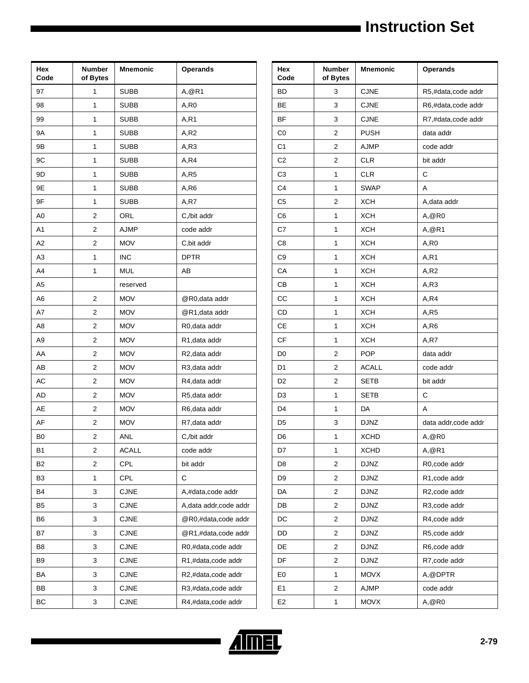| Hex<br>Code    | Number<br>of Bytes | Mnemonic     | <b>Operands</b>         |  |  |  |
|----------------|--------------------|--------------|-------------------------|--|--|--|
| 97             | 1                  | SUBB         | A,@R1                   |  |  |  |
| 98             | 1                  | <b>SUBB</b>  | A, R0                   |  |  |  |
| 99             | 1                  | <b>SUBB</b>  | A, R1                   |  |  |  |
| 9Α             | 1                  | <b>SUBB</b>  | A, R2                   |  |  |  |
| 9Β             | 1                  | <b>SUBB</b>  | A, R3                   |  |  |  |
| 9C             | 1                  | SUBB         | A,R4                    |  |  |  |
| 9D             | 1                  | <b>SUBB</b>  | A, R5                   |  |  |  |
| 9E             | 1                  | <b>SUBB</b>  | A,R6                    |  |  |  |
| 9F             | 1                  | <b>SUBB</b>  | A,R7                    |  |  |  |
| A0             | 2                  | ORL          | C,/bit addr             |  |  |  |
| A <sub>1</sub> | 2                  | AJMP         | code addr               |  |  |  |
| A2             | 2                  | <b>MOV</b>   | C, bit addr             |  |  |  |
| A3             | 1                  | INC          | <b>DPTR</b>             |  |  |  |
| A4             | 1                  | <b>MUL</b>   | АB                      |  |  |  |
| A <sub>5</sub> |                    | reserved     |                         |  |  |  |
| A6             | 2                  | <b>MOV</b>   | @R0, data addr          |  |  |  |
| A7             | 2                  | MOV          | @R1, data addr          |  |  |  |
| A8             | 2                  | <b>MOV</b>   | R0, data addr           |  |  |  |
| A9             | 2                  | <b>MOV</b>   | R1, data addr           |  |  |  |
| AA             | 2                  | <b>MOV</b>   | R2, data addr           |  |  |  |
| AB             | 2                  | <b>MOV</b>   | R3, data addr           |  |  |  |
| AC             | 2                  | <b>MOV</b>   | R4, data addr           |  |  |  |
| <b>AD</b>      | $\overline{c}$     | MOV          | R5, data addr           |  |  |  |
| AE             | 2                  | <b>MOV</b>   | R6, data addr           |  |  |  |
| AF             | $\overline{c}$     | <b>MOV</b>   | R7, data addr           |  |  |  |
| B <sub>0</sub> | 2                  | ANL          | C,/bit addr             |  |  |  |
| B1             | 2                  | <b>ACALL</b> | code addr               |  |  |  |
| B <sub>2</sub> | 2                  | CPL          | bit addr                |  |  |  |
| B <sub>3</sub> | 1                  | <b>CPL</b>   | C                       |  |  |  |
| B4             | 3                  | <b>CJNE</b>  | A,#data,code addr       |  |  |  |
| B <sub>5</sub> | 3                  | <b>CJNE</b>  | A, data addr, code addr |  |  |  |
| B <sub>6</sub> | 3                  | <b>CJNE</b>  | @R0,#data,code addr     |  |  |  |
| B7             | 3                  | <b>CJNE</b>  | @R1,#data,code addr     |  |  |  |
| B8             | 3                  | <b>CJNE</b>  | R0,#data,code addr      |  |  |  |
| B <sub>9</sub> | 3                  | <b>CJNE</b>  | R1,#data,code addr      |  |  |  |
| BA             | 3                  | <b>CJNE</b>  | R2,#data,code addr      |  |  |  |
| BB             | 3                  | <b>CJNE</b>  | R3,#data,code addr      |  |  |  |
| BC             | 3                  | <b>CJNE</b>  | R4,#data,code addr      |  |  |  |

| Hex<br>Code    | <b>Number</b><br>of Bytes | <b>Mnemonic</b> | <b>Operands</b>      |  |  |  |
|----------------|---------------------------|-----------------|----------------------|--|--|--|
| <b>BD</b>      | 3                         | <b>CJNE</b>     | R5,#data,code addr   |  |  |  |
| BE             | 3                         | <b>CJNE</b>     | R6,#data,code addr   |  |  |  |
| <b>BF</b>      | 3                         | <b>CJNE</b>     | R7,#data,code addr   |  |  |  |
| CO             | 2                         | <b>PUSH</b>     | data addr            |  |  |  |
| C <sub>1</sub> | $\mathbf 2$               | <b>AJMP</b>     | code addr            |  |  |  |
| C <sub>2</sub> | $\overline{c}$            | <b>CLR</b>      | bit addr             |  |  |  |
| C <sub>3</sub> | 1                         | <b>CLR</b>      | C                    |  |  |  |
| C <sub>4</sub> | 1                         | <b>SWAP</b>     | A                    |  |  |  |
| C <sub>5</sub> | 2                         | <b>XCH</b>      | A, data addr         |  |  |  |
| C <sub>6</sub> | 1                         | <b>XCH</b>      | A, @R0               |  |  |  |
| C7             | 1                         | <b>XCH</b>      | A, @R1               |  |  |  |
| C <sub>8</sub> | 1                         | <b>XCH</b>      | A,R0                 |  |  |  |
| C <sub>9</sub> | 1                         | <b>XCH</b>      | A, R1                |  |  |  |
| CA             | 1                         | <b>XCH</b>      | A, R2                |  |  |  |
| СB             | 1                         | <b>XCH</b>      | A, R3                |  |  |  |
| CC             | 1                         | <b>XCH</b>      | A,R4                 |  |  |  |
| CD             | 1                         | <b>XCH</b>      | A,R5                 |  |  |  |
| СE             | 1                         | <b>XCH</b>      | A,R6                 |  |  |  |
| <b>CF</b>      | 1                         | <b>XCH</b>      | A,R7                 |  |  |  |
| D <sub>0</sub> | 2                         | <b>POP</b>      | data addr            |  |  |  |
| D <sub>1</sub> | $\overline{c}$            | <b>ACALL</b>    | code addr            |  |  |  |
| D <sub>2</sub> | 2                         | <b>SETB</b>     | bit addr             |  |  |  |
| D3             | 1                         | <b>SETB</b>     | С                    |  |  |  |
| D4             | 1                         | DA              | A                    |  |  |  |
| D <sub>5</sub> | 3                         | <b>DJNZ</b>     | data addr, code addr |  |  |  |
| D6             | 1                         | <b>XCHD</b>     | A, @R0               |  |  |  |
| D7             | 1                         | XCHD            | A,@R1                |  |  |  |
| D <sub>8</sub> | $\overline{\mathbf{c}}$   | <b>DJNZ</b>     | R0,code addr         |  |  |  |
| D <sub>9</sub> | 2                         | <b>DJNZ</b>     | R1, code addr        |  |  |  |
| DA             | 2                         | <b>DJNZ</b>     | R2, code addr        |  |  |  |
| DB             | 2                         | <b>DJNZ</b>     | R3, code addr        |  |  |  |
| DC             | 2                         | <b>DJNZ</b>     | R4, code addr        |  |  |  |
| DD             | 2                         | <b>DJNZ</b>     | R5, code addr        |  |  |  |
| DE             | 2                         | <b>DJNZ</b>     | R6, code addr        |  |  |  |
| DF             | 2                         | <b>DJNZ</b>     | R7, code addr        |  |  |  |
| E <sub>0</sub> | 1                         | <b>MOVX</b>     | A, @DPTR             |  |  |  |
| E <sub>1</sub> | $\overline{\mathbf{c}}$   | AJMP            | code addr            |  |  |  |
| E <sub>2</sub> | $\mathbf{1}$              | <b>MOVX</b>     | A, @R0               |  |  |  |

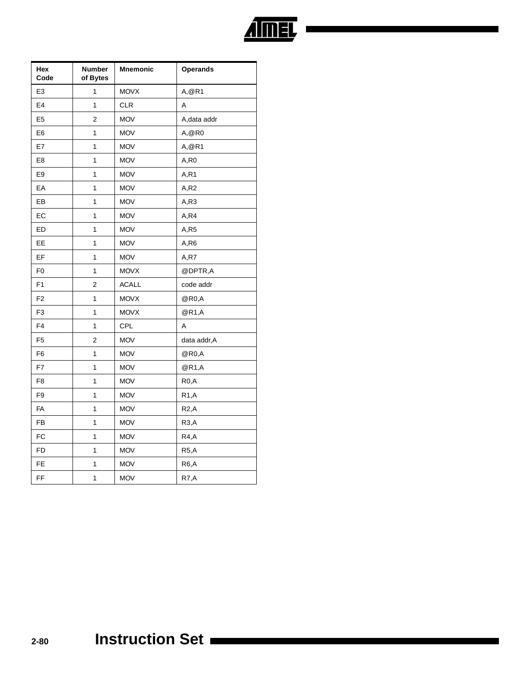

| Hex<br>Code    | <b>Number</b><br>of Bytes | <b>Mnemonic</b> | <b>Operands</b>   |  |  |
|----------------|---------------------------|-----------------|-------------------|--|--|
| E3             | 1                         | <b>MOVX</b>     | A, @R1            |  |  |
| E4             | 1                         | <b>CLR</b>      | Α                 |  |  |
| E <sub>5</sub> | 2                         | <b>MOV</b>      | A, data addr      |  |  |
| E6             | 1                         | <b>MOV</b>      | A,@R0             |  |  |
| E7             | 1                         | <b>MOV</b>      | A, @R1            |  |  |
| E <sub>8</sub> | 1                         | <b>MOV</b>      | A,R0              |  |  |
| E9             | 1                         | <b>MOV</b>      | A,R1              |  |  |
| EA             | 1                         | <b>MOV</b>      | A, R2             |  |  |
| EВ             | 1                         | <b>MOV</b>      | A, R3             |  |  |
| EC             | 1                         | <b>MOV</b>      | A, R4             |  |  |
| ED             | 1                         | <b>MOV</b>      | A,R5              |  |  |
| EE             | 1                         | <b>MOV</b>      | A,R6              |  |  |
| EF             | 1                         | <b>MOV</b>      | A,R7              |  |  |
| F <sub>0</sub> | 1                         | <b>MOVX</b>     | @DPTR,A           |  |  |
| F1             | $\overline{2}$            | <b>ACALL</b>    | code addr         |  |  |
| F2             | 1                         | <b>MOVX</b>     | @R0,A             |  |  |
| F3             | 1                         | <b>MOVX</b>     | @R1,A             |  |  |
| F4             | 1                         | <b>CPL</b>      | A                 |  |  |
| F <sub>5</sub> | 2                         | <b>MOV</b>      | data addr, A      |  |  |
| F6             | $\overline{\mathbf{1}}$   | <b>MOV</b>      | @R0,A             |  |  |
| F7             | $\mathbf{1}$              | <b>MOV</b>      | @R1,A             |  |  |
| F8             | 1                         | <b>MOV</b>      | R <sub>0</sub> ,A |  |  |
| F9             | 1                         | <b>MOV</b>      | <b>R1,A</b>       |  |  |
| FA             | 1                         | <b>MOV</b>      | R2, A             |  |  |
| FB             | 1                         | <b>MOV</b>      | R3, A             |  |  |
| FC             | 1                         | <b>MOV</b>      | R4,A              |  |  |
| <b>FD</b>      | $\overline{\mathbf{1}}$   | <b>MOV</b>      | R5, A             |  |  |
| FE             | 1                         | <b>MOV</b>      | R <sub>6</sub> ,A |  |  |
| FF             | 1                         | <b>MOV</b>      | R7,A              |  |  |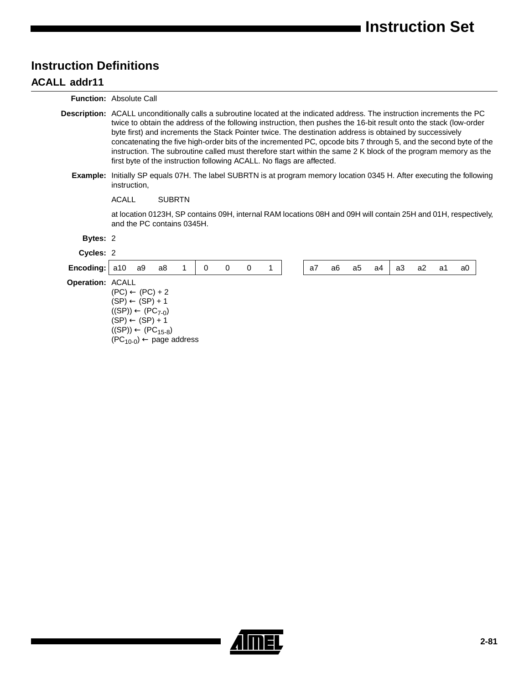## **Instruction Definitions**

#### **ACALL addr11**

**Function:** Absolute Call

- **Description:** ACALL unconditionally calls a subroutine located at the indicated address. The instruction increments the PC twice to obtain the address of the following instruction, then pushes the 16-bit result onto the stack (low-order byte first) and increments the Stack Pointer twice. The destination address is obtained by successively concatenating the five high-order bits of the incremented PC, opcode bits 7 through 5, and the second byte of the instruction. The subroutine called must therefore start within the same 2 K block of the program memory as the first byte of the instruction following ACALL. No flags are affected.
	- **Example:** Initially SP equals 07H. The label SUBRTN is at program memory location 0345 H. After executing the following instruction,

ACALL SUBRTN

at location 0123H, SP contains 09H, internal RAM locations 08H and 09H will contain 25H and 01H, respectively, and the PC contains 0345H.

| Bytes: 2                |                                                                                                                                                                                                      |    |    |  |   |   |     |   |    |    |    |    |    |    |    |    |
|-------------------------|------------------------------------------------------------------------------------------------------------------------------------------------------------------------------------------------------|----|----|--|---|---|-----|---|----|----|----|----|----|----|----|----|
| Cycles: 2               |                                                                                                                                                                                                      |    |    |  |   |   |     |   |    |    |    |    |    |    |    |    |
| Encoding:               | a10                                                                                                                                                                                                  | a9 | a8 |  | 0 | 0 | - 0 | 1 | a7 | a6 | a5 | а4 | a3 | a2 | a1 | a0 |
| <b>Operation: ACALL</b> | $(PC) \leftarrow (PC) + 2$<br>$(SP) \leftarrow (SP) + 1$<br>$((SP)) \leftarrow (PC_{7-0})$<br>$(SP) \leftarrow (SP) + 1$<br>$((SP)) \leftarrow (PC_{15-8})$<br>$(PC_{10-0}) \leftarrow$ page address |    |    |  |   |   |     |   |    |    |    |    |    |    |    |    |

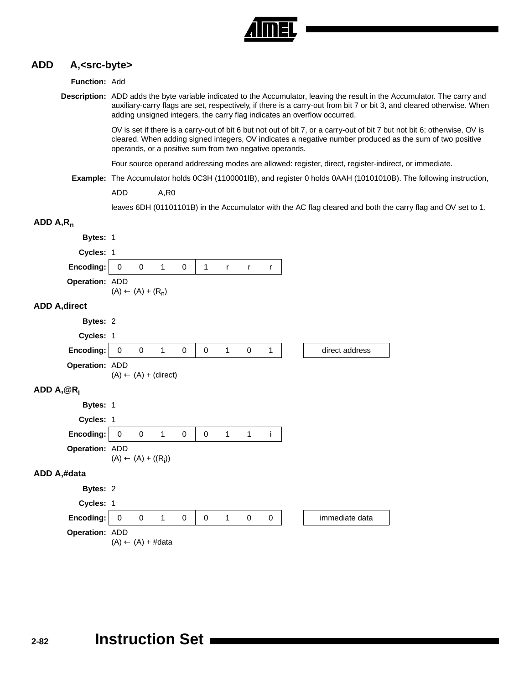

#### **ADD A,<src-byte>**

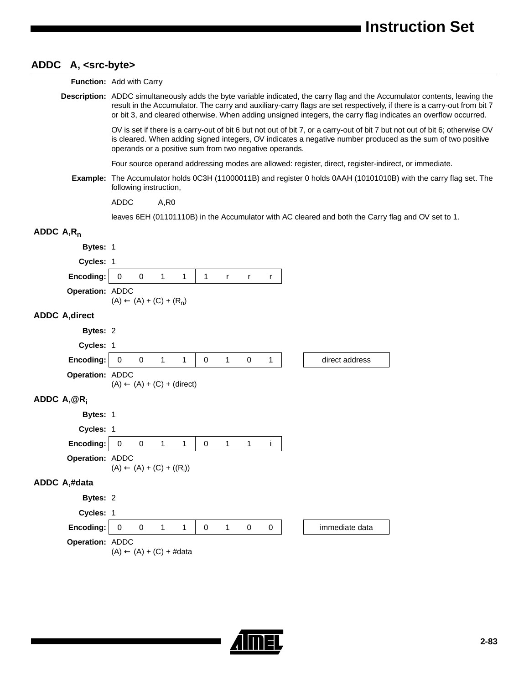## **ADDC A, <src-byte>**

| A, S, C, V            |                                                                                                                                                                                                                                                                                                                                                                          |
|-----------------------|--------------------------------------------------------------------------------------------------------------------------------------------------------------------------------------------------------------------------------------------------------------------------------------------------------------------------------------------------------------------------|
|                       | Function: Add with Carry                                                                                                                                                                                                                                                                                                                                                 |
|                       | Description: ADDC simultaneously adds the byte variable indicated, the carry flag and the Accumulator contents, leaving the<br>result in the Accumulator. The carry and auxiliary-carry flags are set respectively, if there is a carry-out from bit 7<br>or bit 3, and cleared otherwise. When adding unsigned integers, the carry flag indicates an overflow occurred. |
|                       | OV is set if there is a carry-out of bit 6 but not out of bit 7, or a carry-out of bit 7 but not out of bit 6; otherwise OV<br>is cleared. When adding signed integers, OV indicates a negative number produced as the sum of two positive<br>operands or a positive sum from two negative operands.                                                                     |
|                       | Four source operand addressing modes are allowed: register, direct, register-indirect, or immediate.                                                                                                                                                                                                                                                                     |
| Example:              | The Accumulator holds 0C3H (11000011B) and register 0 holds 0AAH (10101010B) with the carry flag set. The<br>following instruction,                                                                                                                                                                                                                                      |
|                       | <b>ADDC</b><br>A, R0                                                                                                                                                                                                                                                                                                                                                     |
|                       | leaves 6EH (01101110B) in the Accumulator with AC cleared and both the Carry flag and OV set to 1.                                                                                                                                                                                                                                                                       |
| ADDC $A, R_n$         |                                                                                                                                                                                                                                                                                                                                                                          |
| Bytes: 1              |                                                                                                                                                                                                                                                                                                                                                                          |
| Cycles: 1             |                                                                                                                                                                                                                                                                                                                                                                          |
| Encoding:             | $\mathbf 0$<br>$\mathbf 0$<br>1<br>$\mathbf{1}$<br>1<br>$\mathsf{r}$<br>r<br>r                                                                                                                                                                                                                                                                                           |
| Operation: ADDC       | $(A) \leftarrow (A) + (C) + (R_n)$                                                                                                                                                                                                                                                                                                                                       |
| <b>ADDC A, direct</b> |                                                                                                                                                                                                                                                                                                                                                                          |
| Bytes: 2              |                                                                                                                                                                                                                                                                                                                                                                          |
| Cycles: 1             |                                                                                                                                                                                                                                                                                                                                                                          |
| Encoding:             | $\mathbf 0$<br>1<br>0<br>1<br>$\mathbf 0$<br>1<br>direct address<br>0<br>1                                                                                                                                                                                                                                                                                               |
| Operation: ADDC       | $(A) \leftarrow (A) + (C) + (direct)$                                                                                                                                                                                                                                                                                                                                    |
| ADDC $A, @R_i$        |                                                                                                                                                                                                                                                                                                                                                                          |
| Bytes: 1              |                                                                                                                                                                                                                                                                                                                                                                          |
| Cycles: 1             |                                                                                                                                                                                                                                                                                                                                                                          |
| Encoding:             | Ť<br>0<br>0<br>1<br>1<br>0<br>$\mathbf{1}$<br>1                                                                                                                                                                                                                                                                                                                          |
| Operation: ADDC       | $(A) \leftarrow (A) + (C) + ((R_i))$                                                                                                                                                                                                                                                                                                                                     |
| ADDC A,#data          |                                                                                                                                                                                                                                                                                                                                                                          |
| Bytes: 2              |                                                                                                                                                                                                                                                                                                                                                                          |
| Cycles: 1             |                                                                                                                                                                                                                                                                                                                                                                          |
| Encoding:             | 0<br>$\mathbf 0$<br>1<br>1<br>0<br>0<br>immediate data<br>1<br>0                                                                                                                                                                                                                                                                                                         |
| Operation: ADDC       | $(A) \leftarrow (A) + (C) + #data$                                                                                                                                                                                                                                                                                                                                       |
|                       |                                                                                                                                                                                                                                                                                                                                                                          |

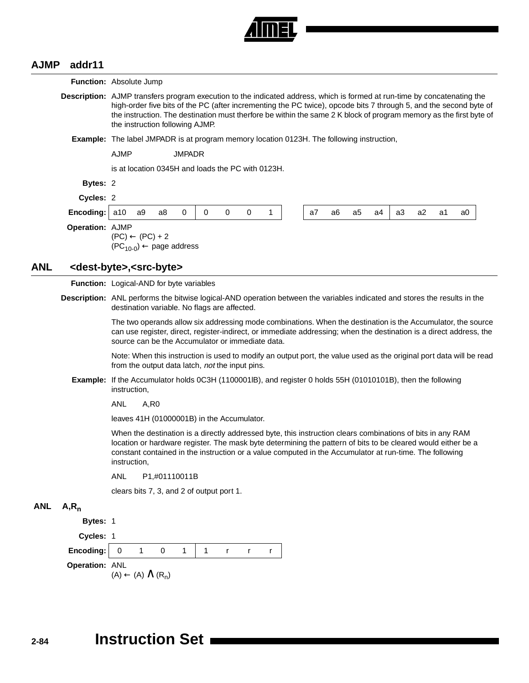

 $\overline{\phantom{a}}$ 

#### **AJMP addr11**

| <b>Function:</b> Absolute Jump<br>Description: AJMP transfers program execution to the indicated address, which is formed at run-time by concatenating the<br>Bytes: 2<br>Cycles: 2<br>Encoding:<br>Operation: AJMP<br><dest-byte>,<src-byte></src-byte></dest-byte> | high-order five bits of the PC (after incrementing the PC twice), opcode bits 7 through 5, and the second byte of<br>the instruction. The destination must therfore be within the same 2 K block of program memory as the first byte of<br>the instruction following AJMP.<br><b>Example:</b> The label JMPADR is at program memory location 0123H. The following instruction,<br><b>AJMP</b><br>is at location 0345H and loads the PC with 0123H.<br>a10<br>a9<br>$(PC) \leftarrow (PC) + 2$<br>$(PC_{10-0}) \leftarrow$ page address | <b>JMPADR</b><br>0<br>a8                                     | 0                                                                                                                                                                         | $\pmb{0}$     | 0 | 1                                         |                                                                                               | a7                                       | a6 | a5 | a4 | a3 | a2 | a1 | a0                                                                                                                                                                                                                                  |  |  |
|----------------------------------------------------------------------------------------------------------------------------------------------------------------------------------------------------------------------------------------------------------------------|----------------------------------------------------------------------------------------------------------------------------------------------------------------------------------------------------------------------------------------------------------------------------------------------------------------------------------------------------------------------------------------------------------------------------------------------------------------------------------------------------------------------------------------|--------------------------------------------------------------|---------------------------------------------------------------------------------------------------------------------------------------------------------------------------|---------------|---|-------------------------------------------|-----------------------------------------------------------------------------------------------|------------------------------------------|----|----|----|----|----|----|-------------------------------------------------------------------------------------------------------------------------------------------------------------------------------------------------------------------------------------|--|--|
|                                                                                                                                                                                                                                                                      |                                                                                                                                                                                                                                                                                                                                                                                                                                                                                                                                        |                                                              |                                                                                                                                                                           |               |   |                                           |                                                                                               |                                          |    |    |    |    |    |    |                                                                                                                                                                                                                                     |  |  |
|                                                                                                                                                                                                                                                                      |                                                                                                                                                                                                                                                                                                                                                                                                                                                                                                                                        |                                                              |                                                                                                                                                                           |               |   |                                           |                                                                                               |                                          |    |    |    |    |    |    |                                                                                                                                                                                                                                     |  |  |
|                                                                                                                                                                                                                                                                      |                                                                                                                                                                                                                                                                                                                                                                                                                                                                                                                                        |                                                              |                                                                                                                                                                           |               |   |                                           |                                                                                               |                                          |    |    |    |    |    |    |                                                                                                                                                                                                                                     |  |  |
|                                                                                                                                                                                                                                                                      |                                                                                                                                                                                                                                                                                                                                                                                                                                                                                                                                        |                                                              |                                                                                                                                                                           |               |   |                                           |                                                                                               |                                          |    |    |    |    |    |    |                                                                                                                                                                                                                                     |  |  |
|                                                                                                                                                                                                                                                                      |                                                                                                                                                                                                                                                                                                                                                                                                                                                                                                                                        |                                                              |                                                                                                                                                                           |               |   |                                           |                                                                                               |                                          |    |    |    |    |    |    |                                                                                                                                                                                                                                     |  |  |
|                                                                                                                                                                                                                                                                      |                                                                                                                                                                                                                                                                                                                                                                                                                                                                                                                                        |                                                              |                                                                                                                                                                           |               |   |                                           |                                                                                               |                                          |    |    |    |    |    |    |                                                                                                                                                                                                                                     |  |  |
|                                                                                                                                                                                                                                                                      |                                                                                                                                                                                                                                                                                                                                                                                                                                                                                                                                        |                                                              |                                                                                                                                                                           |               |   |                                           |                                                                                               |                                          |    |    |    |    |    |    |                                                                                                                                                                                                                                     |  |  |
|                                                                                                                                                                                                                                                                      |                                                                                                                                                                                                                                                                                                                                                                                                                                                                                                                                        |                                                              |                                                                                                                                                                           |               |   |                                           |                                                                                               |                                          |    |    |    |    |    |    |                                                                                                                                                                                                                                     |  |  |
|                                                                                                                                                                                                                                                                      |                                                                                                                                                                                                                                                                                                                                                                                                                                                                                                                                        |                                                              |                                                                                                                                                                           |               |   |                                           |                                                                                               |                                          |    |    |    |    |    |    |                                                                                                                                                                                                                                     |  |  |
|                                                                                                                                                                                                                                                                      |                                                                                                                                                                                                                                                                                                                                                                                                                                                                                                                                        |                                                              |                                                                                                                                                                           |               |   |                                           |                                                                                               |                                          |    |    |    |    |    |    |                                                                                                                                                                                                                                     |  |  |
|                                                                                                                                                                                                                                                                      |                                                                                                                                                                                                                                                                                                                                                                                                                                                                                                                                        |                                                              |                                                                                                                                                                           |               |   |                                           |                                                                                               | Function: Logical-AND for byte variables |    |    |    |    |    |    |                                                                                                                                                                                                                                     |  |  |
|                                                                                                                                                                                                                                                                      |                                                                                                                                                                                                                                                                                                                                                                                                                                                                                                                                        |                                                              | Description: ANL performs the bitwise logical-AND operation between the variables indicated and stores the results in the<br>destination variable. No flags are affected. |               |   |                                           |                                                                                               |                                          |    |    |    |    |    |    |                                                                                                                                                                                                                                     |  |  |
|                                                                                                                                                                                                                                                                      | The two operands allow six addressing mode combinations. When the destination is the Accumulator, the source<br>can use register, direct, register-indirect, or immediate addressing; when the destination is a direct address, the<br>source can be the Accumulator or immediate data.                                                                                                                                                                                                                                                |                                                              |                                                                                                                                                                           |               |   |                                           |                                                                                               |                                          |    |    |    |    |    |    |                                                                                                                                                                                                                                     |  |  |
|                                                                                                                                                                                                                                                                      |                                                                                                                                                                                                                                                                                                                                                                                                                                                                                                                                        |                                                              |                                                                                                                                                                           |               |   |                                           |                                                                                               |                                          |    |    |    |    |    |    |                                                                                                                                                                                                                                     |  |  |
|                                                                                                                                                                                                                                                                      | instruction,                                                                                                                                                                                                                                                                                                                                                                                                                                                                                                                           |                                                              |                                                                                                                                                                           |               |   |                                           |                                                                                               |                                          |    |    |    |    |    |    |                                                                                                                                                                                                                                     |  |  |
|                                                                                                                                                                                                                                                                      |                                                                                                                                                                                                                                                                                                                                                                                                                                                                                                                                        |                                                              |                                                                                                                                                                           |               |   |                                           |                                                                                               |                                          |    |    |    |    |    |    |                                                                                                                                                                                                                                     |  |  |
|                                                                                                                                                                                                                                                                      |                                                                                                                                                                                                                                                                                                                                                                                                                                                                                                                                        |                                                              |                                                                                                                                                                           |               |   |                                           |                                                                                               |                                          |    |    |    |    |    |    |                                                                                                                                                                                                                                     |  |  |
|                                                                                                                                                                                                                                                                      | When the destination is a directly addressed byte, this instruction clears combinations of bits in any RAM<br>location or hardware register. The mask byte determining the pattern of bits to be cleared would either be a<br>constant contained in the instruction or a value computed in the Accumulator at run-time. The following<br>instruction,                                                                                                                                                                                  |                                                              |                                                                                                                                                                           |               |   |                                           |                                                                                               |                                          |    |    |    |    |    |    |                                                                                                                                                                                                                                     |  |  |
|                                                                                                                                                                                                                                                                      |                                                                                                                                                                                                                                                                                                                                                                                                                                                                                                                                        |                                                              |                                                                                                                                                                           |               |   |                                           |                                                                                               |                                          |    |    |    |    |    |    |                                                                                                                                                                                                                                     |  |  |
|                                                                                                                                                                                                                                                                      |                                                                                                                                                                                                                                                                                                                                                                                                                                                                                                                                        |                                                              |                                                                                                                                                                           |               |   |                                           |                                                                                               |                                          |    |    |    |    |    |    |                                                                                                                                                                                                                                     |  |  |
| $A, R_n$                                                                                                                                                                                                                                                             |                                                                                                                                                                                                                                                                                                                                                                                                                                                                                                                                        |                                                              |                                                                                                                                                                           |               |   |                                           |                                                                                               |                                          |    |    |    |    |    |    |                                                                                                                                                                                                                                     |  |  |
|                                                                                                                                                                                                                                                                      |                                                                                                                                                                                                                                                                                                                                                                                                                                                                                                                                        |                                                              |                                                                                                                                                                           |               |   |                                           |                                                                                               |                                          |    |    |    |    |    |    |                                                                                                                                                                                                                                     |  |  |
|                                                                                                                                                                                                                                                                      |                                                                                                                                                                                                                                                                                                                                                                                                                                                                                                                                        |                                                              |                                                                                                                                                                           |               |   |                                           |                                                                                               |                                          |    |    |    |    |    |    |                                                                                                                                                                                                                                     |  |  |
| Encoding:                                                                                                                                                                                                                                                            | 0<br>1                                                                                                                                                                                                                                                                                                                                                                                                                                                                                                                                 | 0<br>1                                                       | $\mathbf{1}$                                                                                                                                                              | $\mathsf{r}$  | r | r                                         |                                                                                               |                                          |    |    |    |    |    |    |                                                                                                                                                                                                                                     |  |  |
|                                                                                                                                                                                                                                                                      |                                                                                                                                                                                                                                                                                                                                                                                                                                                                                                                                        |                                                              |                                                                                                                                                                           |               |   |                                           |                                                                                               |                                          |    |    |    |    |    |    |                                                                                                                                                                                                                                     |  |  |
|                                                                                                                                                                                                                                                                      |                                                                                                                                                                                                                                                                                                                                                                                                                                                                                                                                        | ANL<br><b>ANL</b><br>Bytes: 1<br>Cycles: 1<br>Operation: ANL | A,R0<br>$(A) \leftarrow (A) \wedge (R_n)$                                                                                                                                 | P1,#01110011B |   | clears bits 7, 3, and 2 of output port 1. | from the output data latch, not the input pins.<br>leaves 41H (01000001B) in the Accumulator. |                                          |    |    |    |    |    |    | Note: When this instruction is used to modify an output port, the value used as the original port data will be read<br>Example: If the Accumulator holds 0C3H (1100001IB), and register 0 holds 55H (01010101B), then the following |  |  |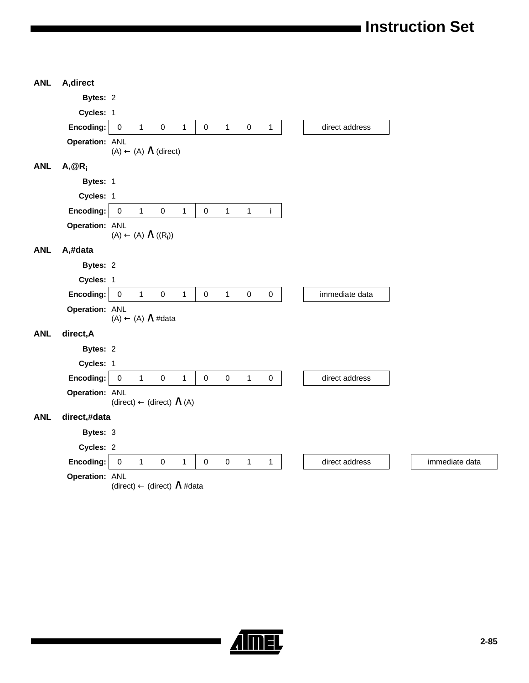| <b>ANL</b> | A, direct      |             |              |                                           |              |                     |              |              |              |
|------------|----------------|-------------|--------------|-------------------------------------------|--------------|---------------------|--------------|--------------|--------------|
|            | Bytes: 2       |             |              |                                           |              |                     |              |              |              |
|            | Cycles: 1      |             |              |                                           |              |                     |              |              |              |
|            | Encoding:      | $\pmb{0}$   | $\mathbf{1}$ | $\pmb{0}$                                 | $\mathbf{1}$ | $\mathsf{O}\xspace$ | $\mathbf{1}$ | $\pmb{0}$    | $\mathbf{1}$ |
|            | Operation: ANL |             |              | $(A) \leftarrow (A) \wedge (direct)$      |              |                     |              |              |              |
| <b>ANL</b> | $A, @R_i$      |             |              |                                           |              |                     |              |              |              |
|            | Bytes: 1       |             |              |                                           |              |                     |              |              |              |
|            | Cycles: 1      |             |              |                                           |              |                     |              |              |              |
|            | Encoding:      | $\pmb{0}$   | $\mathbf{1}$ | $\mathbf 0$                               | $\mathbf{1}$ | $\mathbf 0$         | $\mathbf{1}$ | $\mathbf{1}$ | $\mathbf i$  |
|            | Operation: ANL |             |              | $(A) \leftarrow (A) \wedge ((R_i))$       |              |                     |              |              |              |
| <b>ANL</b> | A,#data        |             |              |                                           |              |                     |              |              |              |
|            | Bytes: 2       |             |              |                                           |              |                     |              |              |              |
|            | Cycles: 1      |             |              |                                           |              |                     |              |              |              |
|            | Encoding:      | $\mathbf 0$ | $\mathbf{1}$ | $\pmb{0}$                                 | $\mathbf{1}$ | $\mathbf 0$         | $\mathbf{1}$ | $\pmb{0}$    | $\pmb{0}$    |
|            | Operation: ANL |             |              | $(A) \leftarrow (A) \wedge #data$         |              |                     |              |              |              |
| <b>ANL</b> | direct, A      |             |              |                                           |              |                     |              |              |              |
|            | Bytes: 2       |             |              |                                           |              |                     |              |              |              |
|            | Cycles: 1      |             |              |                                           |              |                     |              |              |              |
|            | Encoding:      | $\pmb{0}$   | $\mathbf{1}$ | $\mathbf 0$                               | $\mathbf{1}$ | $\pmb{0}$           | $\pmb{0}$    | $\mathbf{1}$ | $\pmb{0}$    |
|            | Operation: ANL |             |              | $(direct) \leftarrow (direct) \wedge (A)$ |              |                     |              |              |              |
| <b>ANL</b> | direct,#data   |             |              |                                           |              |                     |              |              |              |
|            | Bytes: 3       |             |              |                                           |              |                     |              |              |              |
|            | Cycles: 2      |             |              |                                           |              |                     |              |              |              |
|            | Encoding:      | $\pmb{0}$   | $\mathbf{1}$ | $\pmb{0}$                                 | 1            | $\pmb{0}$           | $\pmb{0}$    | $\mathbf{1}$ | $\mathbf{1}$ |
|            | Operation: ANL |             |              | (direct) ← (direct) ∧ #data               |              |                     |              |              |              |

**Almer**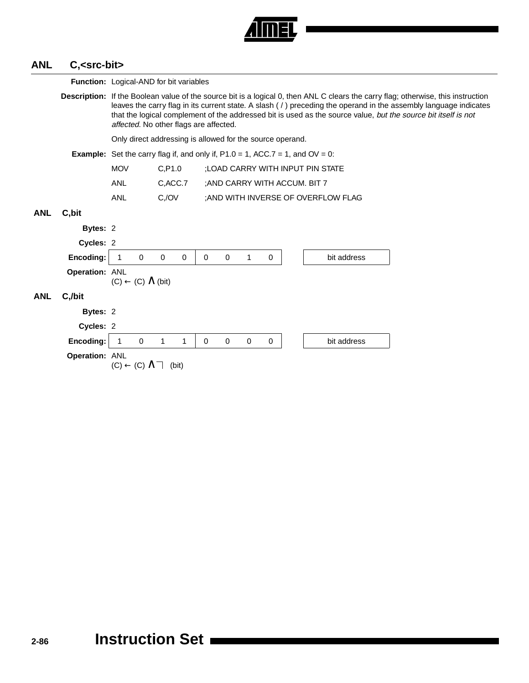

## **ANL C,<src-bit>**

|            |                                                                                         |                                        | <b>Function:</b> Logical-AND for bit variables                                                                                                                                                                                                                                                                                                                                                                           |             |             |             |             |             |             |                                                           |                                     |  |  |  |
|------------|-----------------------------------------------------------------------------------------|----------------------------------------|--------------------------------------------------------------------------------------------------------------------------------------------------------------------------------------------------------------------------------------------------------------------------------------------------------------------------------------------------------------------------------------------------------------------------|-------------|-------------|-------------|-------------|-------------|-------------|-----------------------------------------------------------|-------------------------------------|--|--|--|
|            |                                                                                         |                                        | <b>Description:</b> If the Boolean value of the source bit is a logical 0, then ANL C clears the carry flag; otherwise, this instruction<br>leaves the carry flag in its current state. A slash (/) preceding the operand in the assembly language indicates<br>that the logical complement of the addressed bit is used as the source value, but the source bit itself is not<br>affected. No other flags are affected. |             |             |             |             |             |             |                                                           |                                     |  |  |  |
|            |                                                                                         |                                        |                                                                                                                                                                                                                                                                                                                                                                                                                          |             |             |             |             |             |             | Only direct addressing is allowed for the source operand. |                                     |  |  |  |
|            | <b>Example:</b> Set the carry flag if, and only if, $P1.0 = 1$ , ACC.7 = 1, and OV = 0: |                                        |                                                                                                                                                                                                                                                                                                                                                                                                                          |             |             |             |             |             |             |                                                           |                                     |  |  |  |
|            |                                                                                         | <b>MOV</b>                             |                                                                                                                                                                                                                                                                                                                                                                                                                          | C, P1.0     |             |             |             |             |             |                                                           | :LOAD CARRY WITH INPUT PIN STATE    |  |  |  |
|            |                                                                                         | ANL                                    |                                                                                                                                                                                                                                                                                                                                                                                                                          | C, ACC.7    |             |             |             |             |             |                                                           | ; AND CARRY WITH ACCUM. BIT 7       |  |  |  |
|            |                                                                                         | ANL                                    |                                                                                                                                                                                                                                                                                                                                                                                                                          | $C$ ,/ $OV$ |             |             |             |             |             |                                                           | ; AND WITH INVERSE OF OVERFLOW FLAG |  |  |  |
| <b>ANL</b> | C, bit                                                                                  |                                        |                                                                                                                                                                                                                                                                                                                                                                                                                          |             |             |             |             |             |             |                                                           |                                     |  |  |  |
|            | Bytes: 2                                                                                |                                        |                                                                                                                                                                                                                                                                                                                                                                                                                          |             |             |             |             |             |             |                                                           |                                     |  |  |  |
|            | Cycles: 2                                                                               |                                        |                                                                                                                                                                                                                                                                                                                                                                                                                          |             |             |             |             |             |             |                                                           |                                     |  |  |  |
|            | Encoding:                                                                               |                                        | $\mathbf 0$                                                                                                                                                                                                                                                                                                                                                                                                              | $\mathbf 0$ | $\mathbf 0$ | $\mathbf 0$ | $\mathbf 0$ | 1           | $\mathbf 0$ |                                                           | bit address                         |  |  |  |
|            | Operation: ANL                                                                          | $(C) \leftarrow (C) \wedge (bit)$      |                                                                                                                                                                                                                                                                                                                                                                                                                          |             |             |             |             |             |             |                                                           |                                     |  |  |  |
| <b>ANL</b> | C,/bit                                                                                  |                                        |                                                                                                                                                                                                                                                                                                                                                                                                                          |             |             |             |             |             |             |                                                           |                                     |  |  |  |
|            | Bytes: 2                                                                                |                                        |                                                                                                                                                                                                                                                                                                                                                                                                                          |             |             |             |             |             |             |                                                           |                                     |  |  |  |
|            | Cycles: 2                                                                               |                                        |                                                                                                                                                                                                                                                                                                                                                                                                                          |             |             |             |             |             |             |                                                           |                                     |  |  |  |
|            | Encoding:                                                                               |                                        | $\Omega$                                                                                                                                                                                                                                                                                                                                                                                                                 | 1           | 1           | 0           | $\Omega$    | $\mathbf 0$ | 0           |                                                           | bit address                         |  |  |  |
|            | Operation: ANL                                                                          | $(C) \leftarrow (C) \wedge \top$ (bit) |                                                                                                                                                                                                                                                                                                                                                                                                                          |             |             |             |             |             |             |                                                           |                                     |  |  |  |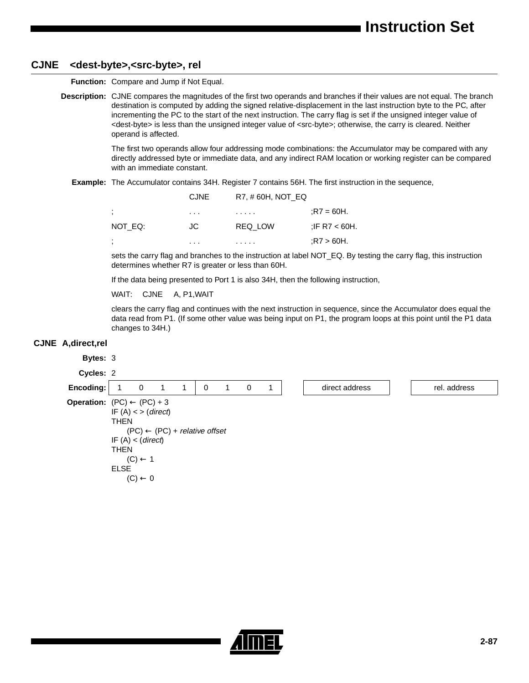#### **CJNE <dest-byte>,<src-byte>, rel**

**Function:** Compare and Jump if Not Equal.

**Description:** CJNE compares the magnitudes of the first two operands and branches if their values are not equal. The branch destination is computed by adding the signed relative-displacement in the last instruction byte to the PC, after incrementing the PC to the start of the next instruction. The carry flag is set if the unsigned integer value of <dest-byte> is less than the unsigned integer value of <src-byte>; otherwise, the carry is cleared. Neither operand is affected.

> The first two operands allow four addressing mode combinations: the Accumulator may be compared with any directly addressed byte or immediate data, and any indirect RAM location or working register can be compared with an immediate constant.

**Example:** The Accumulator contains 34H. Register 7 contains 56H. The first instruction in the sequence,

|         | <b>CJNE</b> | R7, #60H, NOT EQ |               |
|---------|-------------|------------------|---------------|
| ÷       | $\cdots$    | .                | $R7 = 60H$ .  |
| NOT EQ: | JC.         | REQ LOW          | :IF R7 < 60H. |
| ÷       | .           | .                | $R7 > 60H$ .  |

sets the carry flag and branches to the instruction at label NOT\_EQ. By testing the carry flag, this instruction determines whether R7 is greater or less than 60H.

If the data being presented to Port 1 is also 34H, then the following instruction,

WAIT: CJNE A, P1,WAIT

clears the carry flag and continues with the next instruction in sequence, since the Accumulator does equal the data read from P1. (If some other value was being input on P1, the program loops at this point until the P1 data changes to 34H.)

#### **CJNE A,direct,rel**

**Bytes:** 3 **Cycles:** 2 **Encoding:** 1 0 1 1 0 1 0 1 direct address rel. address **Operation:**  $(PC) \leftarrow (PC) + 3$ IF  $(A)$  < > (direct) THEN  $(PC) \leftarrow (PC) +$  relative offset IF  $(A) < (direct)$ THEN  $(C) \leftarrow 1$ ELSE  $(C) \leftarrow 0$ 

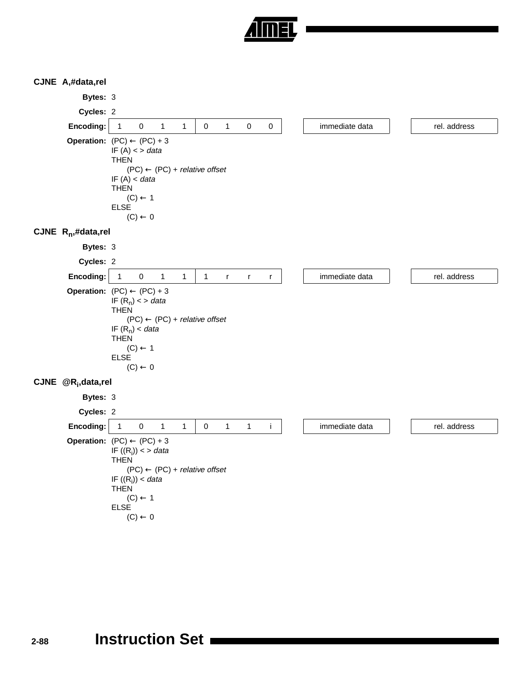

#### **CJNE A,#data,rel**

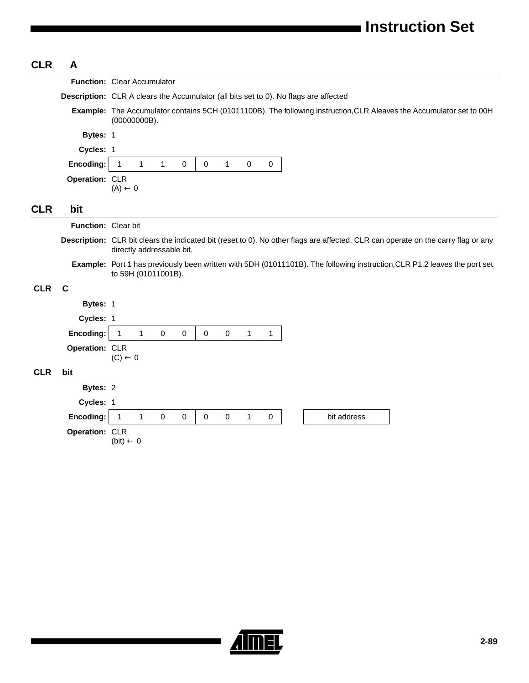| <b>CLR</b> | A                   |                                                                                                                                                                |  |  |  |  |  |  |  |  |
|------------|---------------------|----------------------------------------------------------------------------------------------------------------------------------------------------------------|--|--|--|--|--|--|--|--|
|            |                     | Function: Clear Accumulator                                                                                                                                    |  |  |  |  |  |  |  |  |
|            |                     | <b>Description:</b> CLR A clears the Accumulator (all bits set to 0). No flags are affected                                                                    |  |  |  |  |  |  |  |  |
|            |                     | Example: The Accumulator contains 5CH (01011100B). The following instruction, CLR Aleaves the Accumulator set to 00H<br>(00000000B).                           |  |  |  |  |  |  |  |  |
|            | Bytes: 1            |                                                                                                                                                                |  |  |  |  |  |  |  |  |
|            | Cycles: 1           |                                                                                                                                                                |  |  |  |  |  |  |  |  |
|            | Encoding:           | $\mathbf{1}$<br>$\mathbf 0$<br>$\mathbf{1}$<br>$\mathbf{1}$<br>1<br>0<br>$\pmb{0}$<br>$\pmb{0}$                                                                |  |  |  |  |  |  |  |  |
|            | Operation: CLR      | $(A) \leftarrow 0$                                                                                                                                             |  |  |  |  |  |  |  |  |
| <b>CLR</b> | bit                 |                                                                                                                                                                |  |  |  |  |  |  |  |  |
|            | Function: Clear bit |                                                                                                                                                                |  |  |  |  |  |  |  |  |
|            |                     | Description: CLR bit clears the indicated bit (reset to 0). No other flags are affected. CLR can operate on the carry flag or any<br>directly addressable bit. |  |  |  |  |  |  |  |  |
|            |                     | Example: Port 1 has previously been written with 5DH (01011101B). The following instruction, CLR P1.2 leaves the port set<br>to 59H (01011001B).               |  |  |  |  |  |  |  |  |
| <b>CLR</b> | $\mathbf C$         |                                                                                                                                                                |  |  |  |  |  |  |  |  |
|            | Bytes: 1            |                                                                                                                                                                |  |  |  |  |  |  |  |  |
|            | Cycles: 1           |                                                                                                                                                                |  |  |  |  |  |  |  |  |
|            | Encoding:           | $\mathbf{1}$<br>$\mathbf{1}$<br>0<br>$\mathbf 0$<br>$\mathbf 0$<br>$\mathbf 0$<br>$\mathbf{1}$<br>1                                                            |  |  |  |  |  |  |  |  |
|            | Operation: CLR      | $(C) \leftarrow 0$                                                                                                                                             |  |  |  |  |  |  |  |  |
| <b>CLR</b> | bit                 |                                                                                                                                                                |  |  |  |  |  |  |  |  |
|            | Bytes: 2            |                                                                                                                                                                |  |  |  |  |  |  |  |  |
|            | Cycles: 1           |                                                                                                                                                                |  |  |  |  |  |  |  |  |
|            | Encoding:           | $\mathbf{1}$<br>$\mathbf{1}$<br>$\pmb{0}$<br>$\mathsf{O}\xspace$<br>$\mathsf 0$<br>bit address<br>0<br>$\mathbf{1}$<br>0                                       |  |  |  |  |  |  |  |  |
|            | Operation: CLR      | $(bit) \leftarrow 0$                                                                                                                                           |  |  |  |  |  |  |  |  |

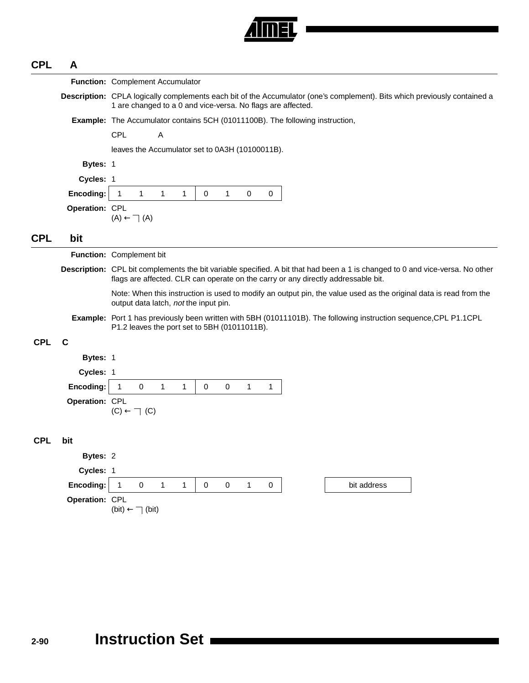

# **CPL A**

|            |                | <b>Function: Complement Accumulator</b>                                                                                                                                                                            |
|------------|----------------|--------------------------------------------------------------------------------------------------------------------------------------------------------------------------------------------------------------------|
|            |                | Description: CPLA logically complements each bit of the Accumulator (one's complement). Bits which previously contained a<br>1 are changed to a 0 and vice-versa. No flags are affected.                           |
|            |                | Example: The Accumulator contains 5CH (01011100B). The following instruction,                                                                                                                                      |
|            |                | <b>CPL</b><br>A                                                                                                                                                                                                    |
|            |                | leaves the Accumulator set to 0A3H (10100011B).                                                                                                                                                                    |
|            | Bytes: 1       |                                                                                                                                                                                                                    |
|            | Cycles: 1      |                                                                                                                                                                                                                    |
|            | Encoding:      | $\mathbf{1}$<br>$\mathbf{1}$<br>0<br>0<br>$\mathbf{1}$<br>1<br>1<br>0                                                                                                                                              |
|            | Operation: CPL | $(A) \leftarrow \neg(A)$                                                                                                                                                                                           |
| <b>CPL</b> | bit            |                                                                                                                                                                                                                    |
|            |                | Function: Complement bit                                                                                                                                                                                           |
|            |                | Description: CPL bit complements the bit variable specified. A bit that had been a 1 is changed to 0 and vice-versa. No other<br>flags are affected. CLR can operate on the carry or any directly addressable bit. |
|            |                | Note: When this instruction is used to modify an output pin, the value used as the original data is read from the<br>output data latch, not the input pin.                                                         |
|            |                | Example: Port 1 has previously been written with 5BH (01011101B). The following instruction sequence, CPL P1.1CPL<br>P1.2 leaves the port set to 5BH (01011011B).                                                  |
| <b>CPL</b> | С              |                                                                                                                                                                                                                    |
|            | Bytes: 1       |                                                                                                                                                                                                                    |
|            | Cycles: 1      |                                                                                                                                                                                                                    |
|            | Encoding:      | $\mathbf 0$<br>$\mathbf 0$<br>$\mathbf{1}$<br>1<br>1<br>0<br>1<br>1                                                                                                                                                |
|            | Operation: CPL | $(C) \leftarrow \top (C)$                                                                                                                                                                                          |
| <b>CPL</b> | bit            |                                                                                                                                                                                                                    |
|            | Bytes: 2       |                                                                                                                                                                                                                    |
|            | Cycles: 1      |                                                                                                                                                                                                                    |
|            | Encoding:      | 1<br>0<br>1<br>1<br>0<br>0<br>1<br>0<br>bit address                                                                                                                                                                |
|            | Operation: CPL | $(bit) \leftarrow \top (bit)$                                                                                                                                                                                      |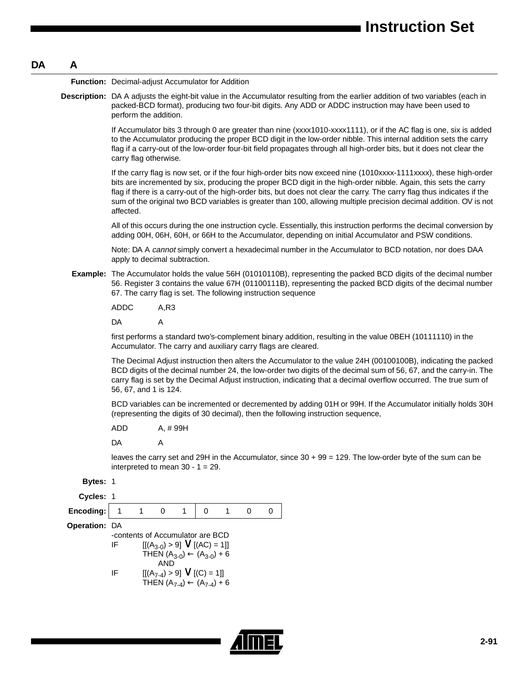#### **DA A**

**Function:** Decimal-adjust Accumulator for Addition **Description:** DA A adjusts the eight-bit value in the Accumulator resulting from the earlier addition of two variables (each in packed-BCD format), producing two four-bit digits. Any ADD or ADDC instruction may have been used to perform the addition. If Accumulator bits 3 through 0 are greater than nine (xxxx1010-xxxx1111), or if the AC flag is one, six is added to the Accumulator producing the proper BCD digit in the low-order nibble. This internal addition sets the carry flag if a carry-out of the low-order four-bit field propagates through all high-order bits, but it does not clear the carry flag otherwise. If the carry flag is now set, or if the four high-order bits now exceed nine (1010xxxx-1111xxxx), these high-order bits are incremented by six, producing the proper BCD digit in the high-order nibble. Again, this sets the carry flag if there is a carry-out of the high-order bits, but does not clear the carry. The carry flag thus indicates if the sum of the original two BCD variables is greater than 100, allowing multiple precision decimal addition. OV is not affected. All of this occurs during the one instruction cycle. Essentially, this instruction performs the decimal conversion by adding 00H, 06H, 60H, or 66H to the Accumulator, depending on initial Accumulator and PSW conditions. Note: DA A cannot simply convert a hexadecimal number in the Accumulator to BCD notation, nor does DAA apply to decimal subtraction. **Example:** The Accumulator holds the value 56H (01010110B), representing the packed BCD digits of the decimal number 56. Register 3 contains the value 67H (01100111B), representing the packed BCD digits of the decimal number 67. The carry flag is set. The following instruction sequence ADDC A,R3 DA A first performs a standard two's-complement binary addition, resulting in the value 0BEH (10111110) in the Accumulator. The carry and auxiliary carry flags are cleared. The Decimal Adjust instruction then alters the Accumulator to the value 24H (00100100B), indicating the packed BCD digits of the decimal number 24, the low-order two digits of the decimal sum of 56, 67, and the carry-in. The carry flag is set by the Decimal Adjust instruction, indicating that a decimal overflow occurred. The true sum of 56, 67, and 1 is 124. BCD variables can be incremented or decremented by adding 01H or 99H. If the Accumulator initially holds 30H (representing the digits of 30 decimal), then the following instruction sequence, ADD A, # 99H

DA A

leaves the carry set and 29H in the Accumulator, since 30 + 99 = 129. The low-order byte of the sum can be interpreted to mean  $30 - 1 = 29$ .

| <b>Bytes: 1</b>      |  |     |                                                                                                                                                                                                  |  |
|----------------------|--|-----|--------------------------------------------------------------------------------------------------------------------------------------------------------------------------------------------------|--|
| Cycles: 1            |  |     |                                                                                                                                                                                                  |  |
| Encoding:            |  |     |                                                                                                                                                                                                  |  |
| <b>Operation: DA</b> |  |     |                                                                                                                                                                                                  |  |
|                      |  |     |                                                                                                                                                                                                  |  |
| ΙF                   |  |     |                                                                                                                                                                                                  |  |
|                      |  |     |                                                                                                                                                                                                  |  |
|                      |  |     |                                                                                                                                                                                                  |  |
| ΙF                   |  |     |                                                                                                                                                                                                  |  |
|                      |  |     |                                                                                                                                                                                                  |  |
|                      |  | AND | -contents of Accumulator are BCD<br>$[[(A_{3-0}) > 9] \vee [(AC) = 1]]$<br>THEN $(A_{3-0}) \leftarrow (A_{3-0}) + 6$<br>$[[(A_{7-4}) > 9] \vee [(C) = 1]]$<br>THEN $(A_{7-4})$ ← $(A_{7-4})$ + 6 |  |

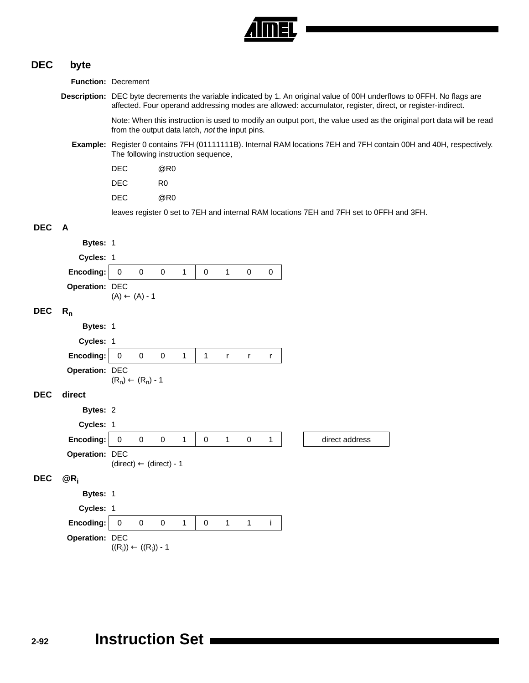

# **DEC byte Function:** Decrement

**Description:** DEC byte decrements the variable indicated by 1. An original value of 00H underflows to 0FFH. No flags are affected. Four operand addressing modes are allowed: accumulator, register, direct, or register-indirect. Note: When this instruction is used to modify an output port, the value used as the original port data will be read from the output data latch, not the input pins. **Example:** Register 0 contains 7FH (01111111B). Internal RAM locations 7EH and 7FH contain 00H and 40H, respectively. The following instruction sequence, DEC @R0 DEC R0 DEC @R0 leaves register 0 set to 7EH and internal RAM locations 7EH and 7FH set to 0FFH and 3FH. **DEC A Bytes:** 1 **Cycles:** 1 **Encoding:** 0 0 0 1 0 1 0 0 **Operation:** DEC  $(A) \leftarrow (A) - 1$ DEC R<sub>n</sub> **Bytes:** 1 **Cycles:** 1 **Encoding:** 0 0 0 1 1 r r r **Operation:** DEC  $(R_n) \leftarrow (R_n) - 1$ **DEC direct Bytes:** 2 **Cycles:** 1 **Encoding:** 0 0 0 0 1 0 1 0 1 direct address **Operation:** DEC  $(direct) \leftarrow (direct) - 1$ **DEC @Ri Bytes:** 1 **Cycles:** 1 **Encoding:** 0 0 0 1 0 1 1 i **Operation:** DEC

 $((\mathsf{R_i})) \leftarrow ((\mathsf{R_i}))$  - 1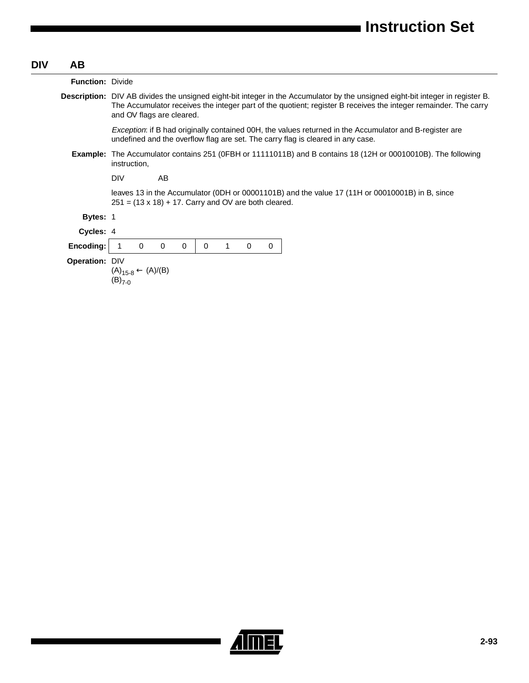| <b>DIV</b> | AB.                     |                                                                                                                                                                                                                                                                                       |
|------------|-------------------------|---------------------------------------------------------------------------------------------------------------------------------------------------------------------------------------------------------------------------------------------------------------------------------------|
|            | <b>Function: Divide</b> |                                                                                                                                                                                                                                                                                       |
|            |                         | <b>Description:</b> DIV AB divides the unsigned eight-bit integer in the Accumulator by the unsigned eight-bit integer in register B.<br>The Accumulator receives the integer part of the quotient; register B receives the integer remainder. The carry<br>and OV flags are cleared. |
|            |                         | <i>Exception:</i> if B had originally contained 00H, the values returned in the Accumulator and B-register are<br>undefined and the overflow flag are set. The carry flag is cleared in any case.                                                                                     |
|            |                         | <b>Example:</b> The Accumulator contains 251 (OFBH or 11111011B) and B contains 18 (12H or 00010010B). The following<br>instruction,                                                                                                                                                  |
|            |                         | <b>DIV</b><br>AB                                                                                                                                                                                                                                                                      |
|            |                         | leaves 13 in the Accumulator (ODH or 00001101B) and the value 17 (11H or 00010001B) in B, since<br>$251 = (13 \times 18) + 17$ . Carry and OV are both cleared.                                                                                                                       |
|            | <b>Bytes: 1</b>         |                                                                                                                                                                                                                                                                                       |
|            | Cycles: 4               |                                                                                                                                                                                                                                                                                       |
|            | Encoding:               | $\Omega$<br>$\mathbf 0$<br>0<br>0<br>$\Omega$<br>0                                                                                                                                                                                                                                    |
|            | Operation: DIV          | $(A)_{15-8} \leftarrow (A)/(B)$<br>$(B)_{7-0}$                                                                                                                                                                                                                                        |

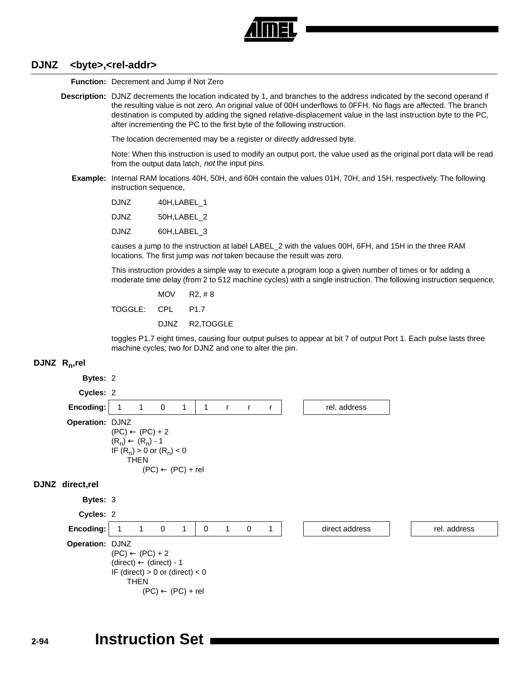

#### **DJNZ <byte>,<rel-addr>**

**Function:** Decrement and Jump if Not Zero

**Description:** DJNZ decrements the location indicated by 1, and branches to the address indicated by the second operand if the resulting value is not zero. An original value of 00H underflows to 0FFH. No flags are affected. The branch destination is computed by adding the signed relative-displacement value in the last instruction byte to the PC, after incrementing the PC to the first byte of the following instruction.

The location decremented may be a register or directly addressed byte.

Note: When this instruction is used to modify an output port, the value used as the original port data will be read from the output data latch, not the input pins.

**Example:** Internal RAM locations 40H, 50H, and 60H contain the values 01H, 70H, and 15H, respectively. The following instruction sequence,

| DJNZ | 40H, LABEL 1 |  |
|------|--------------|--|
|------|--------------|--|

- DJNZ 50H,LABEL\_2
- DJNZ 60H,LABEL\_3

causes a jump to the instruction at label LABEL\_2 with the values 00H, 6FH, and 15H in the three RAM locations. The first jump was not taken because the result was zero.

This instruction provides a simple way to execute a program loop a given number of times or for adding a moderate time delay (from 2 to 512 machine cycles) with a single instruction. The following instruction sequence,

MOV R2, # 8 TOGGLE: CPL P1.7 DJNZ R2,TOGGLE

toggles P1.7 eight times, causing four output pulses to appear at bit 7 of output Port 1. Each pulse lasts three machine cycles; two for DJNZ and one to alter the pin.

#### **DJNZ Rn,rel**

## **Bytes:** 2 **Cycles:** 2 **Encoding:** 1 1 0 1 1 r r r r r rel. address **Operation:** DJNZ  $(PC) \leftarrow (PC) + 2$  $(R_n) \leftarrow (R_n) - 1$ IF  $(R_n) > 0$  or  $(R_n) < 0$ THEN  $(PC) \leftarrow (PC) + rel$ **DJNZ direct,rel Bytes:** 3 **Cycles:** 2 **Encoding:** 1 1 0 1 0 1 0 1 direct address in the rel. address **Operation:** DJNZ  $(PC) \leftarrow (PC) + 2$  $(direct) \leftarrow (direct) - 1$ IF (direct)  $> 0$  or (direct)  $< 0$ THEN  $(PC) \leftarrow (PC) + rel$

# **2-94 Instruction Set**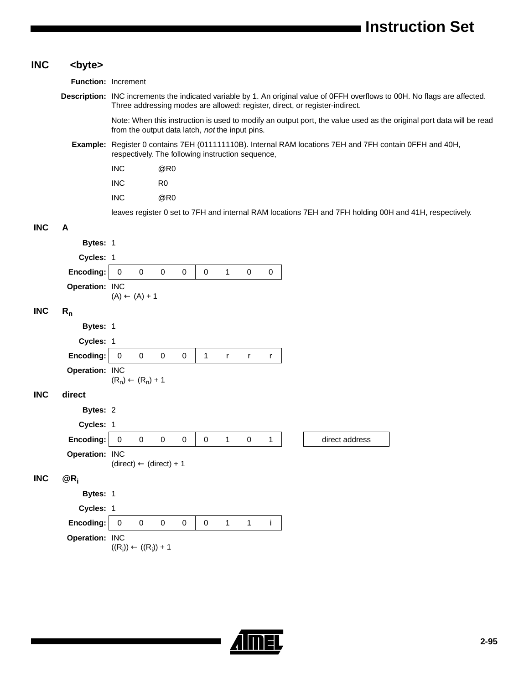| <b>INC</b> | <byte></byte>       |                                                                                                                                                                                                            |
|------------|---------------------|------------------------------------------------------------------------------------------------------------------------------------------------------------------------------------------------------------|
|            | Function: Increment |                                                                                                                                                                                                            |
|            |                     | Description: INC increments the indicated variable by 1. An original value of OFFH overflows to 00H. No flags are affected.<br>Three addressing modes are allowed: register, direct, or register-indirect. |
|            |                     | Note: When this instruction is used to modify an output port, the value used as the original port data will be read<br>from the output data latch, not the input pins.                                     |
|            |                     | Example: Register 0 contains 7EH (011111110B). Internal RAM locations 7EH and 7FH contain 0FFH and 40H,<br>respectively. The following instruction sequence,                                               |
|            |                     | <b>INC</b><br>@R0                                                                                                                                                                                          |
|            |                     | <b>INC</b><br>R <sub>0</sub>                                                                                                                                                                               |
|            |                     | @R0<br><b>INC</b>                                                                                                                                                                                          |
|            |                     | leaves register 0 set to 7FH and internal RAM locations 7EH and 7FH holding 00H and 41H, respectively.                                                                                                     |
| <b>INC</b> | A                   |                                                                                                                                                                                                            |
|            | Bytes: 1            |                                                                                                                                                                                                            |
|            | Cycles: 1           |                                                                                                                                                                                                            |
|            | Encoding:           | $\mathsf{O}\xspace$<br>$\pmb{0}$<br>$\pmb{0}$<br>$\mathbf 0$<br>$\pmb{0}$<br>0<br>$\mathbf{1}$<br>$\pmb{0}$                                                                                                |
|            | Operation: INC      | $(A) \leftarrow (A) + 1$                                                                                                                                                                                   |
| <b>INC</b> | $R_{n}$             |                                                                                                                                                                                                            |
|            | Bytes: 1            |                                                                                                                                                                                                            |
|            | Cycles: 1           |                                                                                                                                                                                                            |
|            | Encoding:           | $\mathbf 0$<br>0<br>0<br>0<br>1<br>r<br>r<br>r                                                                                                                                                             |
|            | Operation: INC      | $(R_n) \leftarrow (R_n) + 1$                                                                                                                                                                               |
| <b>INC</b> | direct              |                                                                                                                                                                                                            |
|            | Bytes: 2            |                                                                                                                                                                                                            |
|            | Cycles: 1           |                                                                                                                                                                                                            |
|            | Encoding:           | $\overline{\mathbf{0}}$<br>0<br>0<br>0<br>0<br>0<br>direct address<br>1<br>1                                                                                                                               |
|            | Operation: INC      | $(direct) \leftarrow (direct) + 1$                                                                                                                                                                         |
| <b>INC</b> | $@R_i$              |                                                                                                                                                                                                            |
|            | Bytes: 1            |                                                                                                                                                                                                            |
|            | Cycles: 1           |                                                                                                                                                                                                            |
|            | Encoding:           | $\pmb{0}$<br>$\mathbf 0$<br>$\pmb{0}$<br>$\pmb{0}$<br>$\pmb{0}$<br>$\mathbf{1}$<br>$\mathbf{1}$<br>j.                                                                                                      |
|            | Operation: INC      |                                                                                                                                                                                                            |
|            |                     | $((R_i)) \leftarrow ((R_i)) + 1$                                                                                                                                                                           |
|            |                     |                                                                                                                                                                                                            |

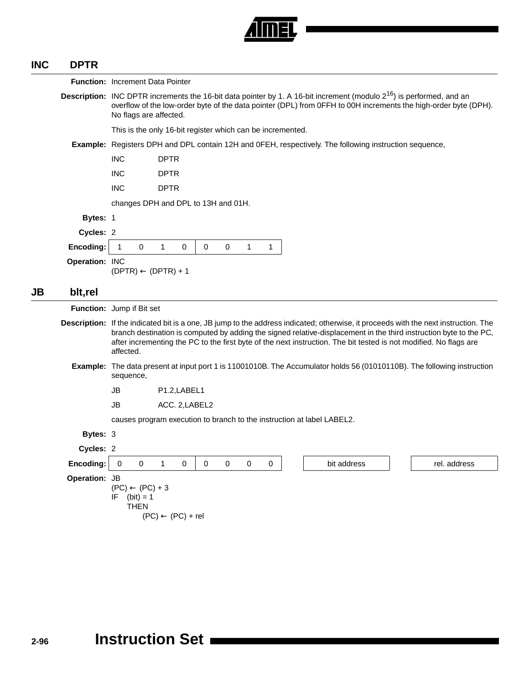

#### **INC DPTR**

|           | Function: Increment Data Pointer |                           |                                                                                                                                                                                                                                                                               |                                       |   |             |             |   |  |                                                                        |             |  |                                                                                                                                                                                                                                                                                                                                                                                |
|-----------|----------------------------------|---------------------------|-------------------------------------------------------------------------------------------------------------------------------------------------------------------------------------------------------------------------------------------------------------------------------|---------------------------------------|---|-------------|-------------|---|--|------------------------------------------------------------------------|-------------|--|--------------------------------------------------------------------------------------------------------------------------------------------------------------------------------------------------------------------------------------------------------------------------------------------------------------------------------------------------------------------------------|
|           |                                  |                           | <b>Description:</b> INC DPTR increments the 16-bit data pointer by 1. A 16-bit increment (modulo $2^{16}$ ) is performed, and an<br>overflow of the low-order byte of the data pointer (DPL) from 0FFH to 00H increments the high-order byte (DPH).<br>No flags are affected. |                                       |   |             |             |   |  |                                                                        |             |  |                                                                                                                                                                                                                                                                                                                                                                                |
|           |                                  |                           | This is the only 16-bit register which can be incremented.                                                                                                                                                                                                                    |                                       |   |             |             |   |  |                                                                        |             |  |                                                                                                                                                                                                                                                                                                                                                                                |
|           |                                  |                           | <b>Example:</b> Registers DPH and DPL contain 12H and OFEH, respectively. The following instruction sequence,                                                                                                                                                                 |                                       |   |             |             |   |  |                                                                        |             |  |                                                                                                                                                                                                                                                                                                                                                                                |
|           |                                  | <b>INC</b>                | <b>DPTR</b>                                                                                                                                                                                                                                                                   |                                       |   |             |             |   |  |                                                                        |             |  |                                                                                                                                                                                                                                                                                                                                                                                |
|           |                                  | <b>INC</b>                | <b>DPTR</b>                                                                                                                                                                                                                                                                   |                                       |   |             |             |   |  |                                                                        |             |  |                                                                                                                                                                                                                                                                                                                                                                                |
|           |                                  | <b>INC</b>                | <b>DPTR</b>                                                                                                                                                                                                                                                                   |                                       |   |             |             |   |  |                                                                        |             |  |                                                                                                                                                                                                                                                                                                                                                                                |
|           |                                  |                           | changes DPH and DPL to 13H and 01H.                                                                                                                                                                                                                                           |                                       |   |             |             |   |  |                                                                        |             |  |                                                                                                                                                                                                                                                                                                                                                                                |
|           | Bytes: 1                         |                           |                                                                                                                                                                                                                                                                               |                                       |   |             |             |   |  |                                                                        |             |  |                                                                                                                                                                                                                                                                                                                                                                                |
|           | Cycles: 2                        |                           |                                                                                                                                                                                                                                                                               |                                       |   |             |             |   |  |                                                                        |             |  |                                                                                                                                                                                                                                                                                                                                                                                |
|           | Encoding:                        | $\mathbf{1}$              | 0<br>$\mathbf{1}$                                                                                                                                                                                                                                                             | 0                                     | 0 | $\mathbf 0$ | 1           | 1 |  |                                                                        |             |  |                                                                                                                                                                                                                                                                                                                                                                                |
|           | Operation: INC                   |                           | $(DPTR) \leftarrow (DPTR) + 1$                                                                                                                                                                                                                                                |                                       |   |             |             |   |  |                                                                        |             |  |                                                                                                                                                                                                                                                                                                                                                                                |
| <b>JB</b> | blt,rel                          |                           |                                                                                                                                                                                                                                                                               |                                       |   |             |             |   |  |                                                                        |             |  |                                                                                                                                                                                                                                                                                                                                                                                |
|           | Function: Jump if Bit set        |                           |                                                                                                                                                                                                                                                                               |                                       |   |             |             |   |  |                                                                        |             |  |                                                                                                                                                                                                                                                                                                                                                                                |
|           |                                  | affected.                 |                                                                                                                                                                                                                                                                               |                                       |   |             |             |   |  |                                                                        |             |  | Description: If the indicated bit is a one, JB jump to the address indicated; otherwise, it proceeds with the next instruction. The<br>branch destination is computed by adding the signed relative-displacement in the third instruction byte to the PC,<br>after incrementing the PC to the first byte of the next instruction. The bit tested is not modified. No flags are |
|           |                                  | sequence,                 |                                                                                                                                                                                                                                                                               |                                       |   |             |             |   |  |                                                                        |             |  | <b>Example:</b> The data present at input port 1 is 11001010B. The Accumulator holds 56 (01010110B). The following instruction                                                                                                                                                                                                                                                 |
|           |                                  | JB                        |                                                                                                                                                                                                                                                                               | P <sub>1.2</sub> , LABEL <sub>1</sub> |   |             |             |   |  |                                                                        |             |  |                                                                                                                                                                                                                                                                                                                                                                                |
|           |                                  | JB                        |                                                                                                                                                                                                                                                                               | ACC. 2, LABEL2                        |   |             |             |   |  |                                                                        |             |  |                                                                                                                                                                                                                                                                                                                                                                                |
|           |                                  |                           |                                                                                                                                                                                                                                                                               |                                       |   |             |             |   |  | causes program execution to branch to the instruction at label LABEL2. |             |  |                                                                                                                                                                                                                                                                                                                                                                                |
|           | Bytes: 3                         |                           |                                                                                                                                                                                                                                                                               |                                       |   |             |             |   |  |                                                                        |             |  |                                                                                                                                                                                                                                                                                                                                                                                |
|           | Cycles: 2                        |                           |                                                                                                                                                                                                                                                                               |                                       |   |             |             |   |  |                                                                        |             |  |                                                                                                                                                                                                                                                                                                                                                                                |
|           | Encoding:                        | $\mathbf 0$               | 0<br>$\mathbf{1}$                                                                                                                                                                                                                                                             | $\mathbf 0$                           | 0 | $\mathbf 0$ | $\mathbf 0$ | 0 |  |                                                                        | bit address |  | rel. address                                                                                                                                                                                                                                                                                                                                                                   |
|           | Operation: JB                    | IF<br>$(bit) = 1$<br>THEN | $(PC) \leftarrow (PC) + 3$<br>$(PC) \leftarrow (PC) + rel$                                                                                                                                                                                                                    |                                       |   |             |             |   |  |                                                                        |             |  |                                                                                                                                                                                                                                                                                                                                                                                |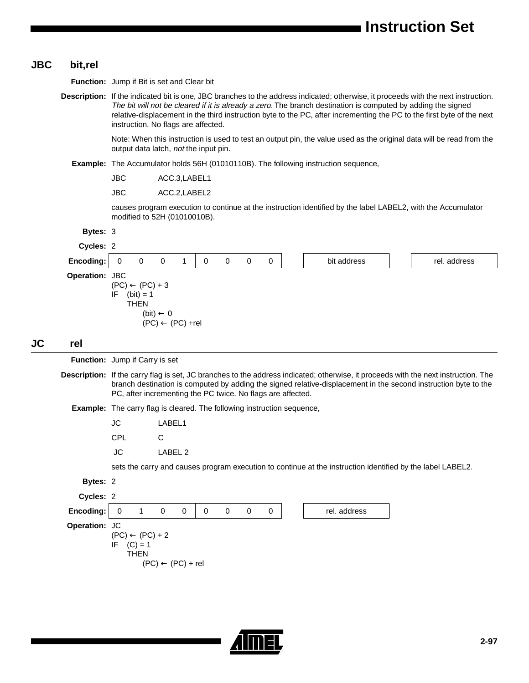#### **JBC bit,rel**

**JC rel Function:** Jump if Bit is set and Clear bit **Description:** If the indicated bit is one, JBC branches to the address indicated; otherwise, it proceeds with the next instruction. The bit will not be cleared if it is already a zero. The branch destination is computed by adding the signed relative-displacement in the third instruction byte to the PC, after incrementing the PC to the first byte of the next instruction. No flags are affected. Note: When this instruction is used to test an output pin, the value used as the original data will be read from the output data latch, not the input pin. **Example:** The Accumulator holds 56H (01010110B). The following instruction sequence, JBC ACC.3,LABEL1 JBC ACC.2,LABEL2 causes program execution to continue at the instruction identified by the label LABEL2, with the Accumulator modified to 52H (01010010B). **Bytes:** 3 **Cycles:** 2 **Encoding:** 0 0 0 0 1 | 0 0 0 0 0 | bit address in the rel. address **Operation:** JBC  $(PC) \leftarrow (PC) + 3$ IF  $(bit) = 1$ **THEN**  $(bit) \leftarrow 0$  $(PC) \leftarrow (PC) + rel$ **Function:** Jump if Carry is set **Description:** If the carry flag is set, JC branches to the address indicated; otherwise, it proceeds with the next instruction. The branch destination is computed by adding the signed relative-displacement in the second instruction byte to the PC, after incrementing the PC twice. No flags are affected. **Example:** The carry flag is cleared. The following instruction sequence, JC LABEL1 CPL C JC LABEL 2 sets the carry and causes program execution to continue at the instruction identified by the label LABEL2. **Bytes:** 2 **Cycles:** 2 **Encoding:**  $\begin{array}{ccccccc} 0 & 1 & 0 & 0 & 0 & 0 & 0 & 0 & 0 \end{array}$  rel. address **Operation:** JC  $(PC) \leftarrow (PC) + 2$ IF  $(C) = 1$ **THEN**  $(PC) \leftarrow (PC) + rel$ 

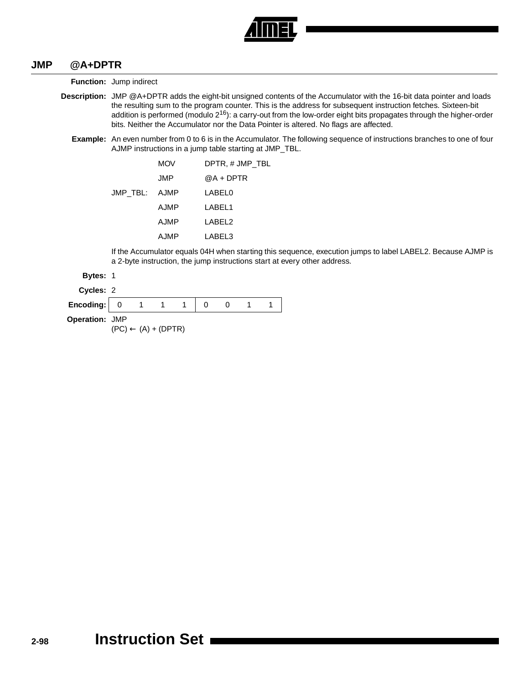

#### **JMP @A+DPTR**

**Function:** Jump indirect

- **Description:** JMP @A+DPTR adds the eight-bit unsigned contents of the Accumulator with the 16-bit data pointer and loads the resulting sum to the program counter. This is the address for subsequent instruction fetches. Sixteen-bit addition is performed (modulo  $2^{16}$ ): a carry-out from the low-order eight bits propagates through the higher-order bits. Neither the Accumulator nor the Data Pointer is altered. No flags are affected.
	- **Example:** An even number from 0 to 6 is in the Accumulator. The following sequence of instructions branches to one of four AJMP instructions in a jump table starting at JMP\_TBL.

|               | <b>MOV</b> | DPTR, # JMP TBL |
|---------------|------------|-----------------|
|               | JMP        | @A + DPTR       |
| JMP_TBL: AJMP |            | LABEL0          |
|               | AJMP       | LABEL1          |
|               | AJMP       | LABEL2          |
|               | AJMP       | LABEL3          |

If the Accumulator equals 04H when starting this sequence, execution jumps to label LABEL2. Because AJMP is a 2-byte instruction, the jump instructions start at every other address.

#### **Bytes:** 1

| <b>Cvcles:</b> |  |
|----------------|--|
|                |  |

| Encoding: 0           |  |  |  |  |
|-----------------------|--|--|--|--|
| <b>Operation: JMP</b> |  |  |  |  |

 $(PC) \leftarrow (A) + (DPTR)$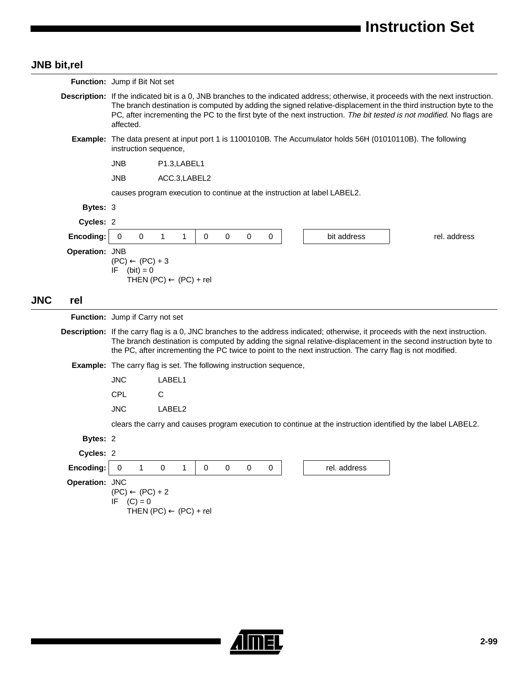## **JNB bit,rel**

**JNC rel**

|                 | <b>Function:</b> Jump if Bit Not set                                                                                                                                                                                                                                                                                                                                                                  |  |  |  |  |  |  |  |
|-----------------|-------------------------------------------------------------------------------------------------------------------------------------------------------------------------------------------------------------------------------------------------------------------------------------------------------------------------------------------------------------------------------------------------------|--|--|--|--|--|--|--|
|                 | <b>Description:</b> If the indicated bit is a 0, JNB branches to the indicated address; otherwise, it proceeds with the next instruction.<br>The branch destination is computed by adding the signed relative-displacement in the third instruction byte to the<br>PC, after incrementing the PC to the first byte of the next instruction. The bit tested is not modified. No flags are<br>affected. |  |  |  |  |  |  |  |
|                 | Example: The data present at input port 1 is 11001010B. The Accumulator holds 56H (01010110B). The following<br>instruction sequence,                                                                                                                                                                                                                                                                 |  |  |  |  |  |  |  |
|                 | <b>JNB</b><br>P1.3, LABEL1                                                                                                                                                                                                                                                                                                                                                                            |  |  |  |  |  |  |  |
|                 | <b>JNB</b><br>ACC.3,LABEL2                                                                                                                                                                                                                                                                                                                                                                            |  |  |  |  |  |  |  |
|                 | causes program execution to continue at the instruction at label LABEL2.                                                                                                                                                                                                                                                                                                                              |  |  |  |  |  |  |  |
| <b>Bytes: 3</b> |                                                                                                                                                                                                                                                                                                                                                                                                       |  |  |  |  |  |  |  |
| Cycles: 2       |                                                                                                                                                                                                                                                                                                                                                                                                       |  |  |  |  |  |  |  |
| Encoding:       | $\mathbf{1}$<br>$\Omega$<br>0<br>0<br>0<br>1<br>0<br>0<br>bit address<br>rel. address                                                                                                                                                                                                                                                                                                                 |  |  |  |  |  |  |  |
| Operation: JNB  | $(PC) \leftarrow (PC) + 3$<br>$(bit) = 0$<br>IF<br>THEN $(PC) \leftarrow (PC) + rel$                                                                                                                                                                                                                                                                                                                  |  |  |  |  |  |  |  |
| rel             |                                                                                                                                                                                                                                                                                                                                                                                                       |  |  |  |  |  |  |  |
|                 | Function: Jump if Carry not set                                                                                                                                                                                                                                                                                                                                                                       |  |  |  |  |  |  |  |
|                 | Description: If the carry flag is a 0, JNC branches to the address indicated; otherwise, it proceeds with the next instruction.<br>The branch destination is computed by adding the signal relative-displacement in the second instruction byte to<br>the PC, after incrementing the PC twice to point to the next instruction. The carry flag is not modified.                                       |  |  |  |  |  |  |  |
|                 | <b>Example:</b> The carry flag is set. The following instruction sequence,                                                                                                                                                                                                                                                                                                                            |  |  |  |  |  |  |  |
|                 | <b>JNC</b><br>LABEL1                                                                                                                                                                                                                                                                                                                                                                                  |  |  |  |  |  |  |  |
|                 | <b>CPL</b><br>C                                                                                                                                                                                                                                                                                                                                                                                       |  |  |  |  |  |  |  |
|                 | <b>JNC</b><br>LABEL2                                                                                                                                                                                                                                                                                                                                                                                  |  |  |  |  |  |  |  |
|                 | clears the carry and causes program execution to continue at the instruction identified by the label LABEL2.                                                                                                                                                                                                                                                                                          |  |  |  |  |  |  |  |
| Bytes: 2        |                                                                                                                                                                                                                                                                                                                                                                                                       |  |  |  |  |  |  |  |
| Cycles: 2       |                                                                                                                                                                                                                                                                                                                                                                                                       |  |  |  |  |  |  |  |
| Encoding:       | $\mathbf{1}$<br>0<br>0<br>0<br>0<br>0<br>1<br>0<br>rel. address                                                                                                                                                                                                                                                                                                                                       |  |  |  |  |  |  |  |
| Operation: JNC  | $(PC) \leftarrow (PC) + 2$<br>$(C) = 0$<br>ΙF<br>THEN $(PC) \leftarrow (PC) + rel$                                                                                                                                                                                                                                                                                                                    |  |  |  |  |  |  |  |

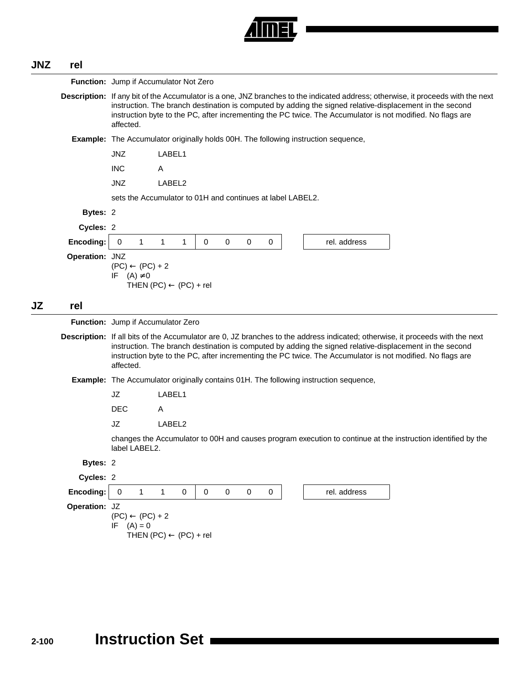

## **JNZ rel**

|    |                | Function: Jump if Accumulator Not Zero                                                                                                                                                                                                                                                                                                                                      |                                                                                                              |  |  |  |  |  |  |
|----|----------------|-----------------------------------------------------------------------------------------------------------------------------------------------------------------------------------------------------------------------------------------------------------------------------------------------------------------------------------------------------------------------------|--------------------------------------------------------------------------------------------------------------|--|--|--|--|--|--|
|    |                | Description: If any bit of the Accumulator is a one, JNZ branches to the indicated address; otherwise, it proceeds with the next<br>instruction. The branch destination is computed by adding the signed relative-displacement in the second<br>instruction byte to the PC, after incrementing the PC twice. The Accumulator is not modified. No flags are<br>affected.     |                                                                                                              |  |  |  |  |  |  |
|    |                | <b>Example:</b> The Accumulator originally holds 00H. The following instruction sequence,                                                                                                                                                                                                                                                                                   |                                                                                                              |  |  |  |  |  |  |
|    |                | <b>JNZ</b><br>LABEL1                                                                                                                                                                                                                                                                                                                                                        |                                                                                                              |  |  |  |  |  |  |
|    |                | <b>INC</b><br>Α                                                                                                                                                                                                                                                                                                                                                             |                                                                                                              |  |  |  |  |  |  |
|    |                | <b>JNZ</b><br>LABEL2                                                                                                                                                                                                                                                                                                                                                        |                                                                                                              |  |  |  |  |  |  |
|    |                | sets the Accumulator to 01H and continues at label LABEL2.                                                                                                                                                                                                                                                                                                                  |                                                                                                              |  |  |  |  |  |  |
|    | Bytes: 2       |                                                                                                                                                                                                                                                                                                                                                                             |                                                                                                              |  |  |  |  |  |  |
|    | Cycles: 2      |                                                                                                                                                                                                                                                                                                                                                                             |                                                                                                              |  |  |  |  |  |  |
|    | Encoding:      | $\mathbf{1}$<br>$\mathbf{1}$<br>$\mathbf{1}$<br>0<br>$\mathbf 0$<br>$\mathbf 0$<br>0                                                                                                                                                                                                                                                                                        | rel. address<br>0                                                                                            |  |  |  |  |  |  |
|    | Operation: JNZ | $(PC) \leftarrow (PC) + 2$<br>IF<br>$(A) \neq 0$<br>THEN $(PC) \leftarrow (PC) + rel$                                                                                                                                                                                                                                                                                       |                                                                                                              |  |  |  |  |  |  |
| JZ | rel            |                                                                                                                                                                                                                                                                                                                                                                             |                                                                                                              |  |  |  |  |  |  |
|    |                | Function: Jump if Accumulator Zero                                                                                                                                                                                                                                                                                                                                          |                                                                                                              |  |  |  |  |  |  |
|    |                | <b>Description:</b> If all bits of the Accumulator are 0, JZ branches to the address indicated; otherwise, it proceeds with the next<br>instruction. The branch destination is computed by adding the signed relative-displacement in the second<br>instruction byte to the PC, after incrementing the PC twice. The Accumulator is not modified. No flags are<br>affected. |                                                                                                              |  |  |  |  |  |  |
|    |                | <b>Example:</b> The Accumulator originally contains 01H. The following instruction sequence,                                                                                                                                                                                                                                                                                |                                                                                                              |  |  |  |  |  |  |
|    |                | JZ<br>LABEL1                                                                                                                                                                                                                                                                                                                                                                |                                                                                                              |  |  |  |  |  |  |
|    |                | <b>DEC</b><br>A                                                                                                                                                                                                                                                                                                                                                             |                                                                                                              |  |  |  |  |  |  |
|    |                | JZ<br>LABEL2                                                                                                                                                                                                                                                                                                                                                                |                                                                                                              |  |  |  |  |  |  |
|    |                | label LABEL2.                                                                                                                                                                                                                                                                                                                                                               | changes the Accumulator to 00H and causes program execution to continue at the instruction identified by the |  |  |  |  |  |  |
|    | Bytes: 2       |                                                                                                                                                                                                                                                                                                                                                                             |                                                                                                              |  |  |  |  |  |  |
|    | Cycles: 2      |                                                                                                                                                                                                                                                                                                                                                                             |                                                                                                              |  |  |  |  |  |  |
|    | Encoding:      | $\mathbf{1}$<br>$\pmb{0}$<br>$\pmb{0}$<br>$\mathbf 0$<br>$\mathbf{1}$<br>$\pmb{0}$<br>$\mathbf 0$                                                                                                                                                                                                                                                                           | $\mathbf 0$<br>rel. address                                                                                  |  |  |  |  |  |  |
|    | Operation: JZ  | $(PC) \leftarrow (PC) + 2$<br>IF<br>$(A) = 0$<br>THEN $(PC) \leftarrow (PC) + rel$                                                                                                                                                                                                                                                                                          |                                                                                                              |  |  |  |  |  |  |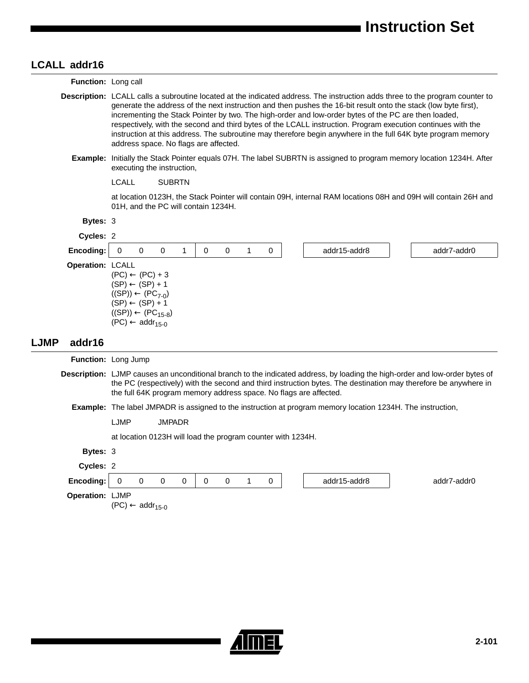## **LCALL addr16**

|             | LUALL addrio        |                                                                                                                                                                                                                                                                                                                                                                                                                                                                                                                                                                                                                                  |  |  |  |
|-------------|---------------------|----------------------------------------------------------------------------------------------------------------------------------------------------------------------------------------------------------------------------------------------------------------------------------------------------------------------------------------------------------------------------------------------------------------------------------------------------------------------------------------------------------------------------------------------------------------------------------------------------------------------------------|--|--|--|
|             | Function: Long call |                                                                                                                                                                                                                                                                                                                                                                                                                                                                                                                                                                                                                                  |  |  |  |
|             |                     | Description: LCALL calls a subroutine located at the indicated address. The instruction adds three to the program counter to<br>generate the address of the next instruction and then pushes the 16-bit result onto the stack (low byte first),<br>incrementing the Stack Pointer by two. The high-order and low-order bytes of the PC are then loaded,<br>respectively, with the second and third bytes of the LCALL instruction. Program execution continues with the<br>instruction at this address. The subroutine may therefore begin anywhere in the full 64K byte program memory<br>address space. No flags are affected. |  |  |  |
|             |                     | Example: Initially the Stack Pointer equals 07H. The label SUBRTN is assigned to program memory location 1234H. After<br>executing the instruction,                                                                                                                                                                                                                                                                                                                                                                                                                                                                              |  |  |  |
|             |                     | <b>LCALL</b><br><b>SUBRTN</b>                                                                                                                                                                                                                                                                                                                                                                                                                                                                                                                                                                                                    |  |  |  |
|             |                     | at location 0123H, the Stack Pointer will contain 09H, internal RAM locations 08H and 09H will contain 26H and<br>01H, and the PC will contain 1234H.                                                                                                                                                                                                                                                                                                                                                                                                                                                                            |  |  |  |
|             | <b>Bytes: 3</b>     |                                                                                                                                                                                                                                                                                                                                                                                                                                                                                                                                                                                                                                  |  |  |  |
|             | Cycles: 2           |                                                                                                                                                                                                                                                                                                                                                                                                                                                                                                                                                                                                                                  |  |  |  |
|             | Encoding:           | $\mathbf 0$<br>$\mathbf 0$<br>1<br>$\mathbf 0$<br>$\mathbf 0$<br>$\mathbf{1}$<br>$\mathbf 0$<br>addr15-addr8<br>0<br>addr7-addr0                                                                                                                                                                                                                                                                                                                                                                                                                                                                                                 |  |  |  |
|             | Operation: LCALL    | $(PC) \leftarrow (PC) + 3$<br>$(SP) \leftarrow (SP) + 1$<br>$((SP)) \leftarrow (PC_{7-0})$<br>$(SP) \leftarrow (SP) + 1$<br>$((SP)) \leftarrow (PC_{15-8})$<br>$(PC) \leftarrow addr_{15-0}$                                                                                                                                                                                                                                                                                                                                                                                                                                     |  |  |  |
| <b>LJMP</b> | addr16              |                                                                                                                                                                                                                                                                                                                                                                                                                                                                                                                                                                                                                                  |  |  |  |
|             |                     | <b>Function: Long Jump</b>                                                                                                                                                                                                                                                                                                                                                                                                                                                                                                                                                                                                       |  |  |  |
|             |                     | Description: LJMP causes an unconditional branch to the indicated address, by loading the high-order and low-order bytes of<br>the PC (respectively) with the second and third instruction bytes. The destination may therefore be anywhere in<br>the full 64K program memory address space. No flags are affected.                                                                                                                                                                                                                                                                                                              |  |  |  |
|             |                     | Example: The label JMPADR is assigned to the instruction at program memory location 1234H. The instruction,                                                                                                                                                                                                                                                                                                                                                                                                                                                                                                                      |  |  |  |
|             |                     | LJMP<br><b>JMPADR</b>                                                                                                                                                                                                                                                                                                                                                                                                                                                                                                                                                                                                            |  |  |  |
|             |                     | at location 0123H will load the program counter with 1234H.                                                                                                                                                                                                                                                                                                                                                                                                                                                                                                                                                                      |  |  |  |
|             | Bytes: 3            |                                                                                                                                                                                                                                                                                                                                                                                                                                                                                                                                                                                                                                  |  |  |  |
|             | Cycles: 2           |                                                                                                                                                                                                                                                                                                                                                                                                                                                                                                                                                                                                                                  |  |  |  |
|             | Encoding:           | $\pmb{0}$<br>$\mathbf 0$<br>$\pmb{0}$<br>$\pmb{0}$<br>0<br>$\pmb{0}$<br>$\mathbf{1}$<br>$\mathbf 0$<br>addr15-addr8<br>addr7-addr0                                                                                                                                                                                                                                                                                                                                                                                                                                                                                               |  |  |  |
|             | Operation: LJMP     | $(PC) \leftarrow addr_{15-0}$                                                                                                                                                                                                                                                                                                                                                                                                                                                                                                                                                                                                    |  |  |  |

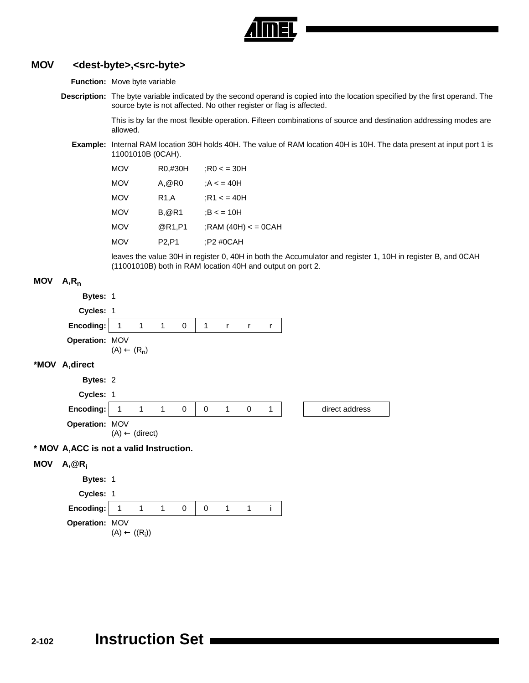

#### **MOV <dest-byte>,<src-byte>**

**Function:** Move byte variable

**Description:** The byte variable indicated by the second operand is copied into the location specified by the first operand. The source byte is not affected. No other register or flag is affected.

> This is by far the most flexible operation. Fifteen combinations of source and destination addressing modes are allowed.

**Example:** Internal RAM location 30H holds 40H. The value of RAM location 40H is 10H. The data present at input port 1 is 11001010B (0CAH).

| <b>MOV</b> | R0,#30H           | $:$ R0 < = 30H        |
|------------|-------------------|-----------------------|
| <b>MOV</b> | A, @R0            | : $A < 40H$           |
| <b>MOV</b> | R <sub>1</sub> ,A | : $R1 < 40H$          |
| <b>MOV</b> | <b>B,</b> @R1     | B < 10H               |
| <b>MOV</b> | @R1.P1            | ;RAM $(40H) <$ = 0CAH |
| <b>MOV</b> | P2,P1             | :P2 #0CAH             |

leaves the value 30H in register 0, 40H in both the Accumulator and register 1, 10H in register B, and 0CAH (11001010B) both in RAM location 40H and output on port 2.

## **MOV A,Rn**

|            | Bytes: 1                                 |                           |                          |              |             |              |              |              |   |                |
|------------|------------------------------------------|---------------------------|--------------------------|--------------|-------------|--------------|--------------|--------------|---|----------------|
|            | Cycles: 1                                |                           |                          |              |             |              |              |              |   |                |
|            | Encoding:                                | $\mathbf{1}$              | $\overline{\phantom{a}}$ | $\mathbf{1}$ | $\mathbf 0$ | $\mathbf{1}$ | $\mathsf{r}$ | $\mathsf{r}$ | r |                |
|            | Operation: MOV                           | $(A) \leftarrow (R_n)$    |                          |              |             |              |              |              |   |                |
|            | *MOV A, direct                           |                           |                          |              |             |              |              |              |   |                |
|            | Bytes: 2                                 |                           |                          |              |             |              |              |              |   |                |
|            | Cycles: 1                                |                           |                          |              |             |              |              |              |   |                |
|            | Encoding:                                | $\mathbf{1}$              | $\mathbf{1}$             | $\mathbf{1}$ | $\mathbf 0$ | $\mathbf 0$  | 1            | $\mathbf 0$  | 1 | direct address |
|            | Operation: MOV                           | $(A) \leftarrow (direct)$ |                          |              |             |              |              |              |   |                |
|            | * MOV A, ACC is not a valid Instruction. |                           |                          |              |             |              |              |              |   |                |
| <b>MOV</b> | $A, @R_i$                                |                           |                          |              |             |              |              |              |   |                |
|            | Bytes: 1                                 |                           |                          |              |             |              |              |              |   |                |
|            | Cycles: 1                                |                           |                          |              |             |              |              |              |   |                |
|            | Encoding:                                | $\mathbf{1}$              | $\mathbf{1}$             | $\mathbf{1}$ | 0           | 0            | 1            | $\mathbf{1}$ | i |                |
|            | Operation: MOV                           | $(A) \leftarrow ((R_i))$  |                          |              |             |              |              |              |   |                |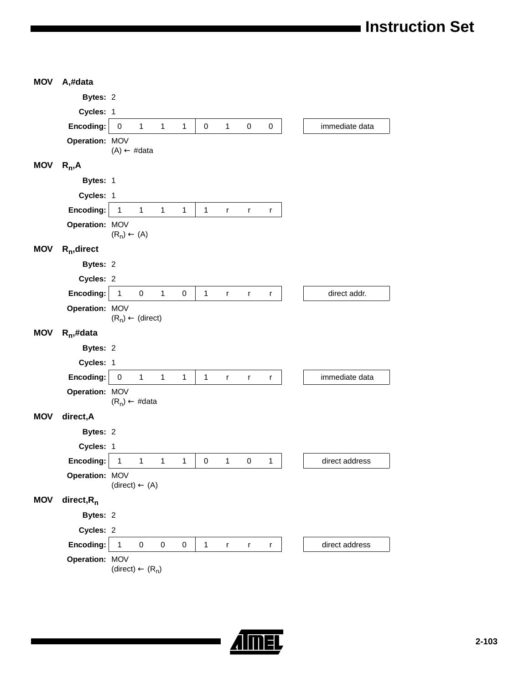| <b>MOV</b> | A,#data        |                                  |                       |              |              |              |                |           |                |
|------------|----------------|----------------------------------|-----------------------|--------------|--------------|--------------|----------------|-----------|----------------|
|            | Bytes: 2       |                                  |                       |              |              |              |                |           |                |
|            | Cycles: 1      |                                  |                       |              |              |              |                |           |                |
|            | Encoding:      | $\mathbf{1}$<br>$\pmb{0}$        | $\mathbf{1}$          | $\mathbf 1$  | $\pmb{0}$    | $\mathbf{1}$ | $\pmb{0}$      | $\pmb{0}$ | immediate data |
|            | Operation: MOV | $(A) \leftarrow \text{\#data}$   |                       |              |              |              |                |           |                |
| <b>MOV</b> | $R_n, A$       |                                  |                       |              |              |              |                |           |                |
|            | Bytes: 1       |                                  |                       |              |              |              |                |           |                |
|            | Cycles: 1      |                                  |                       |              |              |              |                |           |                |
|            | Encoding:      | $\mathbf{1}$                     | $1 -$<br>$\mathbf{1}$ | $\mathbf{1}$ | $\mathbf{1}$ | $\mathsf{r}$ | $\mathsf{r}$   | r         |                |
|            | Operation: MOV | $(R_n) \leftarrow (A)$           |                       |              |              |              |                |           |                |
| <b>MOV</b> | $R_n$ , direct |                                  |                       |              |              |              |                |           |                |
|            | Bytes: 2       |                                  |                       |              |              |              |                |           |                |
|            | Cycles: 2      |                                  |                       |              |              |              |                |           |                |
|            | Encoding:      | $\mathsf 0$<br>$\mathbf{1}$      | $\mathbf{1}$          | $\pmb{0}$    | 1            | r            | r              | r         | direct addr.   |
|            | Operation: MOV | $(R_n) \leftarrow (direct)$      |                       |              |              |              |                |           |                |
| <b>MOV</b> | $R_n$ ,#data   |                                  |                       |              |              |              |                |           |                |
|            | Bytes: 2       |                                  |                       |              |              |              |                |           |                |
|            | Cycles: 1      |                                  |                       |              |              |              |                |           |                |
|            | Encoding:      | $\mathbf{1}$<br>$\pmb{0}$        | $\mathbf{1}$          | $\mathbf{1}$ | $\mathbf{1}$ | r            | r              | r         | immediate data |
|            | Operation: MOV | $(R_n) \leftarrow \text{\#data}$ |                       |              |              |              |                |           |                |
| <b>MOV</b> | direct, A      |                                  |                       |              |              |              |                |           |                |
|            | Bytes: 2       |                                  |                       |              |              |              |                |           |                |
|            | Cycles: 1      |                                  |                       |              |              |              |                |           |                |
|            | Encoding:      | $\mathbf{1}$<br>$\mathbf{1}$     | $\mathbf{1}$          | $\mathbf{1}$ |              | $0 \quad 1$  | $\overline{0}$ | 1         | direct address |
|            | Operation: MOV | $(direct) \leftarrow (A)$        |                       |              |              |              |                |           |                |
| <b>MOV</b> | direct, $R_n$  |                                  |                       |              |              |              |                |           |                |
|            | Bytes: 2       |                                  |                       |              |              |              |                |           |                |
|            | Cycles: 2      |                                  |                       |              |              |              |                |           |                |
|            | Encoding:      | $\mathbf{1}$<br>$\pmb{0}$        | $\pmb{0}$             | $\pmb{0}$    | $\mathbf{1}$ | $\mathsf{r}$ | $\mathsf{r}$   | r         | direct address |
|            | Operation: MOV | $(direct) \leftarrow (R_n)$      |                       |              |              |              |                |           |                |

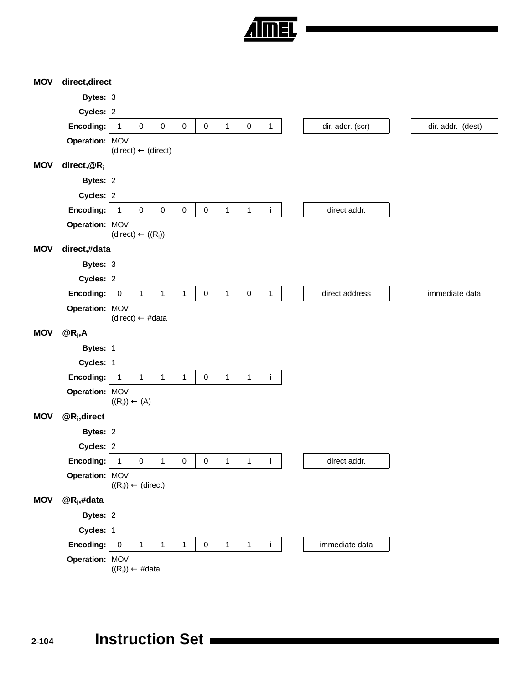

| <b>MOV</b> | direct, direct              |                                |              |              |              |             |              |              |              |                  |                   |
|------------|-----------------------------|--------------------------------|--------------|--------------|--------------|-------------|--------------|--------------|--------------|------------------|-------------------|
|            | Bytes: 3                    |                                |              |              |              |             |              |              |              |                  |                   |
|            | Cycles: 2                   |                                |              |              |              |             |              |              |              |                  |                   |
|            | Encoding:                   | $\mathbf{1}$                   | $\pmb{0}$    | $\pmb{0}$    | $\pmb{0}$    | 0           | $\mathbf{1}$ | $\pmb{0}$    | $\mathbf{1}$ | dir. addr. (scr) | dir. addr. (dest) |
|            | Operation: MOV              | $(direct) \leftarrow (direct)$ |              |              |              |             |              |              |              |                  |                   |
| <b>MOV</b> | direct, $@R_i$              |                                |              |              |              |             |              |              |              |                  |                   |
|            | Bytes: 2                    |                                |              |              |              |             |              |              |              |                  |                   |
|            | Cycles: 2                   |                                |              |              |              |             |              |              |              |                  |                   |
|            | Encoding:                   | 1                              | $\pmb{0}$    | $\pmb{0}$    | $\pmb{0}$    | $\pmb{0}$   | $\mathbf{1}$ | $\mathbf 1$  | Ť            | direct addr.     |                   |
|            | Operation: MOV              | $(direct) \leftarrow ((R_i))$  |              |              |              |             |              |              |              |                  |                   |
| <b>MOV</b> | direct,#data                |                                |              |              |              |             |              |              |              |                  |                   |
|            | Bytes: 3                    |                                |              |              |              |             |              |              |              |                  |                   |
|            | Cycles: 2                   |                                |              |              |              |             |              |              |              |                  |                   |
|            | Encoding:                   | $\pmb{0}$                      | $\mathbf{1}$ | $\mathbf{1}$ | $\mathbf{1}$ | $\pmb{0}$   | $\mathbf{1}$ | $\pmb{0}$    | 1            | direct address   | immediate data    |
|            | Operation: MOV              | $(direct) \leftarrow #data$    |              |              |              |             |              |              |              |                  |                   |
| <b>MOV</b> | $@R_i, A$                   |                                |              |              |              |             |              |              |              |                  |                   |
|            | Bytes: 1                    |                                |              |              |              |             |              |              |              |                  |                   |
|            | Cycles: 1                   |                                |              |              |              |             |              |              |              |                  |                   |
|            | Encoding:                   | $\mathbf{1}$                   | $\mathbf{1}$ | $\mathbf{1}$ | $\mathbf{1}$ | $\mathsf 0$ | $\mathbf{1}$ | $\mathbf{1}$ | $\mathbf i$  |                  |                   |
|            | Operation: MOV              | $((R_i)) \leftarrow (A)$       |              |              |              |             |              |              |              |                  |                   |
| <b>MOV</b> | $@R_i$ , direct             |                                |              |              |              |             |              |              |              |                  |                   |
|            | Bytes: 2                    |                                |              |              |              |             |              |              |              |                  |                   |
|            | Cycles: 2                   |                                |              |              |              |             |              |              |              |                  |                   |
|            | Encoding:                   | 1                              | $\pmb{0}$    | $\mathbf{1}$ | $\pmb{0}$    | 0           | $\mathbf{1}$ | $\mathbf{1}$ | İ            | direct addr.     |                   |
|            | Operation: MOV              | $((R_i)) \leftarrow (direct)$  |              |              |              |             |              |              |              |                  |                   |
| <b>MOV</b> | $@R_i,#data$                |                                |              |              |              |             |              |              |              |                  |                   |
|            | Bytes: 2                    |                                |              |              |              |             |              |              |              |                  |                   |
|            |                             |                                |              |              |              |             |              |              |              |                  |                   |
|            | Cycles: 1                   |                                |              |              |              |             |              |              |              |                  |                   |
|            | Encoding:<br>Operation: MOV | $\pmb{0}$                      | $\mathbf{1}$ | $\mathbf{1}$ | $\mathbf{1}$ | $\pmb{0}$   | $\mathbf 1$  | $\mathbf{1}$ | j.           | immediate data   |                   |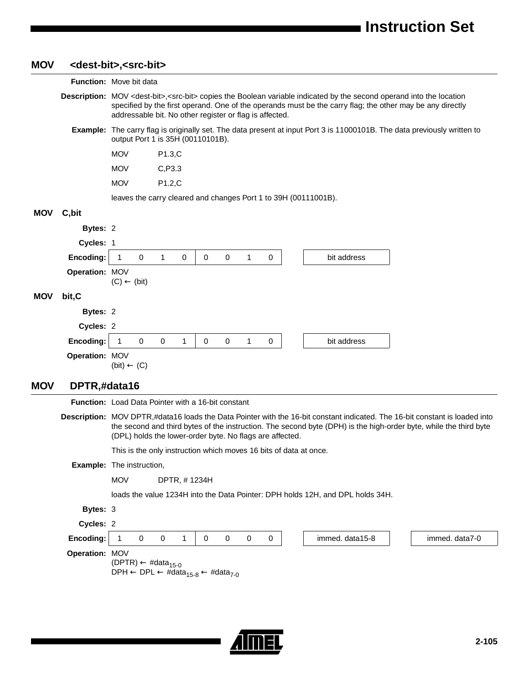| <b>MOV</b> |                | <dest-bit>,<src-bit></src-bit></dest-bit> |                                                                                           |   |             |             |   |  |                                                                                                                                                                                                                                                         |                                                                                                                                                                                                                                                  |
|------------|----------------|-------------------------------------------|-------------------------------------------------------------------------------------------|---|-------------|-------------|---|--|---------------------------------------------------------------------------------------------------------------------------------------------------------------------------------------------------------------------------------------------------------|--------------------------------------------------------------------------------------------------------------------------------------------------------------------------------------------------------------------------------------------------|
|            |                | Function: Move bit data                   |                                                                                           |   |             |             |   |  |                                                                                                                                                                                                                                                         |                                                                                                                                                                                                                                                  |
|            |                |                                           | addressable bit. No other register or flag is affected.                                   |   |             |             |   |  | Description: MOV <dest-bit>, <src-bit> copies the Boolean variable indicated by the second operand into the location<br/>specified by the first operand. One of the operands must be the carry flag; the other may be any directly</src-bit></dest-bit> |                                                                                                                                                                                                                                                  |
|            |                |                                           | output Port 1 is 35H (00110101B).                                                         |   |             |             |   |  | <b>Example:</b> The carry flag is originally set. The data present at input Port 3 is 11000101B. The data previously written to                                                                                                                         |                                                                                                                                                                                                                                                  |
|            |                | <b>MOV</b>                                | P1.3,C                                                                                    |   |             |             |   |  |                                                                                                                                                                                                                                                         |                                                                                                                                                                                                                                                  |
|            |                | <b>MOV</b>                                | C, P3.3                                                                                   |   |             |             |   |  |                                                                                                                                                                                                                                                         |                                                                                                                                                                                                                                                  |
|            |                | <b>MOV</b>                                | P1.2,C                                                                                    |   |             |             |   |  |                                                                                                                                                                                                                                                         |                                                                                                                                                                                                                                                  |
|            |                |                                           | leaves the carry cleared and changes Port 1 to 39H (00111001B).                           |   |             |             |   |  |                                                                                                                                                                                                                                                         |                                                                                                                                                                                                                                                  |
| MOV        | C, bit         |                                           |                                                                                           |   |             |             |   |  |                                                                                                                                                                                                                                                         |                                                                                                                                                                                                                                                  |
|            | Bytes: 2       |                                           |                                                                                           |   |             |             |   |  |                                                                                                                                                                                                                                                         |                                                                                                                                                                                                                                                  |
|            | Cycles: 1      |                                           |                                                                                           |   |             |             |   |  |                                                                                                                                                                                                                                                         |                                                                                                                                                                                                                                                  |
|            | Encoding:      | 1<br>0                                    | 1<br>0                                                                                    | 0 | 0           | 1           | 0 |  | bit address                                                                                                                                                                                                                                             |                                                                                                                                                                                                                                                  |
|            | Operation: MOV | $(C) \leftarrow (bit)$                    |                                                                                           |   |             |             |   |  |                                                                                                                                                                                                                                                         |                                                                                                                                                                                                                                                  |
| <b>MOV</b> | bit,C          |                                           |                                                                                           |   |             |             |   |  |                                                                                                                                                                                                                                                         |                                                                                                                                                                                                                                                  |
|            | Bytes: 2       |                                           |                                                                                           |   |             |             |   |  |                                                                                                                                                                                                                                                         |                                                                                                                                                                                                                                                  |
|            | Cycles: 2      |                                           |                                                                                           |   |             |             |   |  |                                                                                                                                                                                                                                                         |                                                                                                                                                                                                                                                  |
|            | Encoding:      | $\mathbf 0$<br>$\mathbf{1}$               | 0<br>1                                                                                    | 0 | 0           | 1           | 0 |  | bit address                                                                                                                                                                                                                                             |                                                                                                                                                                                                                                                  |
|            | Operation: MOV |                                           |                                                                                           |   |             |             |   |  |                                                                                                                                                                                                                                                         |                                                                                                                                                                                                                                                  |
|            |                | $(bit) \leftarrow (C)$                    |                                                                                           |   |             |             |   |  |                                                                                                                                                                                                                                                         |                                                                                                                                                                                                                                                  |
| <b>MOV</b> | DPTR,#data16   |                                           |                                                                                           |   |             |             |   |  |                                                                                                                                                                                                                                                         |                                                                                                                                                                                                                                                  |
|            |                |                                           | <b>Function:</b> Load Data Pointer with a 16-bit constant                                 |   |             |             |   |  |                                                                                                                                                                                                                                                         |                                                                                                                                                                                                                                                  |
|            |                |                                           | (DPL) holds the lower-order byte. No flags are affected.                                  |   |             |             |   |  |                                                                                                                                                                                                                                                         | Description: MOV DPTR,#data16 loads the Data Pointer with the 16-bit constant indicated. The 16-bit constant is loaded into<br>the second and third bytes of the instruction. The second byte (DPH) is the high-order byte, while the third byte |
|            |                |                                           | This is the only instruction which moves 16 bits of data at once.                         |   |             |             |   |  |                                                                                                                                                                                                                                                         |                                                                                                                                                                                                                                                  |
|            |                | <b>Example:</b> The instruction,          |                                                                                           |   |             |             |   |  |                                                                                                                                                                                                                                                         |                                                                                                                                                                                                                                                  |
|            |                | <b>MOV</b>                                | DPTR, #1234H                                                                              |   |             |             |   |  |                                                                                                                                                                                                                                                         |                                                                                                                                                                                                                                                  |
|            |                |                                           |                                                                                           |   |             |             |   |  | loads the value 1234H into the Data Pointer: DPH holds 12H, and DPL holds 34H.                                                                                                                                                                          |                                                                                                                                                                                                                                                  |
|            | Bytes: 3       |                                           |                                                                                           |   |             |             |   |  |                                                                                                                                                                                                                                                         |                                                                                                                                                                                                                                                  |
|            | Cycles: 2      |                                           |                                                                                           |   |             |             |   |  |                                                                                                                                                                                                                                                         |                                                                                                                                                                                                                                                  |
|            | Encoding:      | $\mathbf 0$<br>$\mathbf{1}$               | 0<br>1                                                                                    | 0 | $\mathbf 0$ | $\mathbf 0$ | 0 |  | immed. data15-8                                                                                                                                                                                                                                         | immed. data7-0                                                                                                                                                                                                                                   |
|            | Operation: MOV | $(DPTR) \leftarrow #data_{15-0}$          | DPH $\leftarrow$ DPL $\leftarrow$ #data <sub>15-8</sub> $\leftarrow$ #data <sub>7-0</sub> |   |             |             |   |  |                                                                                                                                                                                                                                                         |                                                                                                                                                                                                                                                  |

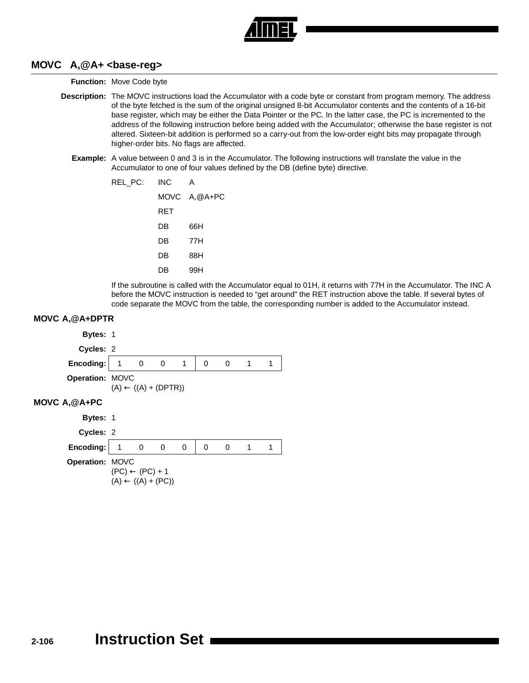

#### **MOVC A,@A+ <base-reg>**

**Function:** Move Code byte

- **Description:** The MOVC instructions load the Accumulator with a code byte or constant from program memory. The address of the byte fetched is the sum of the original unsigned 8-bit Accumulator contents and the contents of a 16-bit base register, which may be either the Data Pointer or the PC. In the latter case, the PC is incremented to the address of the following instruction before being added with the Accumulator; otherwise the base register is not altered. Sixteen-bit addition is performed so a carry-out from the low-order eight bits may propagate through higher-order bits. No flags are affected.
	- **Example:** A value between 0 and 3 is in the Accumulator. The following instructions will translate the value in the Accumulator to one of four values defined by the DB (define byte) directive.

| REL_PC: | INC | А            |
|---------|-----|--------------|
|         |     | MOVC A,@A+PC |
|         | RET |              |
|         | DB  | 66H          |
|         | DB  | 77H          |
|         | DB  | 88H          |
|         | DB  | 99H          |

If the subroutine is called with the Accumulator equal to 01H, it returns with 77H in the Accumulator. The INC A before the MOVC instruction is needed to "get around" the RET instruction above the table. If several bytes of code separate the MOVC from the table, the corresponding number is added to the Accumulator instead.

#### **MOVC A,@A+DPTR**

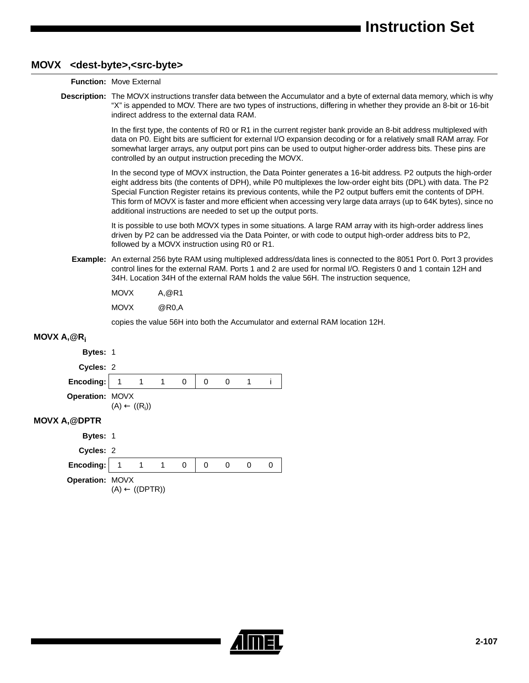## **MOVX <dest-byte>,<src-byte>**

|                      | <b>Function: Move External</b>                                                                                                                                                                                                                                                                                                                                                                                                                                                                                                            |
|----------------------|-------------------------------------------------------------------------------------------------------------------------------------------------------------------------------------------------------------------------------------------------------------------------------------------------------------------------------------------------------------------------------------------------------------------------------------------------------------------------------------------------------------------------------------------|
|                      | Description: The MOVX instructions transfer data between the Accumulator and a byte of external data memory, which is why<br>"X" is appended to MOV. There are two types of instructions, differing in whether they provide an 8-bit or 16-bit<br>indirect address to the external data RAM.                                                                                                                                                                                                                                              |
|                      | In the first type, the contents of R0 or R1 in the current register bank provide an 8-bit address multiplexed with<br>data on P0. Eight bits are sufficient for external I/O expansion decoding or for a relatively small RAM array. For<br>somewhat larger arrays, any output port pins can be used to output higher-order address bits. These pins are<br>controlled by an output instruction preceding the MOVX.                                                                                                                       |
|                      | In the second type of MOVX instruction, the Data Pointer generates a 16-bit address. P2 outputs the high-order<br>eight address bits (the contents of DPH), while P0 multiplexes the low-order eight bits (DPL) with data. The P2<br>Special Function Register retains its previous contents, while the P2 output buffers emit the contents of DPH.<br>This form of MOVX is faster and more efficient when accessing very large data arrays (up to 64K bytes), since no<br>additional instructions are needed to set up the output ports. |
|                      | It is possible to use both MOVX types in some situations. A large RAM array with its high-order address lines<br>driven by P2 can be addressed via the Data Pointer, or with code to output high-order address bits to P2,<br>followed by a MOVX instruction using R0 or R1.                                                                                                                                                                                                                                                              |
|                      | Example: An external 256 byte RAM using multiplexed address/data lines is connected to the 8051 Port 0. Port 3 provides<br>control lines for the external RAM. Ports 1 and 2 are used for normal I/O. Registers 0 and 1 contain 12H and<br>34H. Location 34H of the external RAM holds the value 56H. The instruction sequence,                                                                                                                                                                                                           |
|                      | <b>MOVX</b><br>A, @R1                                                                                                                                                                                                                                                                                                                                                                                                                                                                                                                     |
|                      | <b>MOVX</b><br>@R0,A                                                                                                                                                                                                                                                                                                                                                                                                                                                                                                                      |
|                      | copies the value 56H into both the Accumulator and external RAM location 12H.                                                                                                                                                                                                                                                                                                                                                                                                                                                             |
| MOVX $A, @R_i$       |                                                                                                                                                                                                                                                                                                                                                                                                                                                                                                                                           |
| <b>Bytes: 1</b>      |                                                                                                                                                                                                                                                                                                                                                                                                                                                                                                                                           |
| Cycles: 2            |                                                                                                                                                                                                                                                                                                                                                                                                                                                                                                                                           |
| Encoding:            | 1<br>1<br>0<br>0<br>0<br>$\mathbf{1}$<br>Ť<br>1                                                                                                                                                                                                                                                                                                                                                                                                                                                                                           |
| Operation: MOVX      | $(A) \leftarrow ((R_i))$                                                                                                                                                                                                                                                                                                                                                                                                                                                                                                                  |
| <b>MOVX A, @DPTR</b> |                                                                                                                                                                                                                                                                                                                                                                                                                                                                                                                                           |
| <b>Bytes: 1</b>      |                                                                                                                                                                                                                                                                                                                                                                                                                                                                                                                                           |

| <b>Bytes: 1</b>                                   |                           |   |          |  |  |
|---------------------------------------------------|---------------------------|---|----------|--|--|
| Cycles: 2                                         |                           |   |          |  |  |
| Encoding: $\begin{vmatrix} 1 & 1 \end{vmatrix}$ 1 |                           | 0 | $\theta$ |  |  |
| <b>Operation: MOVX</b>                            | $(A) \leftarrow ((DPTR))$ |   |          |  |  |

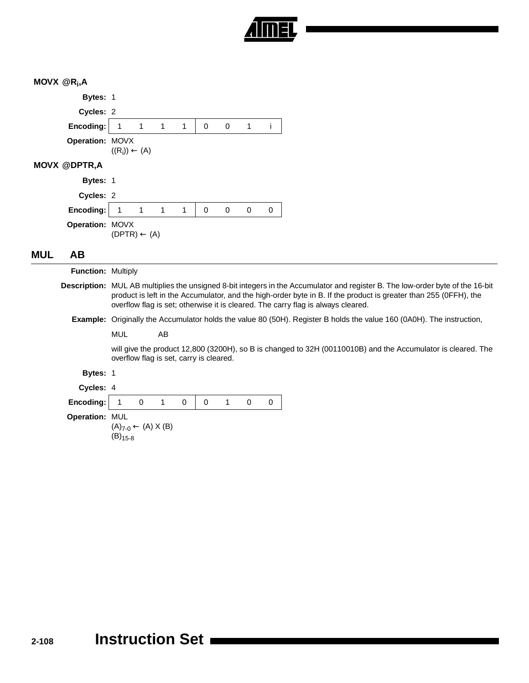

#### **MOVX @Ri ,A**

| Bytes: 1            |                          |          |              |   |   |             |   |   |
|---------------------|--------------------------|----------|--------------|---|---|-------------|---|---|
| Cycles: 2           |                          |          |              |   |   |             |   |   |
| Encoding:           | $\mathbf{1}$             | $\sim$ 1 | 1            | 1 | 0 | $\mathbf 0$ | 1 | ı |
| Operation: MOVX     | $((R_i)) \leftarrow (A)$ |          |              |   |   |             |   |   |
| <b>MOVX @DPTR,A</b> |                          |          |              |   |   |             |   |   |
| <b>Bytes: 1</b>     |                          |          |              |   |   |             |   |   |
| Cycles: 2           |                          |          |              |   |   |             |   |   |
| Encoding:           | $\mathbf{1}$             | $\sim$ 1 | $\mathbf{1}$ | 1 | 0 | 0           | 0 | 0 |
| Operation: MOVX     | $(DPTR) \leftarrow (A)$  |          |              |   |   |             |   |   |

## **MUL AB**

| <b>Function: Multiply</b> |                                                  |             |             |          |          |   |          |          |                                                                                                                                                                                                                                                                                                                                               |
|---------------------------|--------------------------------------------------|-------------|-------------|----------|----------|---|----------|----------|-----------------------------------------------------------------------------------------------------------------------------------------------------------------------------------------------------------------------------------------------------------------------------------------------------------------------------------------------|
|                           |                                                  |             |             |          |          |   |          |          | <b>Description:</b> MUL AB multiplies the unsigned 8-bit integers in the Accumulator and register B. The low-order byte of the 16-bit<br>product is left in the Accumulator, and the high-order byte in B. If the product is greater than 255 (OFFH), the<br>overflow flag is set; otherwise it is cleared. The carry flag is always cleared. |
|                           |                                                  |             |             |          |          |   |          |          | <b>Example:</b> Originally the Accumulator holds the value 80 (50H). Register B holds the value 160 (0A0H). The instruction,                                                                                                                                                                                                                  |
|                           | MUL                                              |             | AB          |          |          |   |          |          |                                                                                                                                                                                                                                                                                                                                               |
|                           | overflow flag is set, carry is cleared.          |             |             |          |          |   |          |          | will give the product 12,800 (3200H), so B is changed to 32H (00110010B) and the Accumulator is cleared. The                                                                                                                                                                                                                                  |
| <b>Bytes: 1</b>           |                                                  |             |             |          |          |   |          |          |                                                                                                                                                                                                                                                                                                                                               |
| Cycles: 4                 |                                                  |             |             |          |          |   |          |          |                                                                                                                                                                                                                                                                                                                                               |
| Encoding:                 |                                                  | $\mathbf 0$ | $\mathbf 1$ | $\Omega$ | $\Omega$ | 1 | $\Omega$ | $\Omega$ |                                                                                                                                                                                                                                                                                                                                               |
| <b>Operation: MUL</b>     | $(A)_{7-0} \leftarrow (A) X (B)$<br>$(B)_{15-8}$ |             |             |          |          |   |          |          |                                                                                                                                                                                                                                                                                                                                               |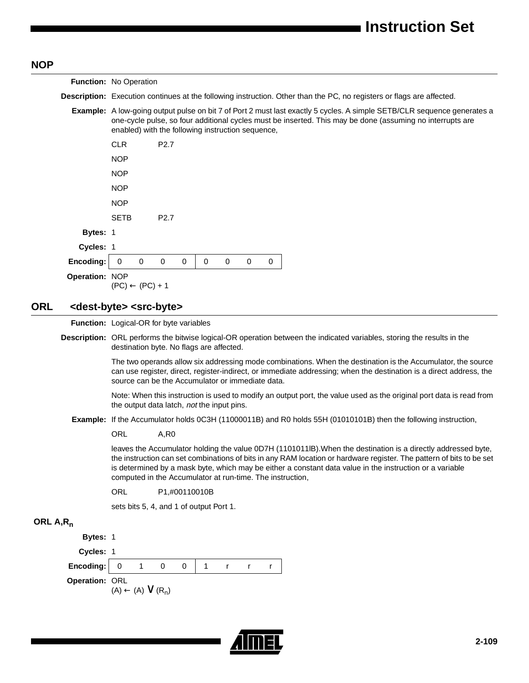# NO

| <b>NOP</b>   |                |                                                                                                                                                                                                                                                                                                                                                                                                                |
|--------------|----------------|----------------------------------------------------------------------------------------------------------------------------------------------------------------------------------------------------------------------------------------------------------------------------------------------------------------------------------------------------------------------------------------------------------------|
|              |                | Function: No Operation                                                                                                                                                                                                                                                                                                                                                                                         |
|              |                | <b>Description:</b> Execution continues at the following instruction. Other than the PC, no registers or flags are affected.                                                                                                                                                                                                                                                                                   |
|              |                | Example: A low-going output pulse on bit 7 of Port 2 must last exactly 5 cycles. A simple SETB/CLR sequence generates a<br>one-cycle pulse, so four additional cycles must be inserted. This may be done (assuming no interrupts are<br>enabled) with the following instruction sequence,                                                                                                                      |
|              |                | <b>CLR</b><br>P <sub>2.7</sub>                                                                                                                                                                                                                                                                                                                                                                                 |
|              |                | <b>NOP</b>                                                                                                                                                                                                                                                                                                                                                                                                     |
|              |                | <b>NOP</b>                                                                                                                                                                                                                                                                                                                                                                                                     |
|              |                | <b>NOP</b>                                                                                                                                                                                                                                                                                                                                                                                                     |
|              |                | <b>NOP</b>                                                                                                                                                                                                                                                                                                                                                                                                     |
|              |                | <b>SETB</b><br>P <sub>2.7</sub>                                                                                                                                                                                                                                                                                                                                                                                |
|              | Bytes: 1       |                                                                                                                                                                                                                                                                                                                                                                                                                |
|              | Cycles: 1      |                                                                                                                                                                                                                                                                                                                                                                                                                |
|              | Encoding:      | $\mathbf 0$<br>$\mathbf 0$<br>$\mathbf 0$<br>$\mathbf 0$<br>$\mathbf 0$<br>0<br>0<br>0                                                                                                                                                                                                                                                                                                                         |
|              | Operation: NOP | $(PC) \leftarrow (PC) + 1$                                                                                                                                                                                                                                                                                                                                                                                     |
| <b>ORL</b>   |                | <dest-byte> <src-byte></src-byte></dest-byte>                                                                                                                                                                                                                                                                                                                                                                  |
|              |                | Function: Logical-OR for byte variables                                                                                                                                                                                                                                                                                                                                                                        |
|              |                | Description: ORL performs the bitwise logical-OR operation between the indicated variables, storing the results in the<br>destination byte. No flags are affected.                                                                                                                                                                                                                                             |
|              |                | The two operands allow six addressing mode combinations. When the destination is the Accumulator, the source<br>can use register, direct, register-indirect, or immediate addressing; when the destination is a direct address, the<br>source can be the Accumulator or immediate data.                                                                                                                        |
|              |                | Note: When this instruction is used to modify an output port, the value used as the original port data is read from<br>the output data latch, not the input pins.                                                                                                                                                                                                                                              |
|              |                | Example: If the Accumulator holds 0C3H (11000011B) and R0 holds 55H (01010101B) then the following instruction,                                                                                                                                                                                                                                                                                                |
|              |                | <b>ORL</b><br>A,RO                                                                                                                                                                                                                                                                                                                                                                                             |
|              |                | leaves the Accumulator holding the value 0D7H (1101011IB). When the destination is a directly addressed byte,<br>the instruction can set combinations of bits in any RAM location or hardware register. The pattern of bits to be set<br>is determined by a mask byte, which may be either a constant data value in the instruction or a variable<br>computed in the Accumulator at run-time. The instruction, |
|              |                | ORL<br>P1,#00110010B                                                                                                                                                                                                                                                                                                                                                                                           |
|              |                | sets bits 5, 4, and 1 of output Port 1.                                                                                                                                                                                                                                                                                                                                                                        |
| ORL $A, R_n$ |                |                                                                                                                                                                                                                                                                                                                                                                                                                |
|              | Bytes: 1       |                                                                                                                                                                                                                                                                                                                                                                                                                |
|              | Cycles: 1      |                                                                                                                                                                                                                                                                                                                                                                                                                |
|              | Encoding:      | $\mathbf 0$<br>1<br>0<br>1<br>0<br>r<br>r<br>r                                                                                                                                                                                                                                                                                                                                                                 |

**Operation:** ORL<br>
(A) ← (A) ∨ (R<sub>n</sub>)



 $\blacksquare$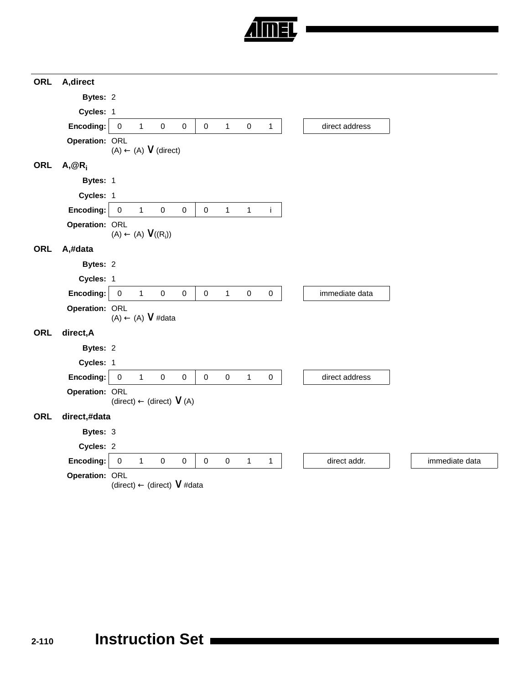

| <b>ORL</b> | A, direct      |                     |                                         |                     |           |           |              |              |              |                |                |
|------------|----------------|---------------------|-----------------------------------------|---------------------|-----------|-----------|--------------|--------------|--------------|----------------|----------------|
|            | Bytes: 2       |                     |                                         |                     |           |           |              |              |              |                |                |
|            | Cycles: 1      |                     |                                         |                     |           |           |              |              |              |                |                |
|            | Encoding:      | $\mathbf 0$         | $\mathbf{1}$                            | $\pmb{0}$           | 0         | $\pmb{0}$ | $\mathbf{1}$ | $\mathbf 0$  | $\mathbf{1}$ | direct address |                |
|            | Operation: ORL |                     | $(A) \leftarrow (A) \vee (direct)$      |                     |           |           |              |              |              |                |                |
| <b>ORL</b> | $A, @R_i$      |                     |                                         |                     |           |           |              |              |              |                |                |
|            | Bytes: 1       |                     |                                         |                     |           |           |              |              |              |                |                |
|            | Cycles: 1      |                     |                                         |                     |           |           |              |              |              |                |                |
|            | Encoding:      | $\mathbf 0$         | $\mathbf{1}$                            | $\pmb{0}$           | $\pmb{0}$ | $\pmb{0}$ | $\mathbf{1}$ | $\mathbf{1}$ | j.           |                |                |
|            | Operation: ORL |                     | $(A) \leftarrow (A) \vee ((R_i))$       |                     |           |           |              |              |              |                |                |
| <b>ORL</b> | A,#data        |                     |                                         |                     |           |           |              |              |              |                |                |
|            | Bytes: 2       |                     |                                         |                     |           |           |              |              |              |                |                |
|            | Cycles: 1      |                     |                                         |                     |           |           |              |              |              |                |                |
|            | Encoding:      | $\mathsf 0$         | $\mathbf{1}$                            | $\mathsf{O}\xspace$ | $\pmb{0}$ | $\pmb{0}$ | $\mathbf{1}$ | $\pmb{0}$    | $\pmb{0}$    | immediate data |                |
|            | Operation: ORL |                     | $(A) \leftarrow (A) \vee #data$         |                     |           |           |              |              |              |                |                |
| <b>ORL</b> | direct, A      |                     |                                         |                     |           |           |              |              |              |                |                |
|            | Bytes: 2       |                     |                                         |                     |           |           |              |              |              |                |                |
|            | Cycles: 1      |                     |                                         |                     |           |           |              |              |              |                |                |
|            | Encoding:      | $\mathsf 0$         | $\mathbf{1}$                            | $\mathbf 0$         | $\pmb{0}$ | $\pmb{0}$ | $\pmb{0}$    | $\mathbf{1}$ | $\mathsf 0$  | direct address |                |
|            | Operation: ORL |                     | $(direct) \leftarrow (direct) \vee (A)$ |                     |           |           |              |              |              |                |                |
| ORL        | direct,#data   |                     |                                         |                     |           |           |              |              |              |                |                |
|            | Bytes: 3       |                     |                                         |                     |           |           |              |              |              |                |                |
|            | Cycles: 2      |                     |                                         |                     |           |           |              |              |              |                |                |
|            | Encoding:      | $\mathsf{O}\xspace$ | $\mathbf{1}$                            | $\mathbf 0$         | $\pmb{0}$ | $\pmb{0}$ | $\pmb{0}$    | $\mathbf{1}$ | $\mathbf{1}$ | direct addr.   | immediate data |
|            | Operation: ORL |                     | (direct) ← (direct) V #data             |                     |           |           |              |              |              |                |                |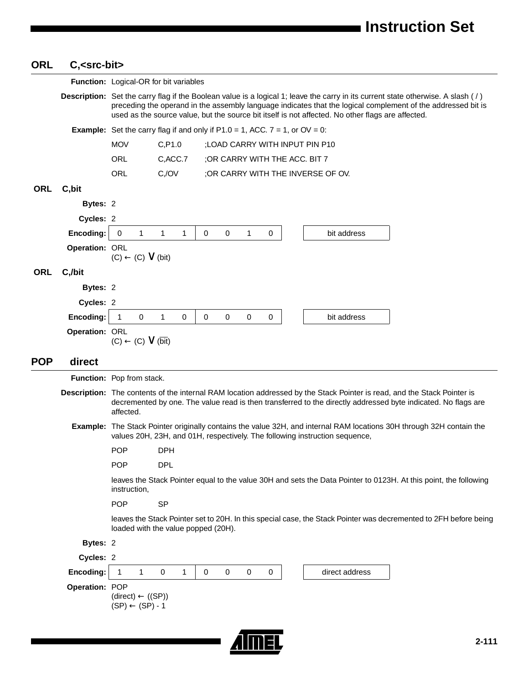# **ORL C,<src-bit>**

|            |                | Function: Logical-OR for bit variables                                                   |                                     |                            |                                |           |                                                                                                   |                                                                                                                                                                                                                                                  |
|------------|----------------|------------------------------------------------------------------------------------------|-------------------------------------|----------------------------|--------------------------------|-----------|---------------------------------------------------------------------------------------------------|--------------------------------------------------------------------------------------------------------------------------------------------------------------------------------------------------------------------------------------------------|
|            |                |                                                                                          |                                     |                            |                                |           | used as the source value, but the source bit itself is not affected. No other flags are affected. | Description: Set the carry flag if the Boolean value is a logical 1; leave the carry in its current state otherwise. A slash (/)<br>preceding the operand in the assembly language indicates that the logical complement of the addressed bit is |
|            |                | <b>Example:</b> Set the carry flag if and only if $P1.0 = 1$ , ACC. $7 = 1$ , or OV = 0: |                                     |                            |                                |           |                                                                                                   |                                                                                                                                                                                                                                                  |
|            |                | <b>MOV</b>                                                                               | C, P1.0                             |                            |                                |           | ; LOAD CARRY WITH INPUT PIN P10                                                                   |                                                                                                                                                                                                                                                  |
|            |                | ORL                                                                                      | C, ACC.7                            |                            | ; OR CARRY WITH THE ACC. BIT 7 |           |                                                                                                   |                                                                                                                                                                                                                                                  |
|            |                | ORL                                                                                      | $C_{1}/OV$                          |                            |                                |           | ;OR CARRY WITH THE INVERSE OF OV.                                                                 |                                                                                                                                                                                                                                                  |
| <b>ORL</b> | C, bit         |                                                                                          |                                     |                            |                                |           |                                                                                                   |                                                                                                                                                                                                                                                  |
|            | Bytes: 2       |                                                                                          |                                     |                            |                                |           |                                                                                                   |                                                                                                                                                                                                                                                  |
|            | Cycles: 2      |                                                                                          |                                     |                            |                                |           |                                                                                                   |                                                                                                                                                                                                                                                  |
|            | Encoding:      | 1<br>$\mathbf 0$                                                                         | 1<br>1                              | $\mathbf 0$<br>0           | 1                              | 0         | bit address                                                                                       |                                                                                                                                                                                                                                                  |
|            | Operation: ORL | $(C) \leftarrow (C) \vee (bit)$                                                          |                                     |                            |                                |           |                                                                                                   |                                                                                                                                                                                                                                                  |
| <b>ORL</b> | C,/bit         |                                                                                          |                                     |                            |                                |           |                                                                                                   |                                                                                                                                                                                                                                                  |
|            | Bytes: 2       |                                                                                          |                                     |                            |                                |           |                                                                                                   |                                                                                                                                                                                                                                                  |
|            | Cycles: 2      |                                                                                          |                                     |                            |                                |           |                                                                                                   |                                                                                                                                                                                                                                                  |
|            | Encoding:      | $\mathbf 0$<br>$\mathbf{1}$                                                              | 1<br>0                              | $\mathbf 0$<br>$\mathbf 0$ | 0                              | 0         | bit address                                                                                       |                                                                                                                                                                                                                                                  |
|            | Operation: ORL | $(C) \leftarrow (C) \vee (\overline{bit})$                                               |                                     |                            |                                |           |                                                                                                   |                                                                                                                                                                                                                                                  |
| <b>POP</b> | direct         |                                                                                          |                                     |                            |                                |           |                                                                                                   |                                                                                                                                                                                                                                                  |
|            |                | Function: Pop from stack.                                                                |                                     |                            |                                |           |                                                                                                   |                                                                                                                                                                                                                                                  |
|            |                | affected.                                                                                |                                     |                            |                                |           |                                                                                                   | Description: The contents of the internal RAM location addressed by the Stack Pointer is read, and the Stack Pointer is<br>decremented by one. The value read is then transferred to the directly addressed byte indicated. No flags are         |
|            |                |                                                                                          |                                     |                            |                                |           | values 20H, 23H, and 01H, respectively. The following instruction sequence,                       | Example: The Stack Pointer originally contains the value 32H, and internal RAM locations 30H through 32H contain the                                                                                                                             |
|            |                | <b>POP</b>                                                                               | <b>DPH</b>                          |                            |                                |           |                                                                                                   |                                                                                                                                                                                                                                                  |
|            |                | <b>POP</b>                                                                               | <b>DPL</b>                          |                            |                                |           |                                                                                                   |                                                                                                                                                                                                                                                  |
|            |                | instruction,                                                                             |                                     |                            |                                |           |                                                                                                   | leaves the Stack Pointer equal to the value 30H and sets the Data Pointer to 0123H. At this point, the following                                                                                                                                 |
|            |                | <b>POP</b>                                                                               | <b>SP</b>                           |                            |                                |           |                                                                                                   |                                                                                                                                                                                                                                                  |
|            |                |                                                                                          | loaded with the value popped (20H). |                            |                                |           |                                                                                                   | leaves the Stack Pointer set to 20H. In this special case, the Stack Pointer was decremented to 2FH before being                                                                                                                                 |
|            | Bytes: 2       |                                                                                          |                                     |                            |                                |           |                                                                                                   |                                                                                                                                                                                                                                                  |
|            | Cycles: 2      |                                                                                          |                                     |                            |                                |           |                                                                                                   |                                                                                                                                                                                                                                                  |
|            | Encoding:      | 1<br>1                                                                                   | 0<br>1                              | 0<br>0                     | 0                              | $\pmb{0}$ | direct address                                                                                    |                                                                                                                                                                                                                                                  |
|            | Operation: POP | $(direct) \leftarrow ((SP))$<br>$(SP) \leftarrow (SP) - 1$                               |                                     |                            |                                |           |                                                                                                   |                                                                                                                                                                                                                                                  |
|            |                |                                                                                          |                                     |                            |                                |           |                                                                                                   | $2 - 111$                                                                                                                                                                                                                                        |
|            |                |                                                                                          |                                     |                            |                                |           |                                                                                                   |                                                                                                                                                                                                                                                  |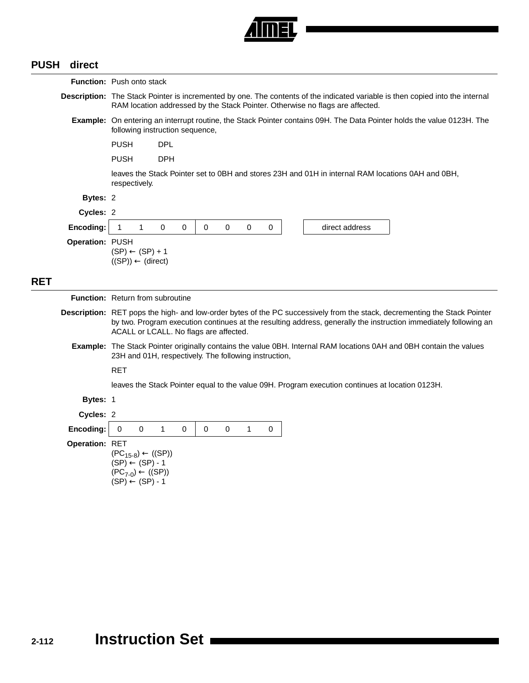

## **PUSH direct**

|            |                 | <b>Function:</b> Push onto stack                                                                                                                                                                                                                                                        |  |  |  |  |  |  |  |  |  |  |
|------------|-----------------|-----------------------------------------------------------------------------------------------------------------------------------------------------------------------------------------------------------------------------------------------------------------------------------------|--|--|--|--|--|--|--|--|--|--|
|            |                 | Description: The Stack Pointer is incremented by one. The contents of the indicated variable is then copied into the internal<br>RAM location addressed by the Stack Pointer. Otherwise no flags are affected.                                                                          |  |  |  |  |  |  |  |  |  |  |
|            |                 | Example: On entering an interrupt routine, the Stack Pointer contains 09H. The Data Pointer holds the value 0123H. The<br>following instruction sequence,                                                                                                                               |  |  |  |  |  |  |  |  |  |  |
|            |                 | PUSH<br><b>DPL</b>                                                                                                                                                                                                                                                                      |  |  |  |  |  |  |  |  |  |  |
|            |                 | <b>PUSH</b><br><b>DPH</b>                                                                                                                                                                                                                                                               |  |  |  |  |  |  |  |  |  |  |
|            |                 | leaves the Stack Pointer set to 0BH and stores 23H and 01H in internal RAM locations 0AH and 0BH,<br>respectively.                                                                                                                                                                      |  |  |  |  |  |  |  |  |  |  |
|            | Bytes: 2        |                                                                                                                                                                                                                                                                                         |  |  |  |  |  |  |  |  |  |  |
|            | Cycles: 2       |                                                                                                                                                                                                                                                                                         |  |  |  |  |  |  |  |  |  |  |
|            | Encoding:       | $\overline{1}$<br>$\mathbf{1}$<br>$\Omega$<br>0<br>$\Omega$<br>$\Omega$<br>$\mathsf{O}\xspace$<br>$\pmb{0}$<br>direct address                                                                                                                                                           |  |  |  |  |  |  |  |  |  |  |
|            | Operation: PUSH | $(SP) \leftarrow (SP) + 1$<br>$((SP)) \leftarrow (direct)$                                                                                                                                                                                                                              |  |  |  |  |  |  |  |  |  |  |
| <b>RET</b> |                 |                                                                                                                                                                                                                                                                                         |  |  |  |  |  |  |  |  |  |  |
|            |                 | <b>Function:</b> Return from subroutine                                                                                                                                                                                                                                                 |  |  |  |  |  |  |  |  |  |  |
|            |                 | Description: RET pops the high- and low-order bytes of the PC successively from the stack, decrementing the Stack Pointer<br>by two. Program execution continues at the resulting address, generally the instruction immediately following an<br>ACALL or LCALL. No flags are affected. |  |  |  |  |  |  |  |  |  |  |
|            |                 | Example: The Stack Pointer originally contains the value 0BH. Internal RAM locations 0AH and 0BH contain the values<br>23H and 01H, respectively. The following instruction,                                                                                                            |  |  |  |  |  |  |  |  |  |  |
|            |                 | <b>RET</b>                                                                                                                                                                                                                                                                              |  |  |  |  |  |  |  |  |  |  |
|            |                 | leaves the Stack Pointer equal to the value 09H. Program execution continues at location 0123H.                                                                                                                                                                                         |  |  |  |  |  |  |  |  |  |  |
|            | Bytes: 1        |                                                                                                                                                                                                                                                                                         |  |  |  |  |  |  |  |  |  |  |
|            | Cycles: 2       |                                                                                                                                                                                                                                                                                         |  |  |  |  |  |  |  |  |  |  |
|            | Encoding:       | $\pmb{0}$<br>$\pmb{0}$<br>$\mathbf{1}$<br>$\mathbf 0$<br>$\mathbf 0$<br>$\mathbf 0$<br>$\mathbf{1}$<br>0                                                                                                                                                                                |  |  |  |  |  |  |  |  |  |  |
|            | Operation: RET  | $(PC_{15-8}) \leftarrow ((SP))$<br>$(SP) \leftarrow (SP) - 1$<br>$(PC_{7-0}) \leftarrow ((SP))$<br>$(SP) \leftarrow (SP) - 1$                                                                                                                                                           |  |  |  |  |  |  |  |  |  |  |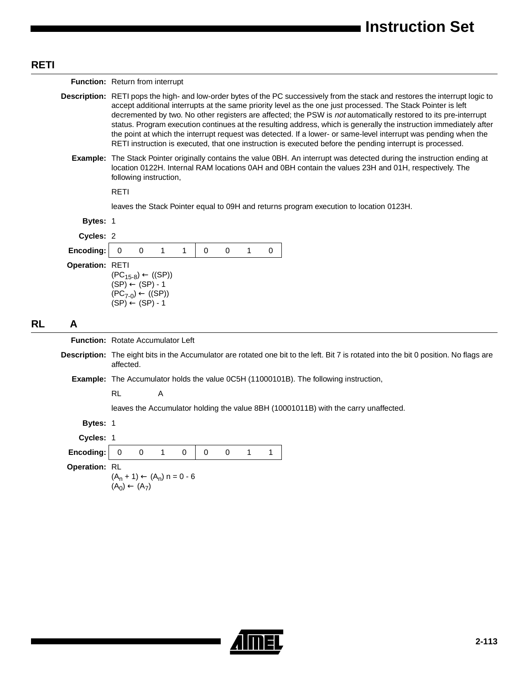#### **RETI**

**Function:** Return from interrupt

- **Description:** RETI pops the high- and low-order bytes of the PC successively from the stack and restores the interrupt logic to accept additional interrupts at the same priority level as the one just processed. The Stack Pointer is left decremented by two. No other registers are affected; the PSW is not automatically restored to its pre-interrupt status. Program execution continues at the resulting address, which is generally the instruction immediately after the point at which the interrupt request was detected. If a lower- or same-level interrupt was pending when the RETI instruction is executed, that one instruction is executed before the pending interrupt is processed.
	- **Example:** The Stack Pointer originally contains the value 0BH. An interrupt was detected during the instruction ending at location 0122H. Internal RAM locations 0AH and 0BH contain the values 23H and 01H, respectively. The following instruction,

RETI

leaves the Stack Pointer equal to 09H and returns program execution to location 0123H.

|    | Bytes: 1                                 |                                                                                            |             |                                        |   |             |             |   |   |                                                                                                                                        |
|----|------------------------------------------|--------------------------------------------------------------------------------------------|-------------|----------------------------------------|---|-------------|-------------|---|---|----------------------------------------------------------------------------------------------------------------------------------------|
|    | Cycles: 2                                |                                                                                            |             |                                        |   |             |             |   |   |                                                                                                                                        |
|    | Encoding:                                | 0                                                                                          | $\mathbf 0$ | 1                                      | 1 | $\mathbf 0$ | $\mathbf 0$ | 1 | 0 |                                                                                                                                        |
|    | Operation: RETI                          | $(SP) \leftarrow (SP) - 1$<br>$(PC_{7-0}) \leftarrow ((SP))$<br>$(SP) \leftarrow (SP) - 1$ |             | $(PC_{15-8}) \leftarrow ((SP))$        |   |             |             |   |   |                                                                                                                                        |
| RL | A                                        |                                                                                            |             |                                        |   |             |             |   |   |                                                                                                                                        |
|    | <b>Function:</b> Rotate Accumulator Left |                                                                                            |             |                                        |   |             |             |   |   |                                                                                                                                        |
|    |                                          | affected.                                                                                  |             |                                        |   |             |             |   |   | Description: The eight bits in the Accumulator are rotated one bit to the left. Bit 7 is rotated into the bit 0 position. No flags are |
|    |                                          |                                                                                            |             |                                        |   |             |             |   |   | Example: The Accumulator holds the value 0C5H (11000101B). The following instruction,                                                  |
|    |                                          | <b>RL</b>                                                                                  |             | A                                      |   |             |             |   |   |                                                                                                                                        |
|    |                                          |                                                                                            |             |                                        |   |             |             |   |   | leaves the Accumulator holding the value 8BH (10001011B) with the carry unaffected.                                                    |
|    | Bytes: 1                                 |                                                                                            |             |                                        |   |             |             |   |   |                                                                                                                                        |
|    | Cycles: 1                                |                                                                                            |             |                                        |   |             |             |   |   |                                                                                                                                        |
|    | Encoding:                                | $\Omega$                                                                                   | $\mathbf 0$ | 1                                      | 0 | $\mathbf 0$ | $\mathbf 0$ | 1 | 1 |                                                                                                                                        |
|    | Operation: RL                            | $(A0) \leftarrow (A7)$                                                                     |             | $(A_n + 1) \leftarrow (A_n) n = 0 - 6$ |   |             |             |   |   |                                                                                                                                        |

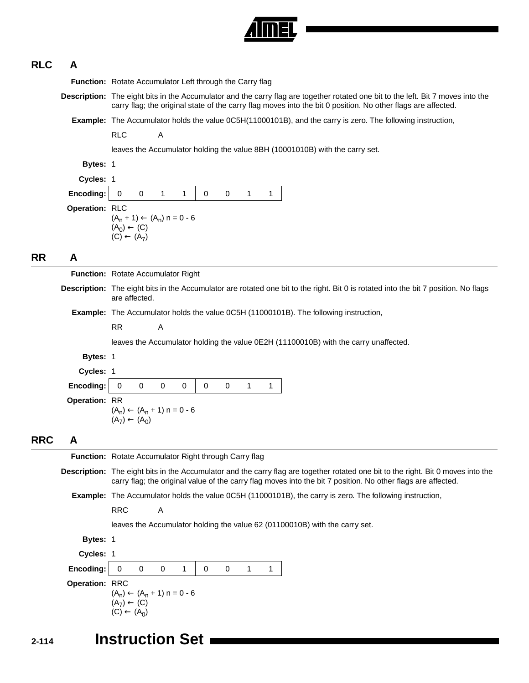

# **RLC A**

|            |                | Function: Rotate Accumulator Left through the Carry flag                                                                                                                                                                                          |
|------------|----------------|---------------------------------------------------------------------------------------------------------------------------------------------------------------------------------------------------------------------------------------------------|
|            |                | Description: The eight bits in the Accumulator and the carry flag are together rotated one bit to the left. Bit 7 moves into the<br>carry flag; the original state of the carry flag moves into the bit 0 position. No other flags are affected.  |
|            |                | Example: The Accumulator holds the value 0C5H(11000101B), and the carry is zero. The following instruction,                                                                                                                                       |
|            |                | <b>RLC</b><br>Α                                                                                                                                                                                                                                   |
|            |                | leaves the Accumulator holding the value 8BH (10001010B) with the carry set.                                                                                                                                                                      |
|            | Bytes: 1       |                                                                                                                                                                                                                                                   |
|            | Cycles: 1      |                                                                                                                                                                                                                                                   |
|            | Encoding:      | $\mathbf 0$<br>$\mathbf 0$<br>0<br>1<br>1<br>$\mathbf 0$<br>$\mathbf{1}$<br>$\mathbf 1$                                                                                                                                                           |
|            | Operation: RLC | $(A_n + 1) \leftarrow (A_n) n = 0 - 6$<br>$(A_0) \leftarrow (C)$<br>$(C) \leftarrow (A_7)$                                                                                                                                                        |
| <b>RR</b>  | A              |                                                                                                                                                                                                                                                   |
|            |                | Function: Rotate Accumulator Right                                                                                                                                                                                                                |
|            |                | Description: The eight bits in the Accumulator are rotated one bit to the right. Bit 0 is rotated into the bit 7 position. No flags<br>are affected.                                                                                              |
|            |                | <b>Example:</b> The Accumulator holds the value 0C5H (11000101B). The following instruction,                                                                                                                                                      |
|            |                | <b>RR</b><br>Α                                                                                                                                                                                                                                    |
|            |                | leaves the Accumulator holding the value 0E2H (11100010B) with the carry unaffected.                                                                                                                                                              |
|            | Bytes: 1       |                                                                                                                                                                                                                                                   |
|            | Cycles: 1      |                                                                                                                                                                                                                                                   |
|            | Encoding:      | $\mathbf 0$<br>$\mathbf 0$<br>$\mathbf 0$<br>$\mathbf 0$<br>$\mathbf 0$<br>$\mathbf{1}$<br>0<br>1                                                                                                                                                 |
|            | Operation: RR  | $(A_n) \leftarrow (A_n + 1) n = 0 - 6$<br>$(A_7) \leftarrow (A_0)$                                                                                                                                                                                |
| <b>RRC</b> | A              |                                                                                                                                                                                                                                                   |
|            |                | <b>Function:</b> Rotate Accumulator Right through Carry flag                                                                                                                                                                                      |
|            |                | Description: The eight bits in the Accumulator and the carry flag are together rotated one bit to the right. Bit 0 moves into the<br>carry flag; the original value of the carry flag moves into the bit 7 position. No other flags are affected. |
|            |                | <b>Example:</b> The Accumulator holds the value 0C5H (11000101B), the carry is zero. The following instruction,                                                                                                                                   |
|            |                | <b>RRC</b><br>Α                                                                                                                                                                                                                                   |
|            |                | leaves the Accumulator holding the value 62 (01100010B) with the carry set.                                                                                                                                                                       |
|            | Bytes: 1       |                                                                                                                                                                                                                                                   |
|            | Cycles: 1      |                                                                                                                                                                                                                                                   |
|            | Encoding:      | $\mathbf 0$<br>0<br>0<br>0<br>1<br>0<br>$\mathbf 1$<br>$\mathbf{1}$                                                                                                                                                                               |
|            | Operation: RRC | $(A_n) \leftarrow (A_n + 1) n = 0 - 6$<br>$(A_7) \leftarrow (C)$<br>$(C) \leftarrow (A_0)$                                                                                                                                                        |

# **2-114 Instruction Set**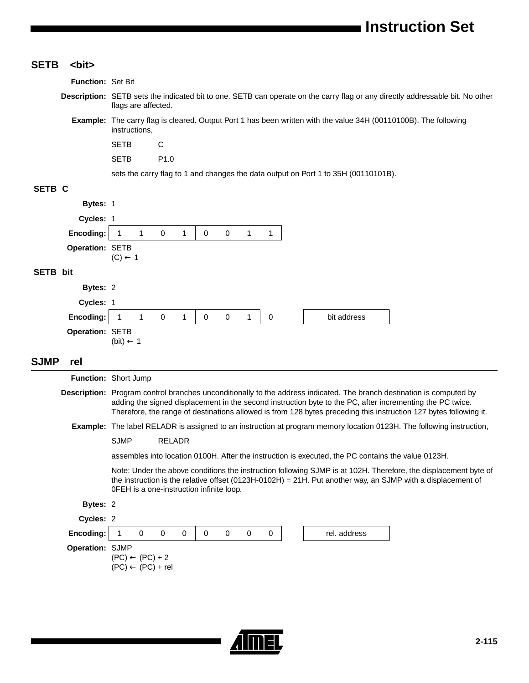| <b>SETB</b>     | <bit></bit>       |                                                                                                                                                                                                                                                                                                                                                         |
|-----------------|-------------------|---------------------------------------------------------------------------------------------------------------------------------------------------------------------------------------------------------------------------------------------------------------------------------------------------------------------------------------------------------|
|                 | Function: Set Bit |                                                                                                                                                                                                                                                                                                                                                         |
|                 |                   | Description: SETB sets the indicated bit to one. SETB can operate on the carry flag or any directly addressable bit. No other<br>flags are affected.                                                                                                                                                                                                    |
|                 |                   | Example: The carry flag is cleared. Output Port 1 has been written with the value 34H (00110100B). The following<br>instructions,                                                                                                                                                                                                                       |
|                 |                   | <b>SETB</b><br>C                                                                                                                                                                                                                                                                                                                                        |
|                 |                   | <b>SETB</b><br>P <sub>1.0</sub>                                                                                                                                                                                                                                                                                                                         |
|                 |                   | sets the carry flag to 1 and changes the data output on Port 1 to 35H (00110101B).                                                                                                                                                                                                                                                                      |
| SETB C          |                   |                                                                                                                                                                                                                                                                                                                                                         |
|                 | Bytes: 1          |                                                                                                                                                                                                                                                                                                                                                         |
|                 | Cycles: 1         |                                                                                                                                                                                                                                                                                                                                                         |
|                 | Encoding:         | $\mathbf{1}$<br>0<br>1<br>0<br>$\mathbf 0$<br>$\mathbf{1}$<br>1<br>1                                                                                                                                                                                                                                                                                    |
|                 | Operation: SETB   | $(C) \leftarrow 1$                                                                                                                                                                                                                                                                                                                                      |
| <b>SETB</b> bit |                   |                                                                                                                                                                                                                                                                                                                                                         |
|                 | Bytes: 2          |                                                                                                                                                                                                                                                                                                                                                         |
|                 | Cycles: 1         |                                                                                                                                                                                                                                                                                                                                                         |
|                 | Encoding:         | $\mathbf{1}$<br>$\mathbf 0$<br>$\mathbf 0$<br>0<br>bit address<br>$\mathbf{1}$<br>$\mathbf{1}$<br>0<br>$\mathbf{1}$                                                                                                                                                                                                                                     |
|                 | Operation: SETB   | (bit) $\leftarrow$ 1                                                                                                                                                                                                                                                                                                                                    |
| <b>SJMP</b>     | rel               |                                                                                                                                                                                                                                                                                                                                                         |
|                 |                   | Function: Short Jump                                                                                                                                                                                                                                                                                                                                    |
|                 |                   | Description: Program control branches unconditionally to the address indicated. The branch destination is computed by<br>adding the signed displacement in the second instruction byte to the PC, after incrementing the PC twice.<br>Therefore, the range of destinations allowed is from 128 bytes preceding this instruction 127 bytes following it. |
|                 |                   | <b>Example:</b> The label RELADR is assigned to an instruction at program memory location 0123H. The following instruction,                                                                                                                                                                                                                             |
|                 |                   | SJMP RELADR                                                                                                                                                                                                                                                                                                                                             |
|                 |                   | assembles into location 0100H. After the instruction is executed, the PC contains the value 0123H.                                                                                                                                                                                                                                                      |
|                 |                   | Note: Under the above conditions the instruction following SJMP is at 102H. Therefore, the displacement byte of<br>the instruction is the relative offset (0123H-0102H) = 21H. Put another way, an SJMP with a displacement of<br>OFEH is a one-instruction infinite loop.                                                                              |
|                 | Bytes: 2          |                                                                                                                                                                                                                                                                                                                                                         |
|                 | Cycles: 2         |                                                                                                                                                                                                                                                                                                                                                         |
|                 | Encoding:         | $\mathbf 0$<br>0<br>0<br>0<br>0<br>rel. address<br>0<br>0<br>1                                                                                                                                                                                                                                                                                          |
|                 | Operation: SJMP   | $(PC) \leftarrow (PC) + 2$<br>$(PC) \leftarrow (PC) + rel$                                                                                                                                                                                                                                                                                              |
|                 |                   |                                                                                                                                                                                                                                                                                                                                                         |

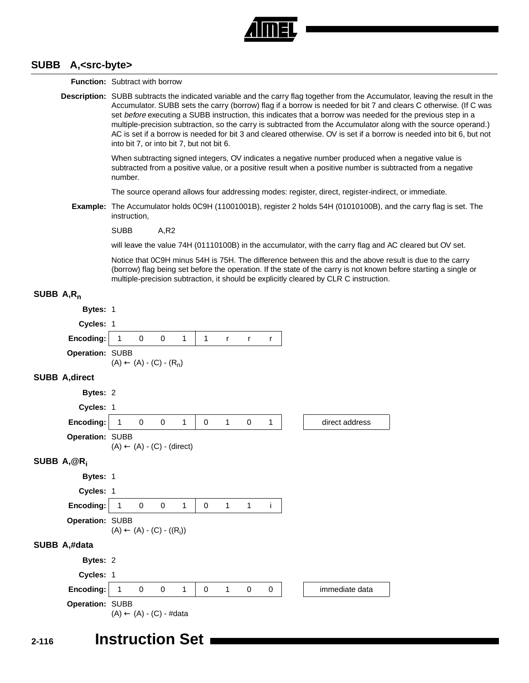

#### **SUBB A,<src-byte>**

**Function:** Subtract with borrow **Description:** SUBB subtracts the indicated variable and the carry flag together from the Accumulator, leaving the result in the Accumulator. SUBB sets the carry (borrow) flag if a borrow is needed for bit 7 and clears C otherwise. (If C was set before executing a SUBB instruction, this indicates that a borrow was needed for the previous step in a multiple-precision subtraction, so the carry is subtracted from the Accumulator along with the source operand.) AC is set if a borrow is needed for bit 3 and cleared otherwise. OV is set if a borrow is needed into bit 6, but not into bit 7, or into bit 7, but not bit 6. When subtracting signed integers, OV indicates a negative number produced when a negative value is subtracted from a positive value, or a positive result when a positive number is subtracted from a negative number. The source operand allows four addressing modes: register, direct, register-indirect, or immediate. **Example:** The Accumulator holds 0C9H (11001001B), register 2 holds 54H (01010100B), and the carry flag is set. The instruction, SUBB A,R2 will leave the value 74H (01110100B) in the accumulator, with the carry flag and AC cleared but OV set. Notice that 0C9H minus 54H is 75H. The difference between this and the above result is due to the carry (borrow) flag being set before the operation. If the state of the carry is not known before starting a single or multiple-precision subtraction, it should be explicitly cleared by CLR C instruction. **SUBB A,Rn Bytes:** 1 **Cycles:** 1 **Encoding:** 1 0 0 1 1 r r r **Operation:** SUBB  $(A) \leftarrow (A) - (C) - (R_n)$ **SUBB A,direct Bytes:** 2 **Cycles:** 1 **Encoding:** 1 0 0 1 0 1 0 1 direct address **Operation:** SUBB  $(A) \leftarrow (A) - (C) - (direct)$ **SUBB A,@Ri Bytes:** 1 **Cycles:** 1 **Encoding:** 1 0 0 1 0 1 1 i **Operation:** SUBB  $(A) \leftarrow (A) - (C) - ((R_i))$ **SUBB A,#data Bytes:** 2 **Cycles:** 1 **Encoding:** | 1 0 0 1 | 0 1 0 0 | | immediate data **Operation:** SUBB  $(A) \leftarrow (A) - (C) - #data$ 

# **2-116 Instruction Set**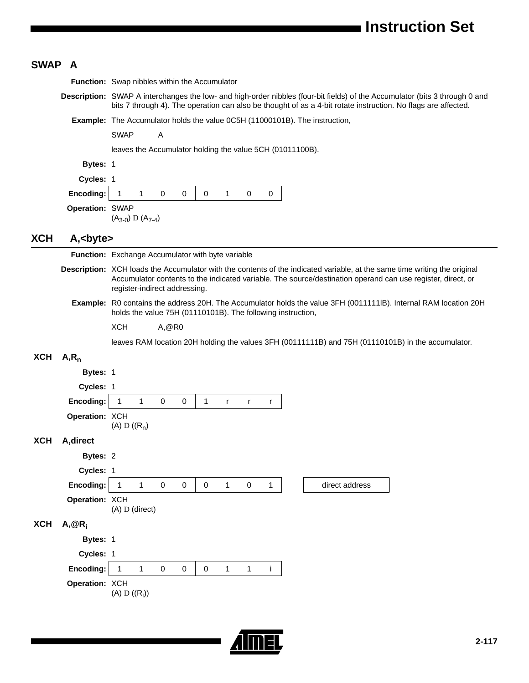# **SWAP A**

|            |                 | Function: Swap nibbles within the Accumulator                                                                                                                                                                                                                             |
|------------|-----------------|---------------------------------------------------------------------------------------------------------------------------------------------------------------------------------------------------------------------------------------------------------------------------|
|            |                 | Description: SWAP A interchanges the low- and high-order nibbles (four-bit fields) of the Accumulator (bits 3 through 0 and<br>bits 7 through 4). The operation can also be thought of as a 4-bit rotate instruction. No flags are affected.                              |
|            |                 | Example: The Accumulator holds the value 0C5H (11000101B). The instruction,                                                                                                                                                                                               |
|            |                 | <b>SWAP</b><br>A                                                                                                                                                                                                                                                          |
|            |                 | leaves the Accumulator holding the value 5CH (01011100B).                                                                                                                                                                                                                 |
|            | Bytes: 1        |                                                                                                                                                                                                                                                                           |
|            | Cycles: 1       |                                                                                                                                                                                                                                                                           |
|            | Encoding:       | $\mathbf 0$<br>$\mathbf 0$<br>$\overline{1}$<br>$\mathbf{1}$<br>0<br>0<br>$\mathbf{1}$<br>0                                                                                                                                                                               |
|            | Operation: SWAP | $(A_{3-0})$ D $(A_{7-4})$                                                                                                                                                                                                                                                 |
| <b>XCH</b> | A,<br>byte>     |                                                                                                                                                                                                                                                                           |
|            |                 | Function: Exchange Accumulator with byte variable                                                                                                                                                                                                                         |
|            |                 | Description: XCH loads the Accumulator with the contents of the indicated variable, at the same time writing the original<br>Accumulator contents to the indicated variable. The source/destination operand can use register, direct, or<br>register-indirect addressing. |
|            |                 | Example: R0 contains the address 20H. The Accumulator holds the value 3FH (0011111IB). Internal RAM location 20H<br>holds the value 75H (01110101B). The following instruction,                                                                                           |
|            |                 | <b>XCH</b><br>A, @R0                                                                                                                                                                                                                                                      |
|            |                 | leaves RAM location 20H holding the values 3FH (00111111B) and 75H (01110101B) in the accumulator.                                                                                                                                                                        |
| <b>XCH</b> | $A, R_n$        |                                                                                                                                                                                                                                                                           |
|            | Bytes: 1        |                                                                                                                                                                                                                                                                           |
|            | Cycles: 1       |                                                                                                                                                                                                                                                                           |
|            | Encoding:       | $\mathbf{1}$<br>1<br>1<br>0<br>0<br>$\mathsf{r}$<br>r<br>r                                                                                                                                                                                                                |
|            | Operation: XCH  | (A) D $((R_n)$                                                                                                                                                                                                                                                            |
| <b>XCH</b> | A, direct       |                                                                                                                                                                                                                                                                           |
|            | Bytes: 2        |                                                                                                                                                                                                                                                                           |
|            | Cycles: 1       |                                                                                                                                                                                                                                                                           |
|            | Encoding:       | $\mathbf{1}$<br>$\mathsf{O}\xspace$<br>$\mathsf{O}\xspace$<br>$\mathbf 0$<br>$\mathbf{1}$<br>$\mathbf 0$<br>direct address<br>$\mathbf{1}$<br>$\mathbf{1}$                                                                                                                |
|            | Operation: XCH  | (A) D (direct)                                                                                                                                                                                                                                                            |
| <b>XCH</b> | $A, @R_i$       |                                                                                                                                                                                                                                                                           |
|            | Bytes: 1        |                                                                                                                                                                                                                                                                           |
|            | Cycles: 1       |                                                                                                                                                                                                                                                                           |
|            | Encoding:       | $\pmb{0}$<br>$\mathbf{1}$<br>$\mathbf{1}$<br>$\pmb{0}$<br>$\mathbf 0$<br>$\mathbf{1}$<br>j.<br>$\mathbf{1}$                                                                                                                                                               |
|            | Operation: XCH  | (A) $D ((R_i))$                                                                                                                                                                                                                                                           |
|            |                 |                                                                                                                                                                                                                                                                           |

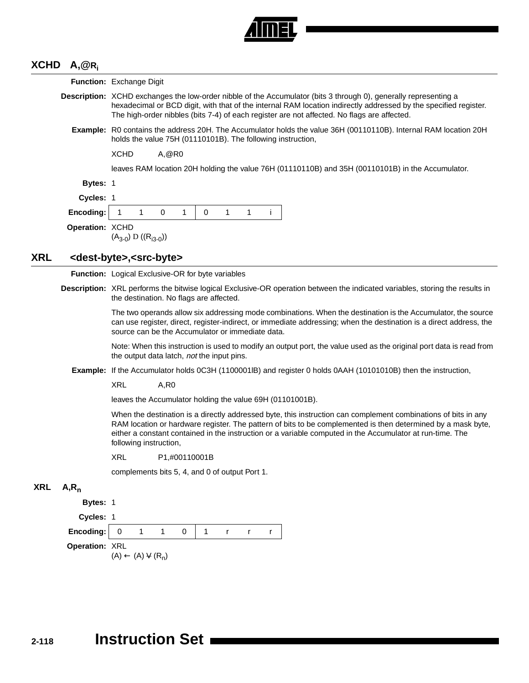

# **XCHD A,@Ri**

**XRL <dest-byte>,<src-byte>** 

**XRL A,Rn**

|                 | <b>Function:</b> Exchange Digit                                                                                                                                                                                                                                                                                                                                       |
|-----------------|-----------------------------------------------------------------------------------------------------------------------------------------------------------------------------------------------------------------------------------------------------------------------------------------------------------------------------------------------------------------------|
|                 | Description: XCHD exchanges the low-order nibble of the Accumulator (bits 3 through 0), generally representing a<br>hexadecimal or BCD digit, with that of the internal RAM location indirectly addressed by the specified register.<br>The high-order nibbles (bits 7-4) of each register are not affected. No flags are affected.                                   |
|                 | Example: R0 contains the address 20H. The Accumulator holds the value 36H (00110110B). Internal RAM location 20H<br>holds the value 75H (01110101B). The following instruction,                                                                                                                                                                                       |
|                 | <b>XCHD</b><br>A, @R0                                                                                                                                                                                                                                                                                                                                                 |
|                 | leaves RAM location 20H holding the value 76H (01110110B) and 35H (00110101B) in the Accumulator.                                                                                                                                                                                                                                                                     |
| Bytes: 1        |                                                                                                                                                                                                                                                                                                                                                                       |
| Cycles: 1       |                                                                                                                                                                                                                                                                                                                                                                       |
| Encoding:       | 1<br>0<br>1<br>$\mathbf 0$<br>1<br>$\mathbf{1}$<br>j.<br>-1                                                                                                                                                                                                                                                                                                           |
| Operation: XCHD | $(A_{3-0})$ D $((R_{13-0}))$                                                                                                                                                                                                                                                                                                                                          |
|                 | <dest-byte>,<src-byte></src-byte></dest-byte>                                                                                                                                                                                                                                                                                                                         |
|                 | Function: Logical Exclusive-OR for byte variables                                                                                                                                                                                                                                                                                                                     |
|                 | Description: XRL performs the bitwise logical Exclusive-OR operation between the indicated variables, storing the results in<br>the destination. No flags are affected.                                                                                                                                                                                               |
|                 | The two operands allow six addressing mode combinations. When the destination is the Accumulator, the source<br>can use register, direct, register-indirect, or immediate addressing; when the destination is a direct address, the<br>source can be the Accumulator or immediate data.                                                                               |
|                 | Note: When this instruction is used to modify an output port, the value used as the original port data is read from<br>the output data latch, not the input pins.                                                                                                                                                                                                     |
|                 | Example: If the Accumulator holds 0C3H (1100001IB) and register 0 holds 0AAH (10101010B) then the instruction,                                                                                                                                                                                                                                                        |
|                 | <b>XRL</b><br>A, R0                                                                                                                                                                                                                                                                                                                                                   |
|                 | leaves the Accumulator holding the value 69H (01101001B).                                                                                                                                                                                                                                                                                                             |
|                 | When the destination is a directly addressed byte, this instruction can complement combinations of bits in any<br>RAM location or hardware register. The pattern of bits to be complemented is then determined by a mask byte,<br>either a constant contained in the instruction or a variable computed in the Accumulator at run-time. The<br>following instruction, |
|                 | XRL<br>P1,#00110001B                                                                                                                                                                                                                                                                                                                                                  |
|                 | complements bits 5, 4, and 0 of output Port 1.                                                                                                                                                                                                                                                                                                                        |
| $A, R_n$        |                                                                                                                                                                                                                                                                                                                                                                       |
| Bytes: 1        |                                                                                                                                                                                                                                                                                                                                                                       |
| Cycles: 1       |                                                                                                                                                                                                                                                                                                                                                                       |
| Encoding:       | $\pmb{0}$<br>1<br>1<br>0<br>1<br>r<br>r<br>r                                                                                                                                                                                                                                                                                                                          |
| Operation: XRL  | $(A) \leftarrow (A) \vee (R_n)$                                                                                                                                                                                                                                                                                                                                       |
|                 |                                                                                                                                                                                                                                                                                                                                                                       |